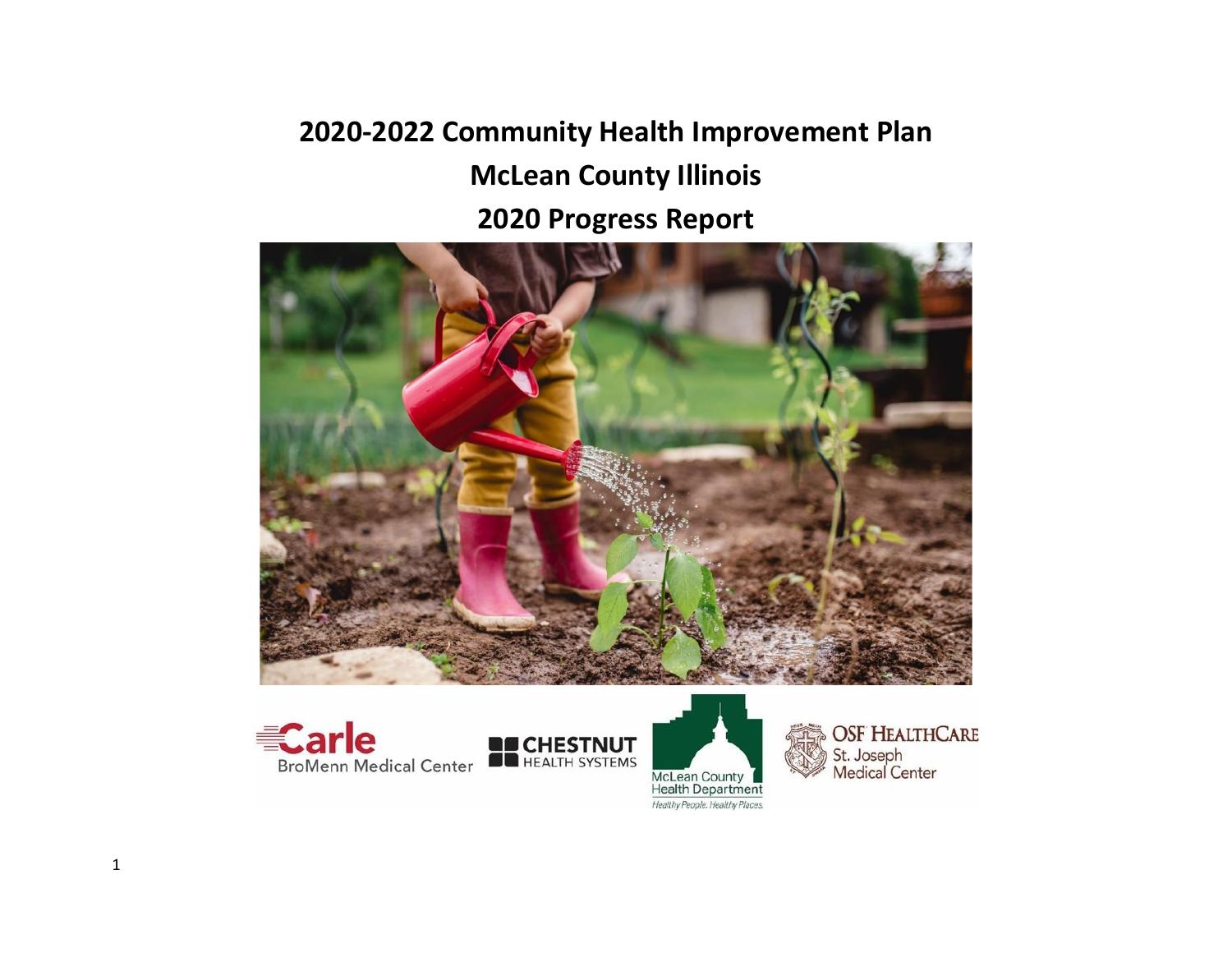## **2020-2022 Community Health Improvement Plan McLean County Illinois 2020 Progress Report**









**OSF HEALTHCARE** St. Joseph<br>Medical Center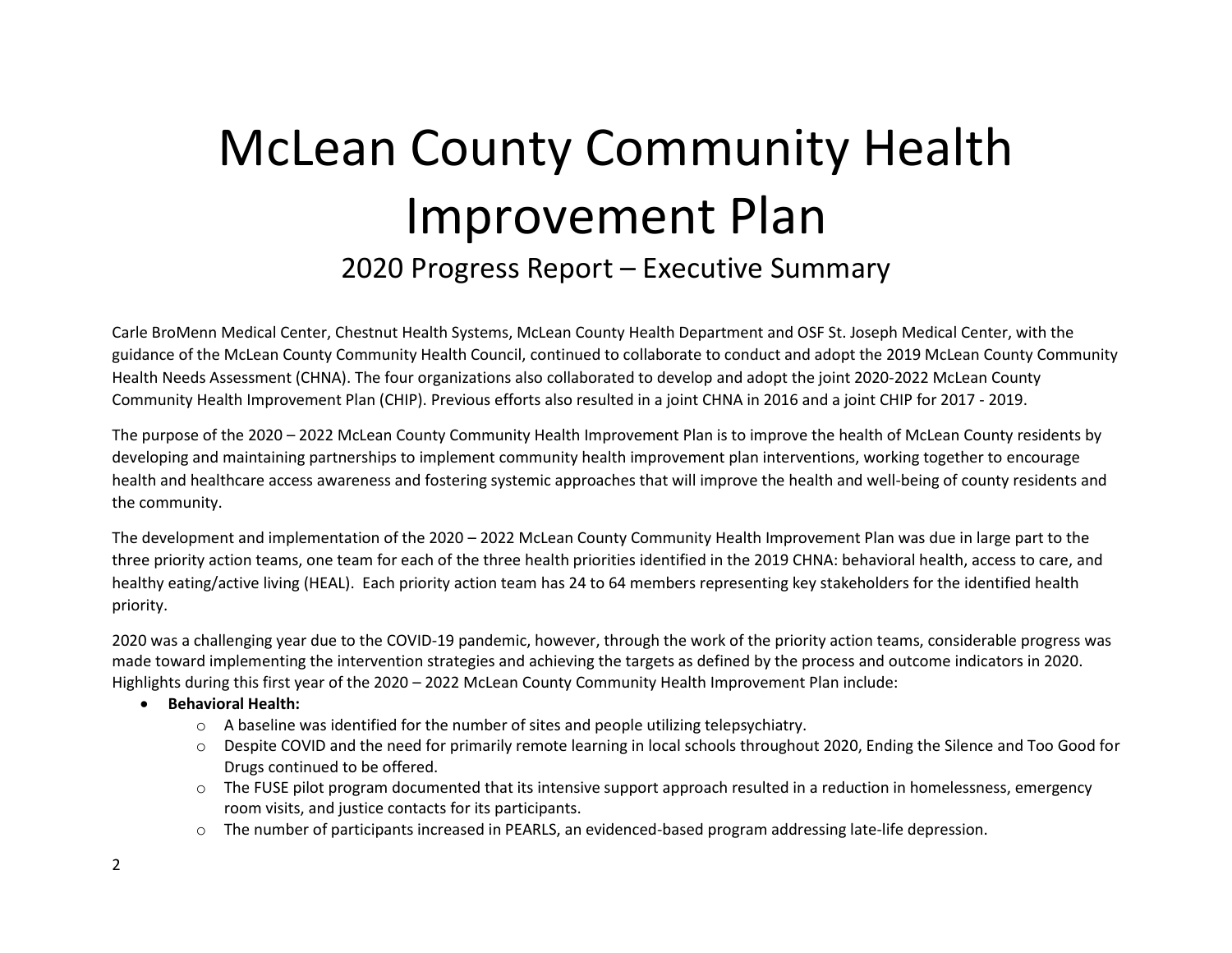# McLean County Community Health Improvement Plan 2020 Progress Report – Executive Summary

Carle BroMenn Medical Center, Chestnut Health Systems, McLean County Health Department and OSF St. Joseph Medical Center, with the guidance of the McLean County Community Health Council, continued to collaborate to conduct and adopt the 2019 McLean County Community Health Needs Assessment (CHNA). The four organizations also collaborated to develop and adopt the joint 2020-2022 McLean County Community Health Improvement Plan (CHIP). Previous efforts also resulted in a joint CHNA in 2016 and a joint CHIP for 2017 - 2019.

The purpose of the 2020 – 2022 McLean County Community Health Improvement Plan is to improve the health of McLean County residents by developing and maintaining partnerships to implement community health improvement plan interventions, working together to encourage health and healthcare access awareness and fostering systemic approaches that will improve the health and well-being of county residents and the community.

The development and implementation of the 2020 – 2022 McLean County Community Health Improvement Plan was due in large part to the three priority action teams, one team for each of the three health priorities identified in the 2019 CHNA: behavioral health, access to care, and healthy eating/active living (HEAL). Each priority action team has 24 to 64 members representing key stakeholders for the identified health priority.

2020 was a challenging year due to the COVID-19 pandemic, however, through the work of the priority action teams, considerable progress was made toward implementing the intervention strategies and achieving the targets as defined by the process and outcome indicators in 2020. Highlights during this first year of the 2020 – 2022 McLean County Community Health Improvement Plan include:

- **Behavioral Health:**
	- $\circ$  A baseline was identified for the number of sites and people utilizing telepsychiatry.
	- o Despite COVID and the need for primarily remote learning in local schools throughout 2020, Ending the Silence and Too Good for Drugs continued to be offered.
	- $\circ$  The FUSE pilot program documented that its intensive support approach resulted in a reduction in homelessness, emergency room visits, and justice contacts for its participants.
	- o The number of participants increased in PEARLS, an evidenced-based program addressing late-life depression.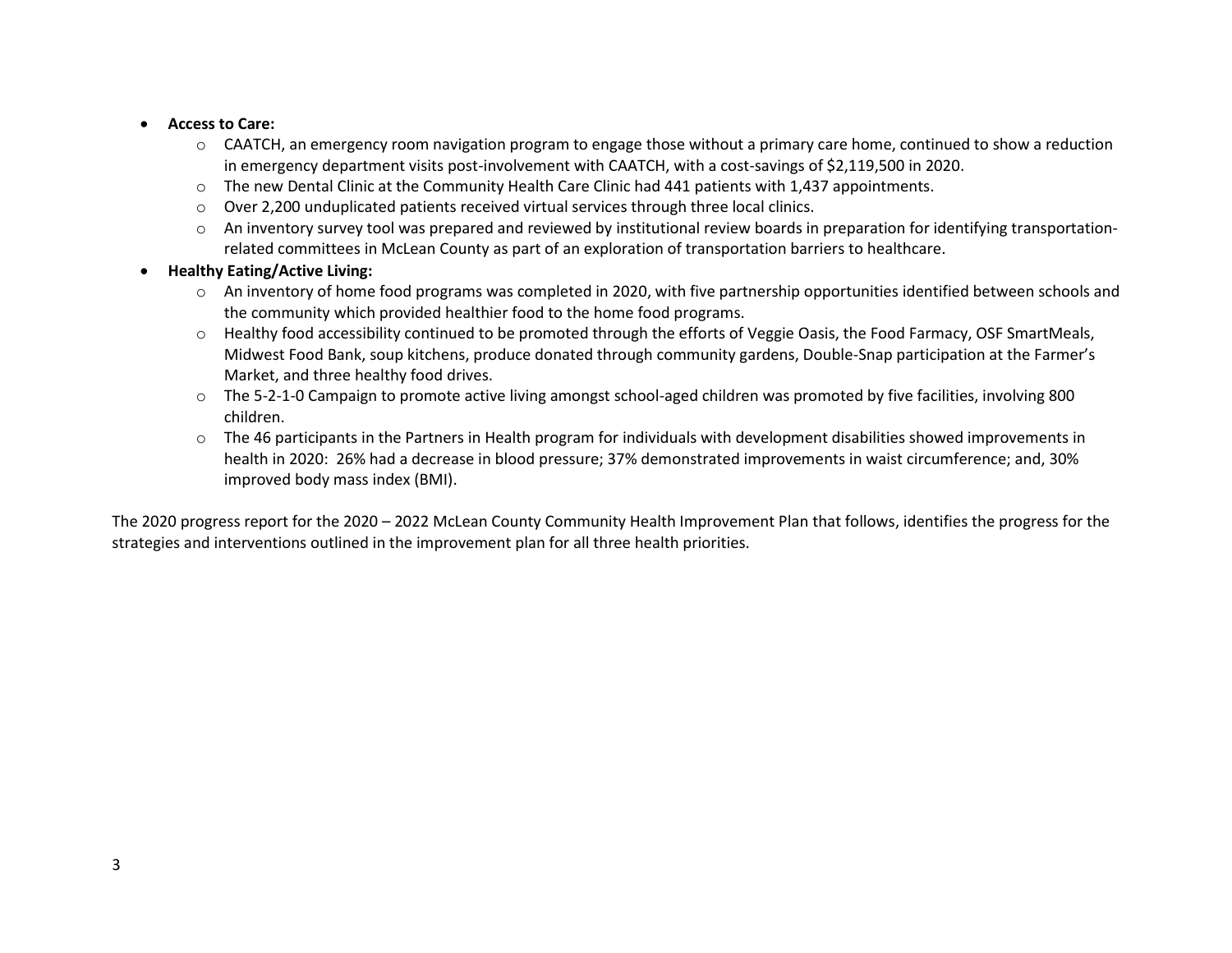- **Access to Care:**
	- $\circ$  CAATCH, an emergency room navigation program to engage those without a primary care home, continued to show a reduction in emergency department visits post-involvement with CAATCH, with a cost-savings of \$2,119,500 in 2020.
	- $\circ$  The new Dental Clinic at the Community Health Care Clinic had 441 patients with 1,437 appointments.
	- $\circ$  Over 2,200 unduplicated patients received virtual services through three local clinics.
	- o An inventory survey tool was prepared and reviewed by institutional review boards in preparation for identifying transportationrelated committees in McLean County as part of an exploration of transportation barriers to healthcare.
- **Healthy Eating/Active Living:**
	- $\circ$  An inventory of home food programs was completed in 2020, with five partnership opportunities identified between schools and the community which provided healthier food to the home food programs.
	- o Healthy food accessibility continued to be promoted through the efforts of Veggie Oasis, the Food Farmacy, OSF SmartMeals, Midwest Food Bank, soup kitchens, produce donated through community gardens, Double-Snap participation at the Farmer's Market, and three healthy food drives.
	- $\circ$  The 5-2-1-0 Campaign to promote active living amongst school-aged children was promoted by five facilities, involving 800 children.
	- o The 46 participants in the Partners in Health program for individuals with development disabilities showed improvements in health in 2020: 26% had a decrease in blood pressure; 37% demonstrated improvements in waist circumference; and, 30% improved body mass index (BMI).

The 2020 progress report for the 2020 – 2022 McLean County Community Health Improvement Plan that follows, identifies the progress for the strategies and interventions outlined in the improvement plan for all three health priorities.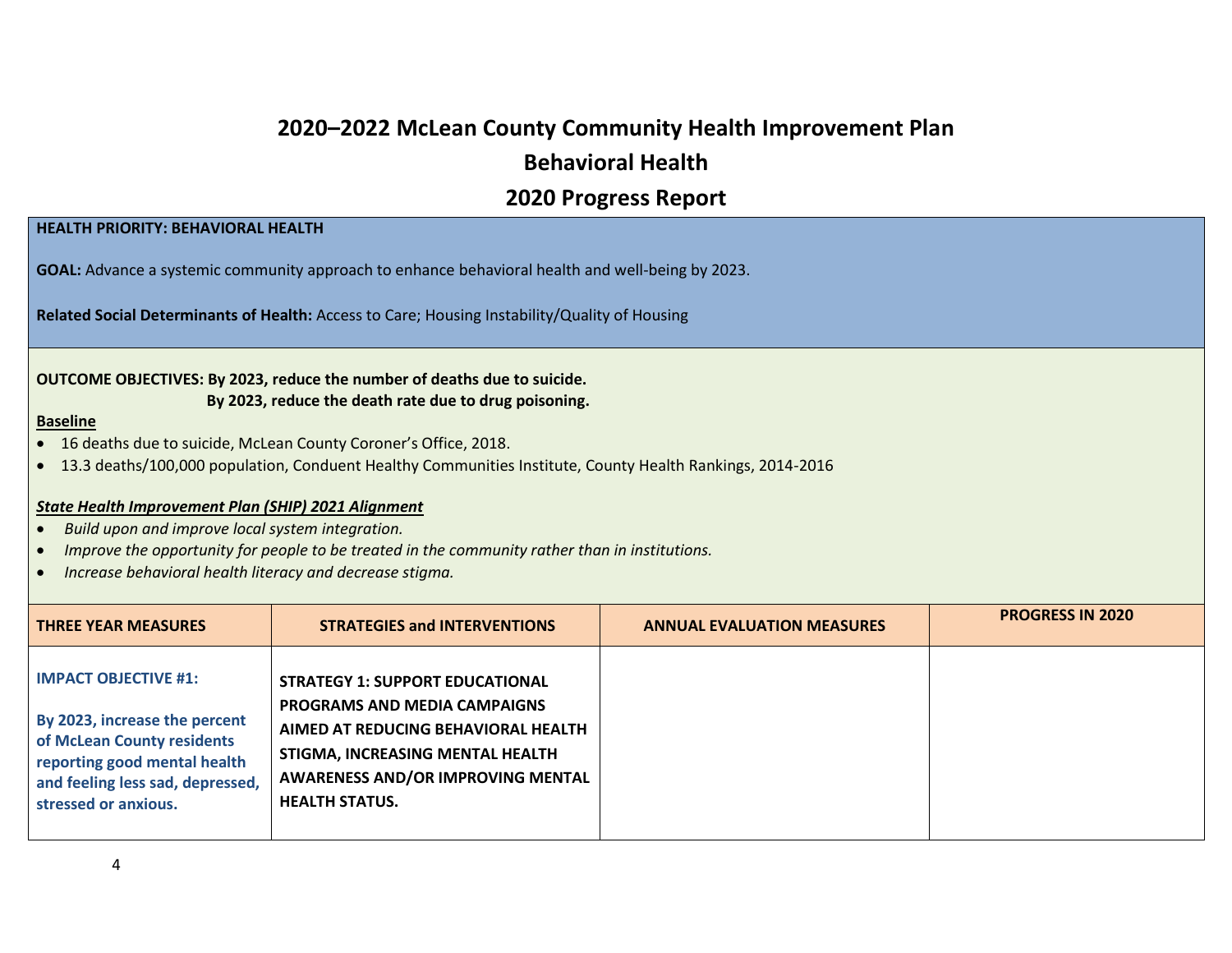## **2020–2022 McLean County Community Health Improvement Plan Behavioral Health**

### **2020 Progress Report**

#### **HEALTH PRIORITY: BEHAVIORAL HEALTH**

**GOAL:** Advance a systemic community approach to enhance behavioral health and well-being by 2023.

**Related Social Determinants of Health:** Access to Care; Housing Instability/Quality of Housing

#### **OUTCOME OBJECTIVES: By 2023, reduce the number of deaths due to suicide. By 2023, reduce the death rate due to drug poisoning.**

#### **Baseline**

- 16 deaths due to suicide, McLean County Coroner's Office, 2018.
- 13.3 deaths/100,000 population, Conduent Healthy Communities Institute, County Health Rankings, 2014-2016

#### *State Health Improvement Plan (SHIP) 2021 Alignment*

- *Build upon and improve local system integration.*
- *Improve the opportunity for people to be treated in the community rather than in institutions.*
- *Increase behavioral health literacy and decrease stigma.*

| <b>THREE YEAR MEASURES</b>                                                                                                                                                             | <b>STRATEGIES and INTERVENTIONS</b>                                                                                                                                                                                           | <b>ANNUAL EVALUATION MEASURES</b> | <b>PROGRESS IN 2020</b> |
|----------------------------------------------------------------------------------------------------------------------------------------------------------------------------------------|-------------------------------------------------------------------------------------------------------------------------------------------------------------------------------------------------------------------------------|-----------------------------------|-------------------------|
| <b>IMPACT OBJECTIVE #1:</b><br>By 2023, increase the percent<br>of McLean County residents<br>reporting good mental health<br>and feeling less sad, depressed,<br>stressed or anxious. | <b>STRATEGY 1: SUPPORT EDUCATIONAL</b><br><b>PROGRAMS AND MEDIA CAMPAIGNS</b><br>AIMED AT REDUCING BEHAVIORAL HEALTH<br>STIGMA, INCREASING MENTAL HEALTH<br><b>AWARENESS AND/OR IMPROVING MENTAL</b><br><b>HEALTH STATUS.</b> |                                   |                         |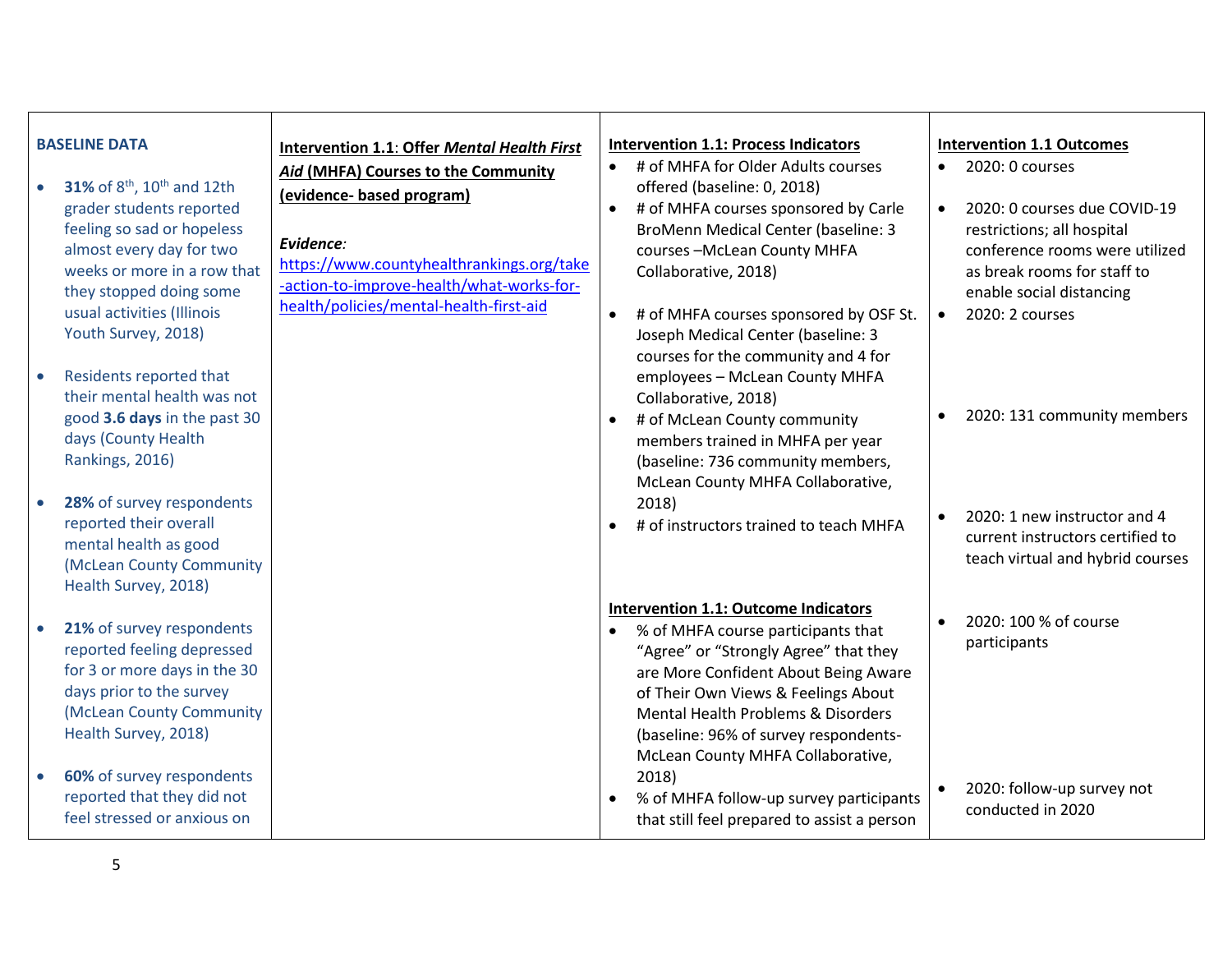| <b>BASELINE DATA</b><br>31% of $8^{th}$ , 10 <sup>th</sup> and 12th<br>grader students reported<br>feeling so sad or hopeless<br>almost every day for two<br>weeks or more in a row that<br>they stopped doing some<br>usual activities (Illinois<br>Youth Survey, 2018)<br>Residents reported that<br>$\bullet$<br>their mental health was not<br>good 3.6 days in the past 30<br>days (County Health<br>Rankings, 2016)<br>28% of survey respondents<br>$\bullet$<br>reported their overall | Intervention 1.1: Offer Mental Health First<br>Aid (MHFA) Courses to the Community<br>(evidence- based program)<br>Evidence:<br>https://www.countyhealthrankings.org/take<br>-action-to-improve-health/what-works-for-<br>health/policies/mental-health-first-aid | <b>Intervention 1.1: Process Indicators</b><br># of MHFA for Older Adults courses<br>offered (baseline: 0, 2018)<br># of MHFA courses sponsored by Carle<br>$\bullet$<br><b>BroMenn Medical Center (baseline: 3</b><br>courses-McLean County MHFA<br>Collaborative, 2018)<br># of MHFA courses sponsored by OSF St.<br>$\bullet$<br>Joseph Medical Center (baseline: 3<br>courses for the community and 4 for<br>employees - McLean County MHFA<br>Collaborative, 2018)<br># of McLean County community<br>$\bullet$<br>members trained in MHFA per year<br>(baseline: 736 community members,<br>McLean County MHFA Collaborative,<br>2018)<br># of instructors trained to teach MHFA | <b>Intervention 1.1 Outcomes</b><br>2020: 0 courses<br>$\bullet$<br>2020: 0 courses due COVID-19<br>$\bullet$<br>restrictions; all hospital<br>conference rooms were utilized<br>as break rooms for staff to<br>enable social distancing<br>2020: 2 courses<br>$\bullet$<br>2020: 131 community members<br>2020: 1 new instructor and 4<br>$\bullet$ |
|-----------------------------------------------------------------------------------------------------------------------------------------------------------------------------------------------------------------------------------------------------------------------------------------------------------------------------------------------------------------------------------------------------------------------------------------------------------------------------------------------|-------------------------------------------------------------------------------------------------------------------------------------------------------------------------------------------------------------------------------------------------------------------|---------------------------------------------------------------------------------------------------------------------------------------------------------------------------------------------------------------------------------------------------------------------------------------------------------------------------------------------------------------------------------------------------------------------------------------------------------------------------------------------------------------------------------------------------------------------------------------------------------------------------------------------------------------------------------------|------------------------------------------------------------------------------------------------------------------------------------------------------------------------------------------------------------------------------------------------------------------------------------------------------------------------------------------------------|
| mental health as good<br>(McLean County Community<br>Health Survey, 2018)                                                                                                                                                                                                                                                                                                                                                                                                                     |                                                                                                                                                                                                                                                                   | <b>Intervention 1.1: Outcome Indicators</b>                                                                                                                                                                                                                                                                                                                                                                                                                                                                                                                                                                                                                                           | current instructors certified to<br>teach virtual and hybrid courses<br>2020: 100 % of course                                                                                                                                                                                                                                                        |
| 21% of survey respondents<br>$\bullet$<br>reported feeling depressed<br>for 3 or more days in the 30<br>days prior to the survey<br>(McLean County Community<br>Health Survey, 2018)                                                                                                                                                                                                                                                                                                          |                                                                                                                                                                                                                                                                   | % of MHFA course participants that<br>"Agree" or "Strongly Agree" that they<br>are More Confident About Being Aware<br>of Their Own Views & Feelings About<br>Mental Health Problems & Disorders<br>(baseline: 96% of survey respondents-<br>McLean County MHFA Collaborative,                                                                                                                                                                                                                                                                                                                                                                                                        | participants                                                                                                                                                                                                                                                                                                                                         |
| 60% of survey respondents<br>$\bullet$<br>reported that they did not<br>feel stressed or anxious on                                                                                                                                                                                                                                                                                                                                                                                           |                                                                                                                                                                                                                                                                   | 2018)<br>% of MHFA follow-up survey participants<br>that still feel prepared to assist a person                                                                                                                                                                                                                                                                                                                                                                                                                                                                                                                                                                                       | 2020: follow-up survey not<br>$\bullet$<br>conducted in 2020                                                                                                                                                                                                                                                                                         |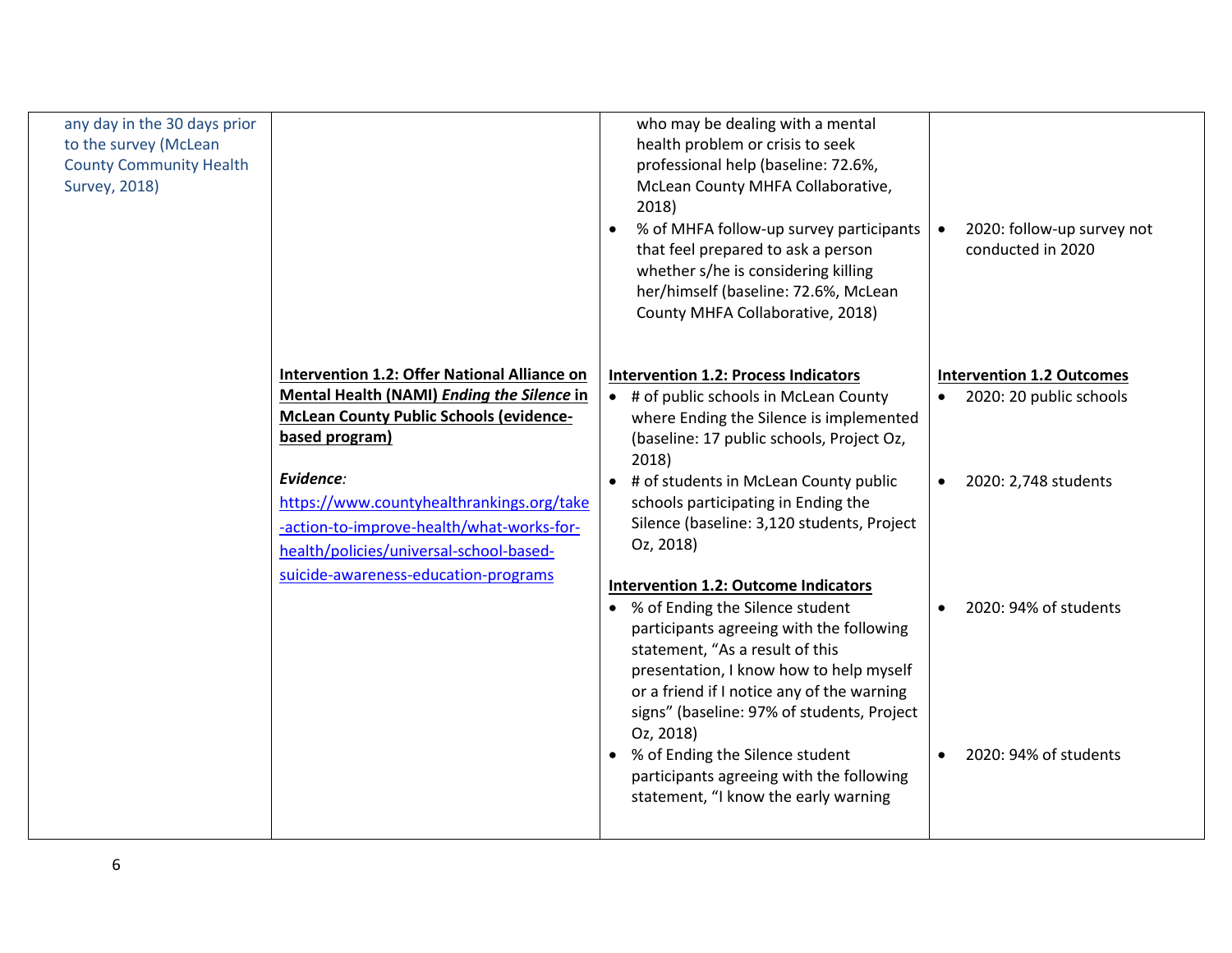| any day in the 30 days prior<br>to the survey (McLean<br><b>County Community Health</b><br><b>Survey, 2018)</b> |                                                     | who may be dealing with a mental<br>health problem or crisis to seek<br>professional help (baseline: 72.6%,<br>McLean County MHFA Collaborative,<br>2018)<br>% of MHFA follow-up survey participants<br>that feel prepared to ask a person<br>whether s/he is considering killing<br>her/himself (baseline: 72.6%, McLean<br>County MHFA Collaborative, 2018) | 2020: follow-up survey not<br>$\bullet$<br>conducted in 2020 |
|-----------------------------------------------------------------------------------------------------------------|-----------------------------------------------------|---------------------------------------------------------------------------------------------------------------------------------------------------------------------------------------------------------------------------------------------------------------------------------------------------------------------------------------------------------------|--------------------------------------------------------------|
|                                                                                                                 | <b>Intervention 1.2: Offer National Alliance on</b> | <b>Intervention 1.2: Process Indicators</b>                                                                                                                                                                                                                                                                                                                   | <b>Intervention 1.2 Outcomes</b>                             |
|                                                                                                                 | Mental Health (NAMI) Ending the Silence in          | • # of public schools in McLean County                                                                                                                                                                                                                                                                                                                        | • 2020: 20 public schools                                    |
|                                                                                                                 | <b>McLean County Public Schools (evidence-</b>      | where Ending the Silence is implemented                                                                                                                                                                                                                                                                                                                       |                                                              |
|                                                                                                                 | based program)                                      | (baseline: 17 public schools, Project Oz,<br>2018)                                                                                                                                                                                                                                                                                                            |                                                              |
|                                                                                                                 | Evidence:                                           | • # of students in McLean County public                                                                                                                                                                                                                                                                                                                       | 2020: 2,748 students                                         |
|                                                                                                                 | https://www.countyhealthrankings.org/take           | schools participating in Ending the                                                                                                                                                                                                                                                                                                                           |                                                              |
|                                                                                                                 | -action-to-improve-health/what-works-for-           | Silence (baseline: 3,120 students, Project                                                                                                                                                                                                                                                                                                                    |                                                              |
|                                                                                                                 | health/policies/universal-school-based-             | Oz, 2018)                                                                                                                                                                                                                                                                                                                                                     |                                                              |
|                                                                                                                 | suicide-awareness-education-programs                | <b>Intervention 1.2: Outcome Indicators</b>                                                                                                                                                                                                                                                                                                                   |                                                              |
|                                                                                                                 |                                                     | • % of Ending the Silence student                                                                                                                                                                                                                                                                                                                             | 2020: 94% of students                                        |
|                                                                                                                 |                                                     | participants agreeing with the following<br>statement, "As a result of this                                                                                                                                                                                                                                                                                   |                                                              |
|                                                                                                                 |                                                     | presentation, I know how to help myself                                                                                                                                                                                                                                                                                                                       |                                                              |
|                                                                                                                 |                                                     | or a friend if I notice any of the warning                                                                                                                                                                                                                                                                                                                    |                                                              |
|                                                                                                                 |                                                     | signs" (baseline: 97% of students, Project<br>Oz, 2018)                                                                                                                                                                                                                                                                                                       |                                                              |
|                                                                                                                 |                                                     | • % of Ending the Silence student                                                                                                                                                                                                                                                                                                                             | 2020: 94% of students                                        |
|                                                                                                                 |                                                     | participants agreeing with the following                                                                                                                                                                                                                                                                                                                      |                                                              |
|                                                                                                                 |                                                     | statement, "I know the early warning                                                                                                                                                                                                                                                                                                                          |                                                              |
|                                                                                                                 |                                                     |                                                                                                                                                                                                                                                                                                                                                               |                                                              |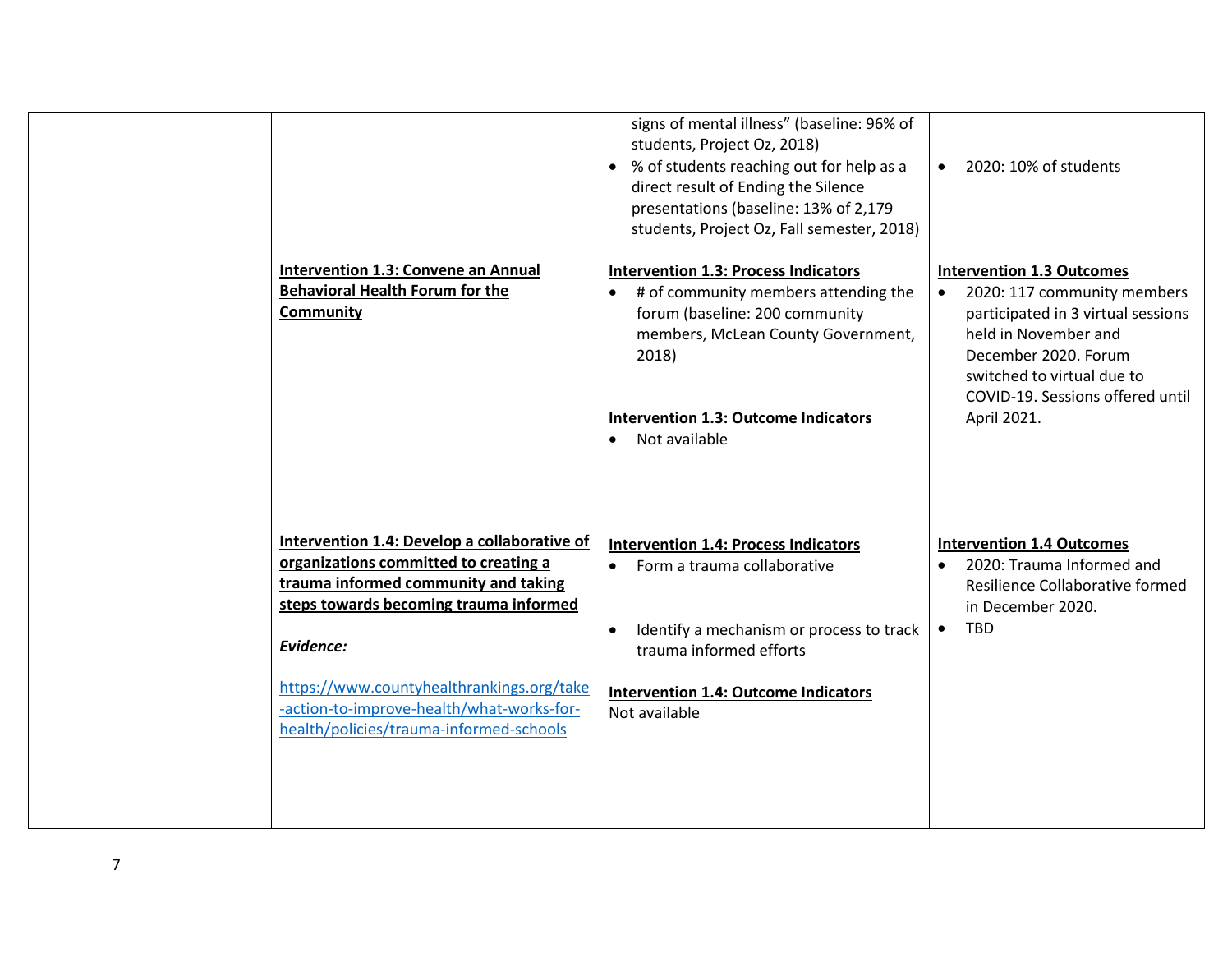| Intervention 1.3: Convene an Annual<br><b>Behavioral Health Forum for the</b><br><b>Community</b>                                                                                    | signs of mental illness" (baseline: 96% of<br>students, Project Oz, 2018)<br>• % of students reaching out for help as a<br>direct result of Ending the Silence<br>presentations (baseline: 13% of 2,179<br>students, Project Oz, Fall semester, 2018)<br><b>Intervention 1.3: Process Indicators</b><br># of community members attending the<br>forum (baseline: 200 community | 2020: 10% of students<br>$\bullet$<br><b>Intervention 1.3 Outcomes</b><br>2020: 117 community members<br>participated in 3 virtual sessions                   |
|--------------------------------------------------------------------------------------------------------------------------------------------------------------------------------------|--------------------------------------------------------------------------------------------------------------------------------------------------------------------------------------------------------------------------------------------------------------------------------------------------------------------------------------------------------------------------------|---------------------------------------------------------------------------------------------------------------------------------------------------------------|
|                                                                                                                                                                                      | members, McLean County Government,<br>2018)<br><b>Intervention 1.3: Outcome Indicators</b><br>Not available                                                                                                                                                                                                                                                                    | held in November and<br>December 2020. Forum<br>switched to virtual due to<br>COVID-19. Sessions offered until<br>April 2021.                                 |
| Intervention 1.4: Develop a collaborative of<br>organizations committed to creating a<br>trauma informed community and taking<br>steps towards becoming trauma informed<br>Evidence: | <b>Intervention 1.4: Process Indicators</b><br>Form a trauma collaborative<br>$\bullet$<br>Identify a mechanism or process to track<br>$\bullet$<br>trauma informed efforts                                                                                                                                                                                                    | <b>Intervention 1.4 Outcomes</b><br>2020: Trauma Informed and<br>$\bullet$<br>Resilience Collaborative formed<br>in December 2020.<br><b>TBD</b><br>$\bullet$ |
| https://www.countyhealthrankings.org/take<br>-action-to-improve-health/what-works-for-<br>health/policies/trauma-informed-schools                                                    | <b>Intervention 1.4: Outcome Indicators</b><br>Not available                                                                                                                                                                                                                                                                                                                   |                                                                                                                                                               |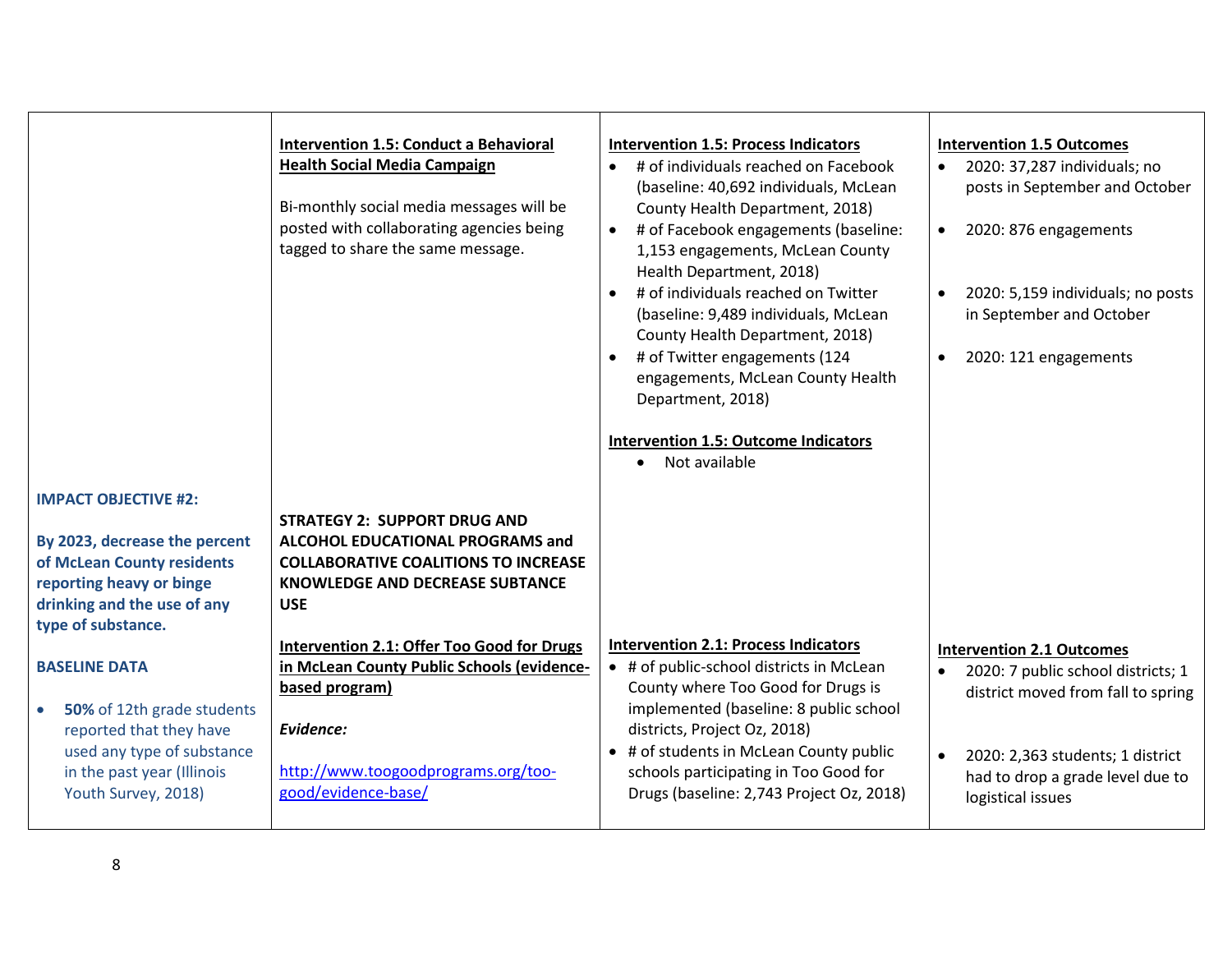|                                                                                                                                                                               | <b>Intervention 1.5: Conduct a Behavioral</b><br><b>Health Social Media Campaign</b><br>Bi-monthly social media messages will be<br>posted with collaborating agencies being<br>tagged to share the same message. | <b>Intervention 1.5: Process Indicators</b><br># of individuals reached on Facebook<br>(baseline: 40,692 individuals, McLean<br>County Health Department, 2018)<br>• # of Facebook engagements (baseline:<br>1,153 engagements, McLean County<br>Health Department, 2018)<br># of individuals reached on Twitter<br>(baseline: 9,489 individuals, McLean<br>County Health Department, 2018)<br># of Twitter engagements (124<br>engagements, McLean County Health<br>Department, 2018)<br><b>Intervention 1.5: Outcome Indicators</b><br>• Not available | <b>Intervention 1.5 Outcomes</b><br>2020: 37,287 individuals; no<br>posts in September and October<br>2020: 876 engagements<br>$\bullet$<br>2020: 5,159 individuals; no posts<br>$\bullet$<br>in September and October<br>2020: 121 engagements<br>$\bullet$ |
|-------------------------------------------------------------------------------------------------------------------------------------------------------------------------------|-------------------------------------------------------------------------------------------------------------------------------------------------------------------------------------------------------------------|----------------------------------------------------------------------------------------------------------------------------------------------------------------------------------------------------------------------------------------------------------------------------------------------------------------------------------------------------------------------------------------------------------------------------------------------------------------------------------------------------------------------------------------------------------|--------------------------------------------------------------------------------------------------------------------------------------------------------------------------------------------------------------------------------------------------------------|
| <b>IMPACT OBJECTIVE #2:</b><br>By 2023, decrease the percent<br>of McLean County residents<br>reporting heavy or binge<br>drinking and the use of any<br>type of substance.   | <b>STRATEGY 2: SUPPORT DRUG AND</b><br>ALCOHOL EDUCATIONAL PROGRAMS and<br><b>COLLABORATIVE COALITIONS TO INCREASE</b><br>KNOWLEDGE AND DECREASE SUBTANCE<br><b>USE</b>                                           |                                                                                                                                                                                                                                                                                                                                                                                                                                                                                                                                                          |                                                                                                                                                                                                                                                              |
| <b>BASELINE DATA</b><br>50% of 12th grade students<br>$\bullet$<br>reported that they have<br>used any type of substance<br>in the past year (Illinois<br>Youth Survey, 2018) | Intervention 2.1: Offer Too Good for Drugs<br>in McLean County Public Schools (evidence-<br>based program)<br>Evidence:<br>http://www.toogoodprograms.org/too-<br>good/evidence-base/                             | <b>Intervention 2.1: Process Indicators</b><br>• # of public-school districts in McLean<br>County where Too Good for Drugs is<br>implemented (baseline: 8 public school<br>districts, Project Oz, 2018)<br>• # of students in McLean County public<br>schools participating in Too Good for<br>Drugs (baseline: 2,743 Project Oz, 2018)                                                                                                                                                                                                                  | <b>Intervention 2.1 Outcomes</b><br>2020: 7 public school districts; 1<br>$\bullet$<br>district moved from fall to spring<br>2020: 2,363 students; 1 district<br>$\bullet$<br>had to drop a grade level due to<br>logistical issues                          |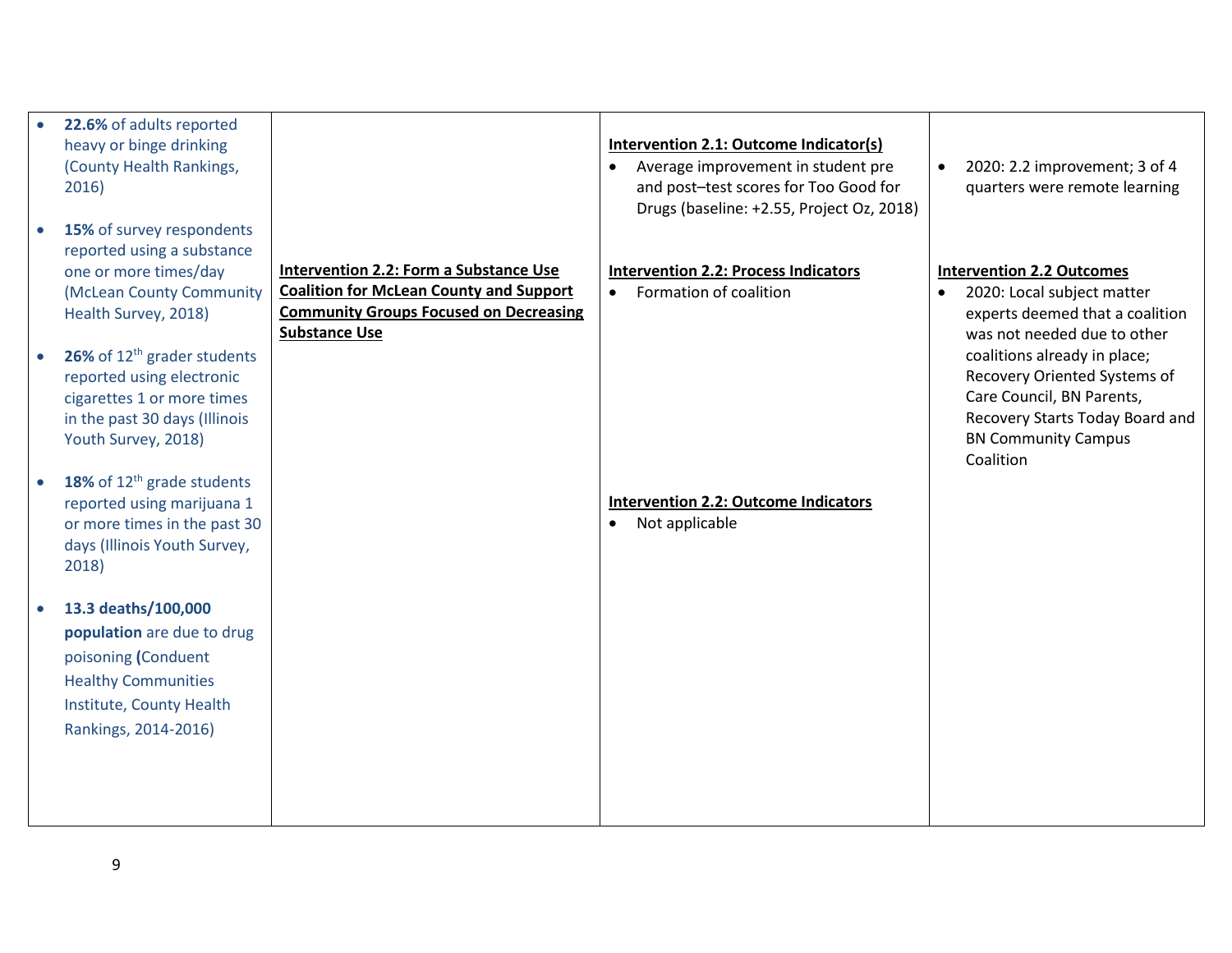| 22.6% of adults reported               |                                                |                                             |                                            |
|----------------------------------------|------------------------------------------------|---------------------------------------------|--------------------------------------------|
|                                        |                                                |                                             |                                            |
| heavy or binge drinking                |                                                | Intervention 2.1: Outcome Indicator(s)      |                                            |
| (County Health Rankings,               |                                                | Average improvement in student pre          | 2020: 2.2 improvement; 3 of 4<br>$\bullet$ |
| 2016)                                  |                                                | and post-test scores for Too Good for       | quarters were remote learning              |
|                                        |                                                | Drugs (baseline: +2.55, Project Oz, 2018)   |                                            |
| 15% of survey respondents              |                                                |                                             |                                            |
| reported using a substance             |                                                |                                             |                                            |
| one or more times/day                  | <b>Intervention 2.2: Form a Substance Use</b>  | <b>Intervention 2.2: Process Indicators</b> | <b>Intervention 2.2 Outcomes</b>           |
|                                        |                                                |                                             |                                            |
| (McLean County Community               | <b>Coalition for McLean County and Support</b> | Formation of coalition<br>$\bullet$         | 2020: Local subject matter                 |
| Health Survey, 2018)                   | <b>Community Groups Focused on Decreasing</b>  |                                             | experts deemed that a coalition            |
|                                        | <b>Substance Use</b>                           |                                             | was not needed due to other                |
| 26% of $12^{th}$ grader students       |                                                |                                             | coalitions already in place;               |
| reported using electronic              |                                                |                                             | Recovery Oriented Systems of               |
| cigarettes 1 or more times             |                                                |                                             | Care Council, BN Parents,                  |
| in the past 30 days (Illinois          |                                                |                                             | Recovery Starts Today Board and            |
| Youth Survey, 2018)                    |                                                |                                             | <b>BN Community Campus</b>                 |
|                                        |                                                |                                             | Coalition                                  |
|                                        |                                                |                                             |                                            |
| 18% of 12 <sup>th</sup> grade students |                                                |                                             |                                            |
| reported using marijuana 1             |                                                | <b>Intervention 2.2: Outcome Indicators</b> |                                            |
| or more times in the past 30           |                                                | Not applicable<br>$\bullet$                 |                                            |
| days (Illinois Youth Survey,           |                                                |                                             |                                            |
| 2018)                                  |                                                |                                             |                                            |
|                                        |                                                |                                             |                                            |
| 13.3 deaths/100,000                    |                                                |                                             |                                            |
| population are due to drug             |                                                |                                             |                                            |
|                                        |                                                |                                             |                                            |
| poisoning (Conduent                    |                                                |                                             |                                            |
| <b>Healthy Communities</b>             |                                                |                                             |                                            |
| Institute, County Health               |                                                |                                             |                                            |
| Rankings, 2014-2016)                   |                                                |                                             |                                            |
|                                        |                                                |                                             |                                            |
|                                        |                                                |                                             |                                            |
|                                        |                                                |                                             |                                            |
|                                        |                                                |                                             |                                            |
|                                        |                                                |                                             |                                            |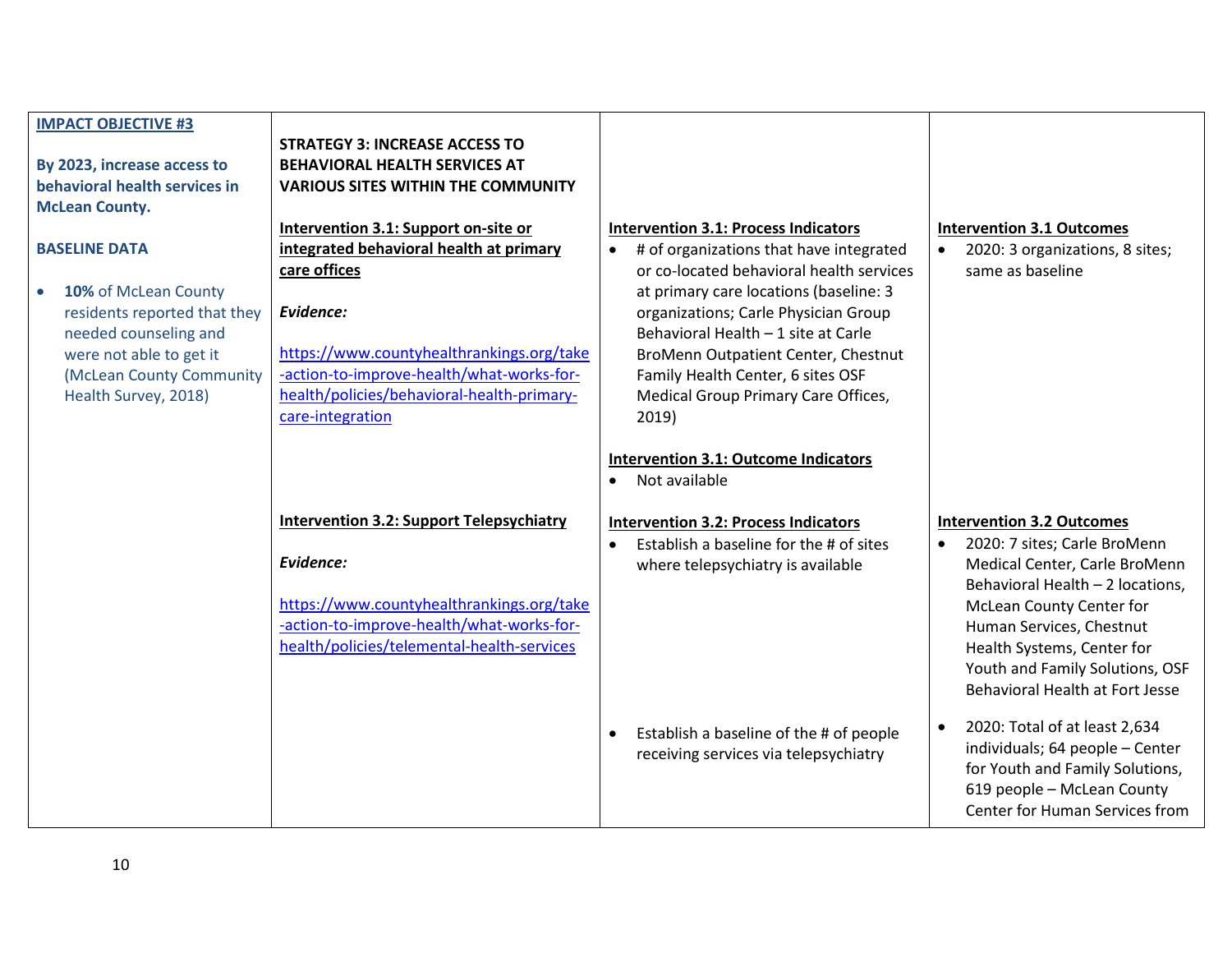| <b>IMPACT OBJECTIVE #3</b>    |                                                 |                                                      |                                                              |
|-------------------------------|-------------------------------------------------|------------------------------------------------------|--------------------------------------------------------------|
|                               | <b>STRATEGY 3: INCREASE ACCESS TO</b>           |                                                      |                                                              |
| By 2023, increase access to   | <b>BEHAVIORAL HEALTH SERVICES AT</b>            |                                                      |                                                              |
| behavioral health services in | <b>VARIOUS SITES WITHIN THE COMMUNITY</b>       |                                                      |                                                              |
| <b>McLean County.</b>         |                                                 |                                                      |                                                              |
|                               | Intervention 3.1: Support on-site or            | <b>Intervention 3.1: Process Indicators</b>          | <b>Intervention 3.1 Outcomes</b>                             |
| <b>BASELINE DATA</b>          | integrated behavioral health at primary         | # of organizations that have integrated<br>$\bullet$ | 2020: 3 organizations, 8 sites;                              |
|                               | care offices                                    | or co-located behavioral health services             | same as baseline                                             |
| 10% of McLean County          |                                                 | at primary care locations (baseline: 3               |                                                              |
| residents reported that they  | Evidence:                                       | organizations; Carle Physician Group                 |                                                              |
| needed counseling and         |                                                 | Behavioral Health - 1 site at Carle                  |                                                              |
| were not able to get it       | https://www.countyhealthrankings.org/take       | BroMenn Outpatient Center, Chestnut                  |                                                              |
| (McLean County Community      | -action-to-improve-health/what-works-for-       | Family Health Center, 6 sites OSF                    |                                                              |
|                               | health/policies/behavioral-health-primary-      |                                                      |                                                              |
| Health Survey, 2018)          |                                                 | Medical Group Primary Care Offices,                  |                                                              |
|                               | care-integration                                | 2019)                                                |                                                              |
|                               |                                                 |                                                      |                                                              |
|                               |                                                 | <b>Intervention 3.1: Outcome Indicators</b>          |                                                              |
|                               |                                                 | Not available<br>$\bullet$                           |                                                              |
|                               |                                                 |                                                      |                                                              |
|                               | <b>Intervention 3.2: Support Telepsychiatry</b> | <b>Intervention 3.2: Process Indicators</b>          | <b>Intervention 3.2 Outcomes</b>                             |
|                               |                                                 |                                                      |                                                              |
|                               |                                                 | Establish a baseline for the # of sites              | 2020: 7 sites; Carle BroMenn<br>$\bullet$                    |
|                               | Evidence:                                       | where telepsychiatry is available                    | Medical Center, Carle BroMenn                                |
|                               |                                                 |                                                      | Behavioral Health - 2 locations,                             |
|                               | https://www.countyhealthrankings.org/take       |                                                      | McLean County Center for                                     |
|                               | -action-to-improve-health/what-works-for-       |                                                      | Human Services, Chestnut                                     |
|                               | health/policies/telemental-health-services      |                                                      | Health Systems, Center for                                   |
|                               |                                                 |                                                      | Youth and Family Solutions, OSF                              |
|                               |                                                 |                                                      | Behavioral Health at Fort Jesse                              |
|                               |                                                 |                                                      |                                                              |
|                               |                                                 | Establish a baseline of the # of people              | 2020: Total of at least 2,634<br>$\bullet$                   |
|                               |                                                 | receiving services via telepsychiatry                | individuals; 64 people - Center                              |
|                               |                                                 |                                                      | for Youth and Family Solutions,                              |
|                               |                                                 |                                                      | 619 people - McLean County<br>Center for Human Services from |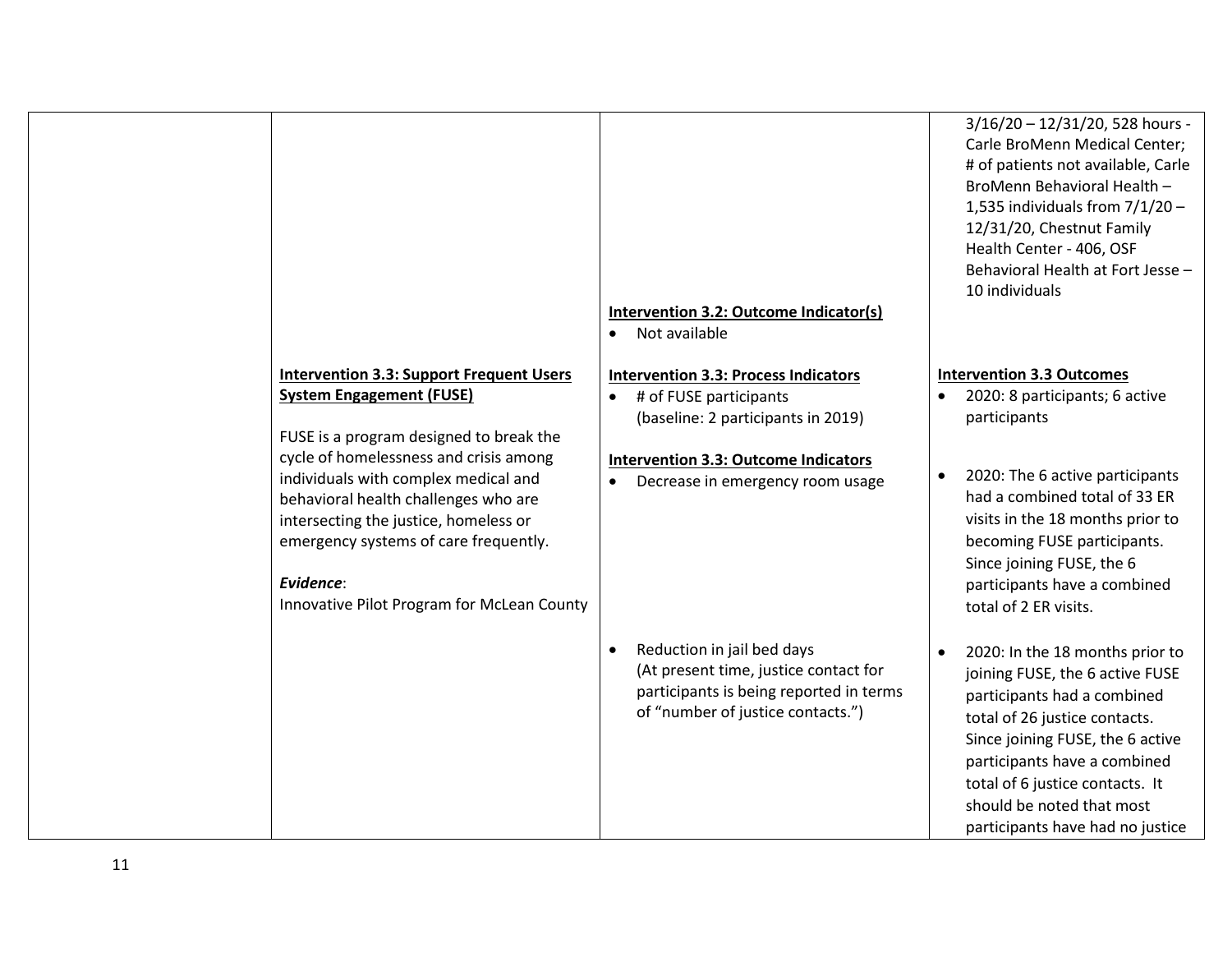|                                                                                                                                                                                                                                                                                                                                                                                                      | Intervention 3.2: Outcome Indicator(s)<br>Not available<br>$\bullet$                                                                                                                                                     | 3/16/20 - 12/31/20, 528 hours -<br>Carle BroMenn Medical Center;<br># of patients not available, Carle<br>BroMenn Behavioral Health -<br>1,535 individuals from $7/1/20$ -<br>12/31/20, Chestnut Family<br>Health Center - 406, OSF<br>Behavioral Health at Fort Jesse -<br>10 individuals                                   |
|------------------------------------------------------------------------------------------------------------------------------------------------------------------------------------------------------------------------------------------------------------------------------------------------------------------------------------------------------------------------------------------------------|--------------------------------------------------------------------------------------------------------------------------------------------------------------------------------------------------------------------------|------------------------------------------------------------------------------------------------------------------------------------------------------------------------------------------------------------------------------------------------------------------------------------------------------------------------------|
| <b>Intervention 3.3: Support Frequent Users</b><br><b>System Engagement (FUSE)</b><br>FUSE is a program designed to break the<br>cycle of homelessness and crisis among<br>individuals with complex medical and<br>behavioral health challenges who are<br>intersecting the justice, homeless or<br>emergency systems of care frequently.<br>Evidence:<br>Innovative Pilot Program for McLean County | <b>Intervention 3.3: Process Indicators</b><br># of FUSE participants<br>$\bullet$<br>(baseline: 2 participants in 2019)<br><b>Intervention 3.3: Outcome Indicators</b><br>Decrease in emergency room usage<br>$\bullet$ | <b>Intervention 3.3 Outcomes</b><br>2020: 8 participants; 6 active<br>participants<br>2020: The 6 active participants<br>$\bullet$<br>had a combined total of 33 ER<br>visits in the 18 months prior to<br>becoming FUSE participants.<br>Since joining FUSE, the 6<br>participants have a combined<br>total of 2 ER visits. |
|                                                                                                                                                                                                                                                                                                                                                                                                      | Reduction in jail bed days<br>$\bullet$<br>(At present time, justice contact for<br>participants is being reported in terms<br>of "number of justice contacts.")                                                         | 2020: In the 18 months prior to<br>$\bullet$<br>joining FUSE, the 6 active FUSE<br>participants had a combined<br>total of 26 justice contacts.<br>Since joining FUSE, the 6 active<br>participants have a combined<br>total of 6 justice contacts. It<br>should be noted that most<br>participants have had no justice      |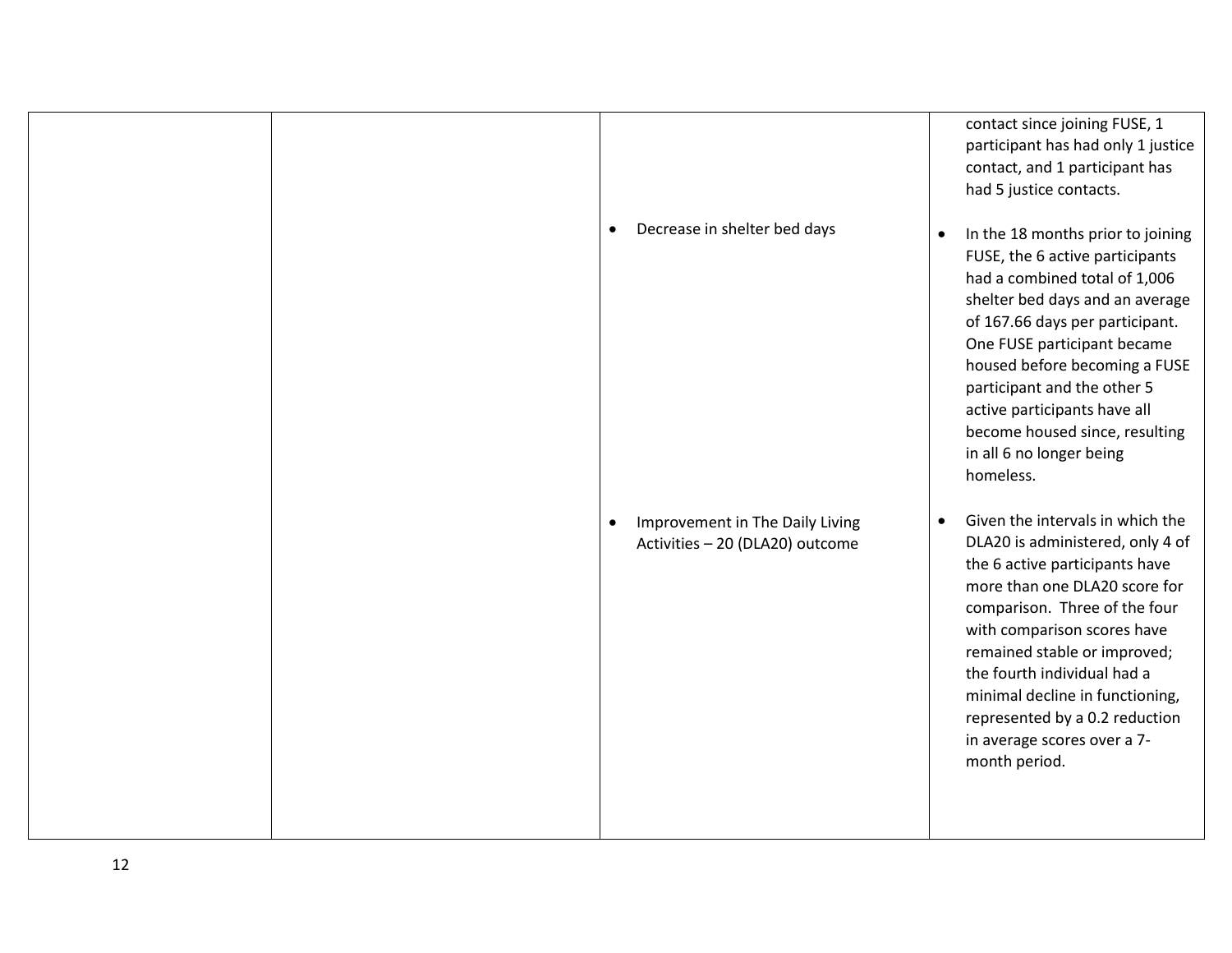|                                                                                 | contact since joining FUSE, 1<br>participant has had only 1 justice<br>contact, and 1 participant has<br>had 5 justice contacts.                                                                                                                                                                                                                                                                         |
|---------------------------------------------------------------------------------|----------------------------------------------------------------------------------------------------------------------------------------------------------------------------------------------------------------------------------------------------------------------------------------------------------------------------------------------------------------------------------------------------------|
| Decrease in shelter bed days<br>$\bullet$                                       | In the 18 months prior to joining<br>$\bullet$<br>FUSE, the 6 active participants<br>had a combined total of 1,006<br>shelter bed days and an average<br>of 167.66 days per participant.<br>One FUSE participant became<br>housed before becoming a FUSE<br>participant and the other 5<br>active participants have all<br>become housed since, resulting<br>in all 6 no longer being<br>homeless.       |
| Improvement in The Daily Living<br>$\bullet$<br>Activities - 20 (DLA20) outcome | Given the intervals in which the<br>$\bullet$<br>DLA20 is administered, only 4 of<br>the 6 active participants have<br>more than one DLA20 score for<br>comparison. Three of the four<br>with comparison scores have<br>remained stable or improved;<br>the fourth individual had a<br>minimal decline in functioning,<br>represented by a 0.2 reduction<br>in average scores over a 7-<br>month period. |
|                                                                                 |                                                                                                                                                                                                                                                                                                                                                                                                          |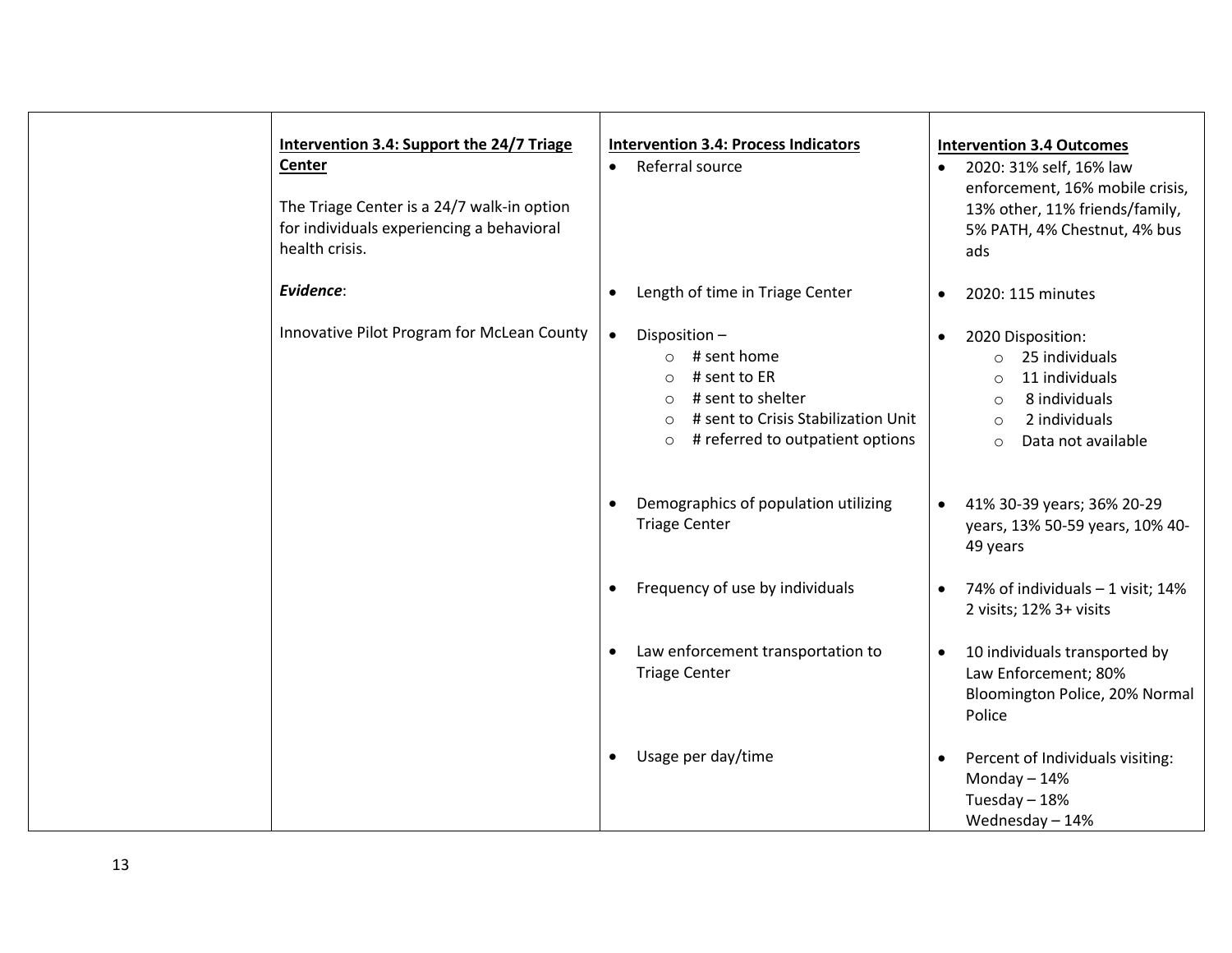| Intervention 3.4: Support the 24/7 Triage<br>Center<br>The Triage Center is a 24/7 walk-in option<br>for individuals experiencing a behavioral<br>health crisis. | <b>Intervention 3.4: Process Indicators</b><br>Referral source<br>$\bullet$                                                                                                                                   | <b>Intervention 3.4 Outcomes</b><br>• 2020: 31% self, 16% law<br>enforcement, 16% mobile crisis,<br>13% other, 11% friends/family,<br>5% PATH, 4% Chestnut, 4% bus<br>ads        |
|------------------------------------------------------------------------------------------------------------------------------------------------------------------|---------------------------------------------------------------------------------------------------------------------------------------------------------------------------------------------------------------|----------------------------------------------------------------------------------------------------------------------------------------------------------------------------------|
| Evidence:                                                                                                                                                        | Length of time in Triage Center<br>$\bullet$                                                                                                                                                                  | 2020: 115 minutes<br>$\bullet$                                                                                                                                                   |
| Innovative Pilot Program for McLean County                                                                                                                       | $\bullet$<br>Disposition-<br>$\circ$ # sent home<br># sent to ER<br>$\Omega$<br># sent to shelter<br>$\circ$<br># sent to Crisis Stabilization Unit<br>$\circ$<br># referred to outpatient options<br>$\circ$ | 2020 Disposition:<br>$\bullet$<br>$\circ$ 25 individuals<br>11 individuals<br>$\Omega$<br>8 individuals<br>$\circ$<br>2 individuals<br>$\Omega$<br>Data not available<br>$\circ$ |
|                                                                                                                                                                  | Demographics of population utilizing<br>$\bullet$<br><b>Triage Center</b>                                                                                                                                     | 41% 30-39 years; 36% 20-29<br>$\bullet$<br>years, 13% 50-59 years, 10% 40-<br>49 years                                                                                           |
|                                                                                                                                                                  | Frequency of use by individuals<br>$\bullet$                                                                                                                                                                  | 74% of individuals - 1 visit; 14%<br>$\bullet$<br>2 visits; 12% 3+ visits                                                                                                        |
|                                                                                                                                                                  | Law enforcement transportation to<br>$\bullet$<br><b>Triage Center</b>                                                                                                                                        | 10 individuals transported by<br>$\bullet$<br>Law Enforcement; 80%<br>Bloomington Police, 20% Normal<br>Police                                                                   |
|                                                                                                                                                                  | Usage per day/time<br>$\bullet$                                                                                                                                                                               | Percent of Individuals visiting:<br>$\bullet$<br>Monday $-14%$<br>Tuesday - 18%<br>Wednesday-14%                                                                                 |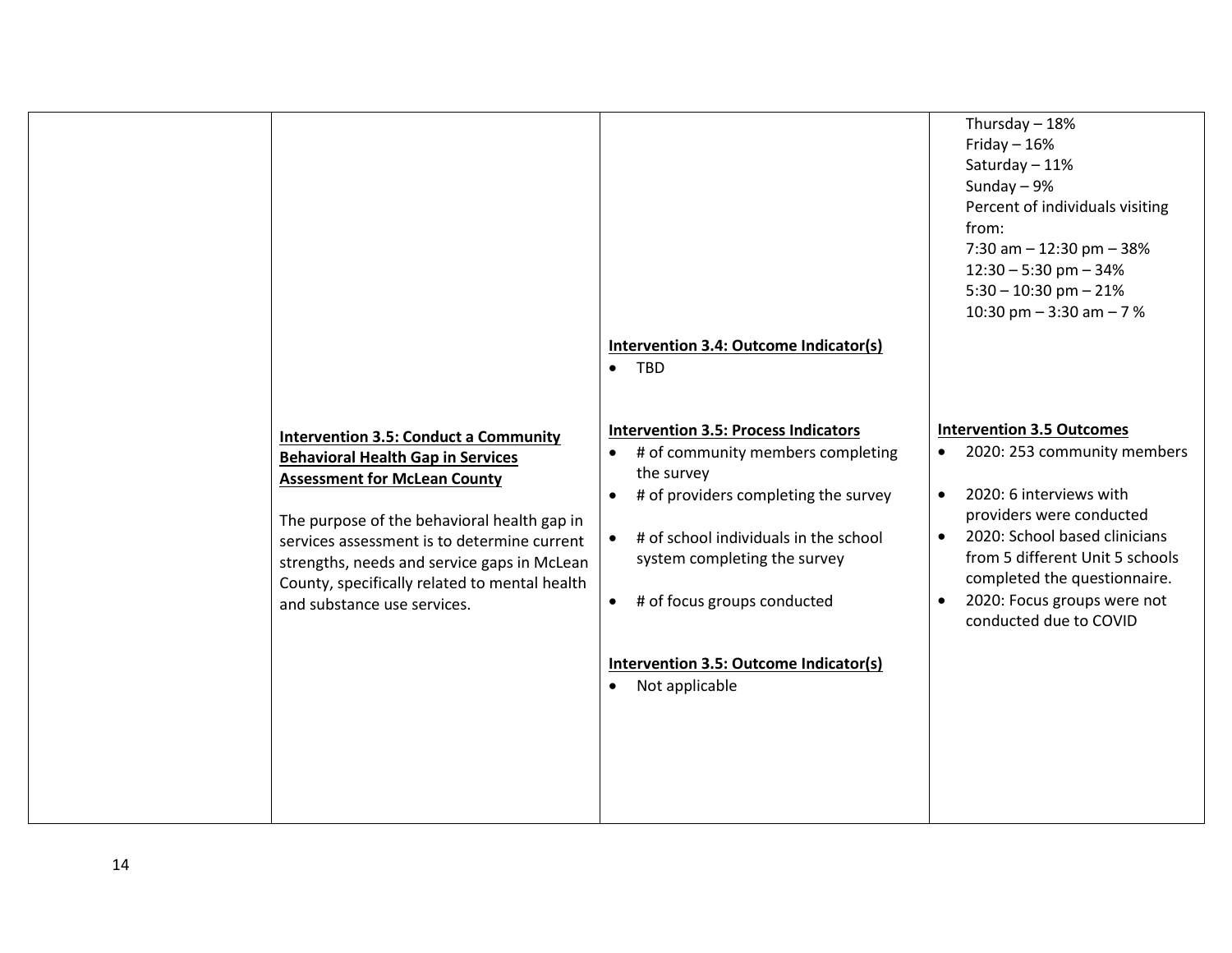|                                                                                                                                                                                                                                                                                                                                                              |                                                                                                                                                                                                                                                                                                                                                                | Thursday $-18%$<br>Friday $-16%$<br>Saturday - 11%<br>Sunday $-9%$<br>Percent of individuals visiting<br>from:<br>7:30 am $-$ 12:30 pm $-$ 38%<br>$12:30 - 5:30$ pm $- 34%$<br>$5:30 - 10:30$ pm $-21%$<br>10:30 pm $-3:30$ am $-7$ %                                                                                                   |
|--------------------------------------------------------------------------------------------------------------------------------------------------------------------------------------------------------------------------------------------------------------------------------------------------------------------------------------------------------------|----------------------------------------------------------------------------------------------------------------------------------------------------------------------------------------------------------------------------------------------------------------------------------------------------------------------------------------------------------------|-----------------------------------------------------------------------------------------------------------------------------------------------------------------------------------------------------------------------------------------------------------------------------------------------------------------------------------------|
|                                                                                                                                                                                                                                                                                                                                                              | Intervention 3.4: Outcome Indicator(s)                                                                                                                                                                                                                                                                                                                         |                                                                                                                                                                                                                                                                                                                                         |
|                                                                                                                                                                                                                                                                                                                                                              | $\bullet$ TBD                                                                                                                                                                                                                                                                                                                                                  |                                                                                                                                                                                                                                                                                                                                         |
| <b>Intervention 3.5: Conduct a Community</b><br><b>Behavioral Health Gap in Services</b><br><b>Assessment for McLean County</b><br>The purpose of the behavioral health gap in<br>services assessment is to determine current<br>strengths, needs and service gaps in McLean<br>County, specifically related to mental health<br>and substance use services. | <b>Intervention 3.5: Process Indicators</b><br># of community members completing<br>$\bullet$<br>the survey<br># of providers completing the survey<br>$\bullet$<br># of school individuals in the school<br>system completing the survey<br># of focus groups conducted<br>$\bullet$<br>Intervention 3.5: Outcome Indicator(s)<br>Not applicable<br>$\bullet$ | <b>Intervention 3.5 Outcomes</b><br>2020: 253 community members<br>$\bullet$<br>2020: 6 interviews with<br>$\bullet$<br>providers were conducted<br>2020: School based clinicians<br>$\bullet$<br>from 5 different Unit 5 schools<br>completed the questionnaire.<br>2020: Focus groups were not<br>$\bullet$<br>conducted due to COVID |
|                                                                                                                                                                                                                                                                                                                                                              |                                                                                                                                                                                                                                                                                                                                                                |                                                                                                                                                                                                                                                                                                                                         |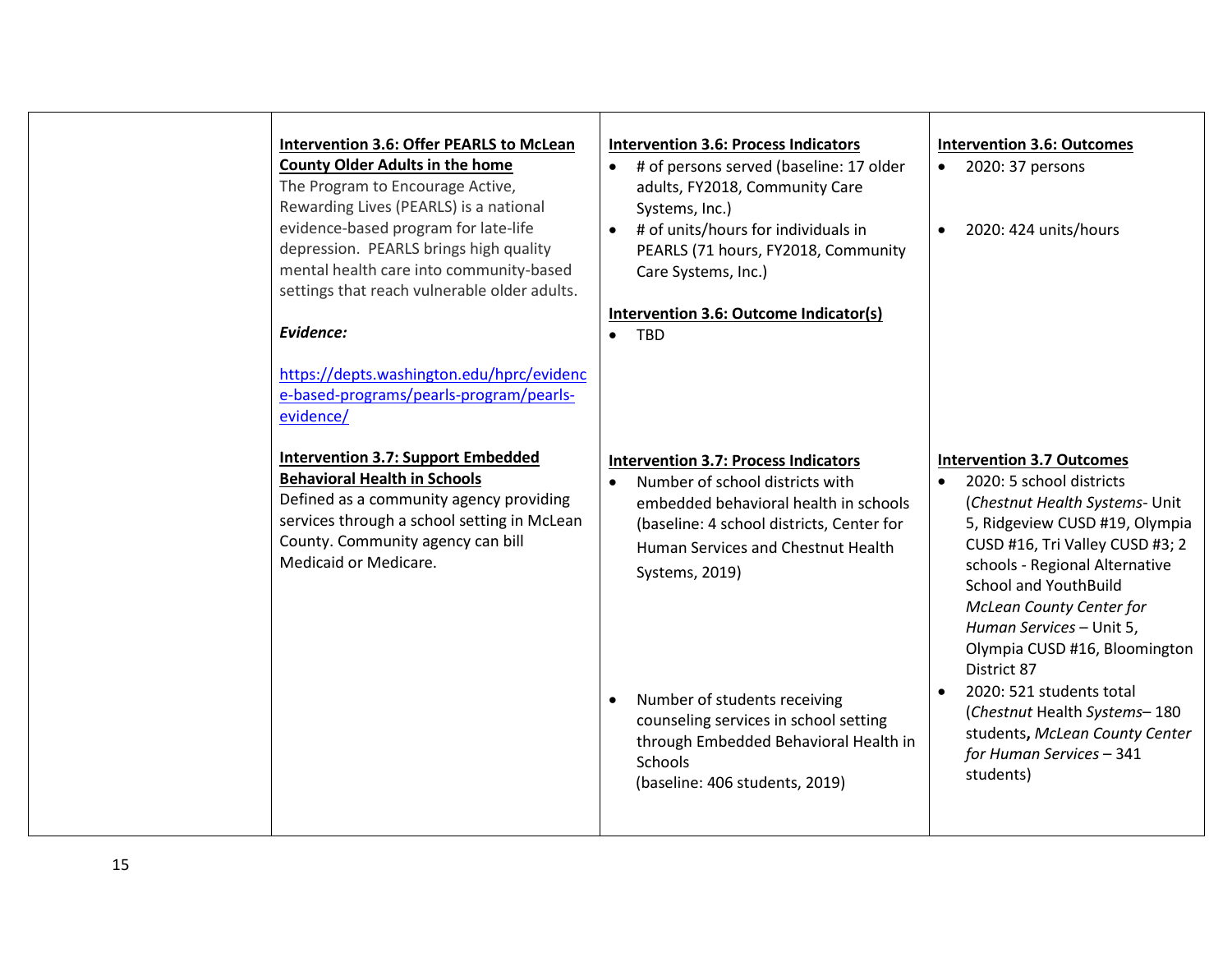| Intervention 3.6: Offer PEARLS to McLean<br><b>County Older Adults in the home</b><br>The Program to Encourage Active,<br>Rewarding Lives (PEARLS) is a national<br>evidence-based program for late-life<br>depression. PEARLS brings high quality<br>mental health care into community-based<br>settings that reach vulnerable older adults.<br>Evidence:<br>https://depts.washington.edu/hprc/evidenc<br>e-based-programs/pearls-program/pearls-<br>evidence/ | $\bullet$ | <b>Intervention 3.6: Process Indicators</b><br>• # of persons served (baseline: 17 older<br>adults, FY2018, Community Care<br>Systems, Inc.)<br>• # of units/hours for individuals in<br>PEARLS (71 hours, FY2018, Community<br>Care Systems, Inc.)<br>Intervention 3.6: Outcome Indicator(s)<br><b>TBD</b>                                                                                 | $\bullet$ | <b>Intervention 3.6: Outcomes</b><br>• 2020: 37 persons<br>2020: 424 units/hours                                                                                                                                                                                                                                                                                                                                                                                                            |
|-----------------------------------------------------------------------------------------------------------------------------------------------------------------------------------------------------------------------------------------------------------------------------------------------------------------------------------------------------------------------------------------------------------------------------------------------------------------|-----------|---------------------------------------------------------------------------------------------------------------------------------------------------------------------------------------------------------------------------------------------------------------------------------------------------------------------------------------------------------------------------------------------|-----------|---------------------------------------------------------------------------------------------------------------------------------------------------------------------------------------------------------------------------------------------------------------------------------------------------------------------------------------------------------------------------------------------------------------------------------------------------------------------------------------------|
| <b>Intervention 3.7: Support Embedded</b><br><b>Behavioral Health in Schools</b><br>Defined as a community agency providing<br>services through a school setting in McLean<br>County. Community agency can bill<br>Medicaid or Medicare.                                                                                                                                                                                                                        | $\bullet$ | <b>Intervention 3.7: Process Indicators</b><br>Number of school districts with<br>embedded behavioral health in schools<br>(baseline: 4 school districts, Center for<br>Human Services and Chestnut Health<br>Systems, 2019)<br>Number of students receiving<br>counseling services in school setting<br>through Embedded Behavioral Health in<br>Schools<br>(baseline: 406 students, 2019) | $\bullet$ | <b>Intervention 3.7 Outcomes</b><br>2020: 5 school districts<br>(Chestnut Health Systems- Unit<br>5, Ridgeview CUSD #19, Olympia<br>CUSD #16, Tri Valley CUSD #3; 2<br>schools - Regional Alternative<br><b>School and YouthBuild</b><br><b>McLean County Center for</b><br>Human Services - Unit 5,<br>Olympia CUSD #16, Bloomington<br>District 87<br>2020: 521 students total<br>(Chestnut Health Systems-180<br>students, McLean County Center<br>for Human Services - 341<br>students) |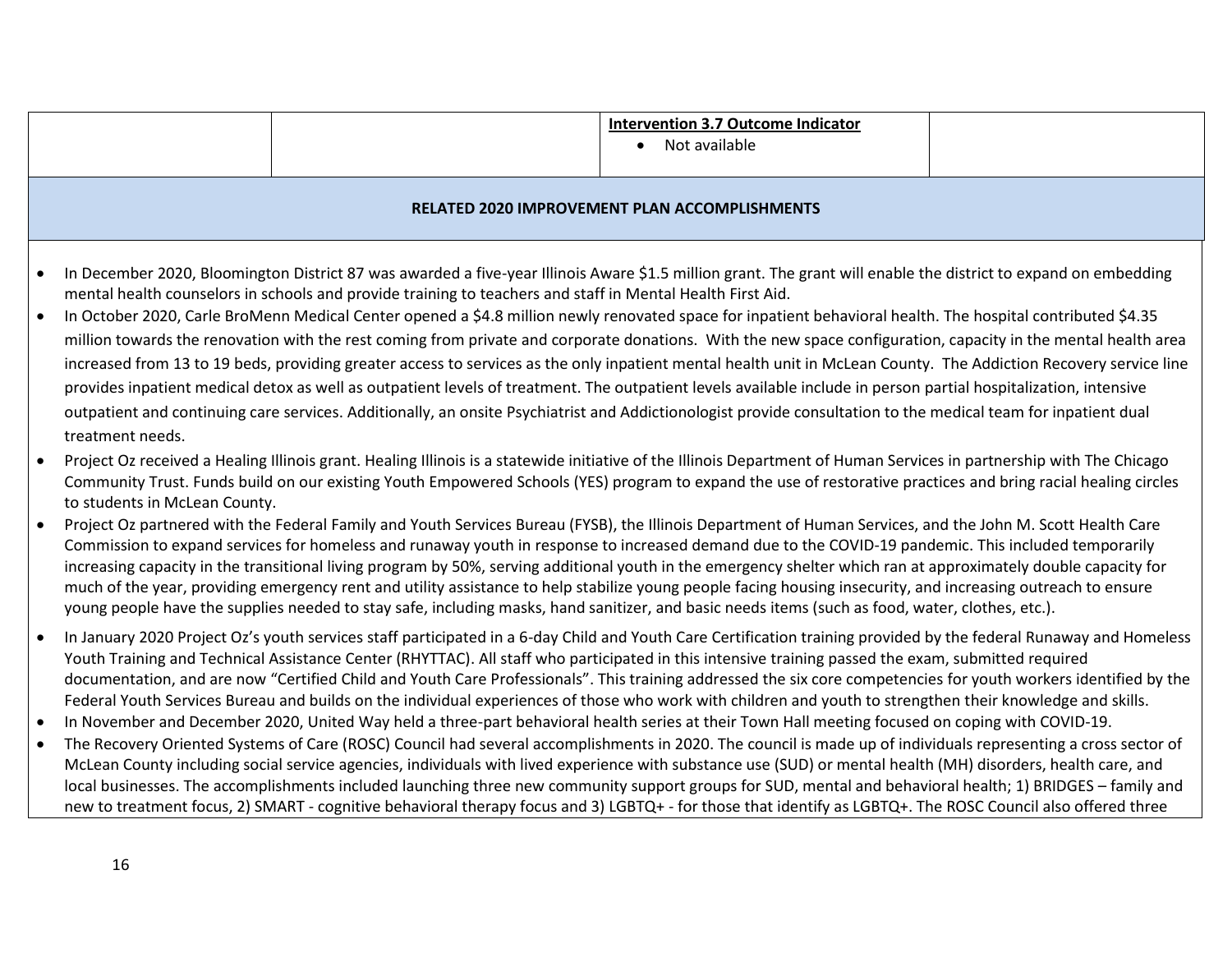|           |                                                                                                                                                                                                                                                                                                                                                                                                                                                                                                                                                                                                                                                                                                                                                                                                                 |  | <b>Intervention 3.7 Outcome Indicator</b><br>Not available<br>$\bullet$                                                                                                                                                                                                                                                                                                                                                                                                                                                                                                                                                                                       |  |  |  |
|-----------|-----------------------------------------------------------------------------------------------------------------------------------------------------------------------------------------------------------------------------------------------------------------------------------------------------------------------------------------------------------------------------------------------------------------------------------------------------------------------------------------------------------------------------------------------------------------------------------------------------------------------------------------------------------------------------------------------------------------------------------------------------------------------------------------------------------------|--|---------------------------------------------------------------------------------------------------------------------------------------------------------------------------------------------------------------------------------------------------------------------------------------------------------------------------------------------------------------------------------------------------------------------------------------------------------------------------------------------------------------------------------------------------------------------------------------------------------------------------------------------------------------|--|--|--|
|           |                                                                                                                                                                                                                                                                                                                                                                                                                                                                                                                                                                                                                                                                                                                                                                                                                 |  |                                                                                                                                                                                                                                                                                                                                                                                                                                                                                                                                                                                                                                                               |  |  |  |
|           |                                                                                                                                                                                                                                                                                                                                                                                                                                                                                                                                                                                                                                                                                                                                                                                                                 |  | <b>RELATED 2020 IMPROVEMENT PLAN ACCOMPLISHMENTS</b>                                                                                                                                                                                                                                                                                                                                                                                                                                                                                                                                                                                                          |  |  |  |
|           | In December 2020, Bloomington District 87 was awarded a five-year Illinois Aware \$1.5 million grant. The grant will enable the district to expand on embedding<br>mental health counselors in schools and provide training to teachers and staff in Mental Health First Aid.<br>In October 2020, Carle BroMenn Medical Center opened a \$4.8 million newly renovated space for inpatient behavioral health. The hospital contributed \$4.35                                                                                                                                                                                                                                                                                                                                                                    |  |                                                                                                                                                                                                                                                                                                                                                                                                                                                                                                                                                                                                                                                               |  |  |  |
|           | million towards the renovation with the rest coming from private and corporate donations. With the new space configuration, capacity in the mental health area<br>increased from 13 to 19 beds, providing greater access to services as the only inpatient mental health unit in McLean County. The Addiction Recovery service line<br>provides inpatient medical detox as well as outpatient levels of treatment. The outpatient levels available include in person partial hospitalization, intensive<br>outpatient and continuing care services. Additionally, an onsite Psychiatrist and Addictionologist provide consultation to the medical team for inpatient dual<br>treatment needs.                                                                                                                   |  |                                                                                                                                                                                                                                                                                                                                                                                                                                                                                                                                                                                                                                                               |  |  |  |
|           | to students in McLean County.                                                                                                                                                                                                                                                                                                                                                                                                                                                                                                                                                                                                                                                                                                                                                                                   |  | Project Oz received a Healing Illinois grant. Healing Illinois is a statewide initiative of the Illinois Department of Human Services in partnership with The Chicago<br>Community Trust. Funds build on our existing Youth Empowered Schools (YES) program to expand the use of restorative practices and bring racial healing circles                                                                                                                                                                                                                                                                                                                       |  |  |  |
|           | Project Oz partnered with the Federal Family and Youth Services Bureau (FYSB), the Illinois Department of Human Services, and the John M. Scott Health Care<br>Commission to expand services for homeless and runaway youth in response to increased demand due to the COVID-19 pandemic. This included temporarily<br>increasing capacity in the transitional living program by 50%, serving additional youth in the emergency shelter which ran at approximately double capacity for<br>much of the year, providing emergency rent and utility assistance to help stabilize young people facing housing insecurity, and increasing outreach to ensure<br>young people have the supplies needed to stay safe, including masks, hand sanitizer, and basic needs items (such as food, water, clothes, etc.).     |  |                                                                                                                                                                                                                                                                                                                                                                                                                                                                                                                                                                                                                                                               |  |  |  |
|           | In January 2020 Project Oz's youth services staff participated in a 6-day Child and Youth Care Certification training provided by the federal Runaway and Homeless<br>Youth Training and Technical Assistance Center (RHYTTAC). All staff who participated in this intensive training passed the exam, submitted required<br>documentation, and are now "Certified Child and Youth Care Professionals". This training addressed the six core competencies for youth workers identified by the<br>Federal Youth Services Bureau and builds on the individual experiences of those who work with children and youth to strengthen their knowledge and skills.<br>In November and December 2020, United Way held a three-part behavioral health series at their Town Hall meeting focused on coping with COVID-19. |  |                                                                                                                                                                                                                                                                                                                                                                                                                                                                                                                                                                                                                                                               |  |  |  |
| $\bullet$ |                                                                                                                                                                                                                                                                                                                                                                                                                                                                                                                                                                                                                                                                                                                                                                                                                 |  | The Recovery Oriented Systems of Care (ROSC) Council had several accomplishments in 2020. The council is made up of individuals representing a cross sector of<br>McLean County including social service agencies, individuals with lived experience with substance use (SUD) or mental health (MH) disorders, health care, and<br>local businesses. The accomplishments included launching three new community support groups for SUD, mental and behavioral health; 1) BRIDGES - family and<br>new to treatment focus, 2) SMART - cognitive behavioral therapy focus and 3) LGBTQ+ - for those that identify as LGBTQ+. The ROSC Council also offered three |  |  |  |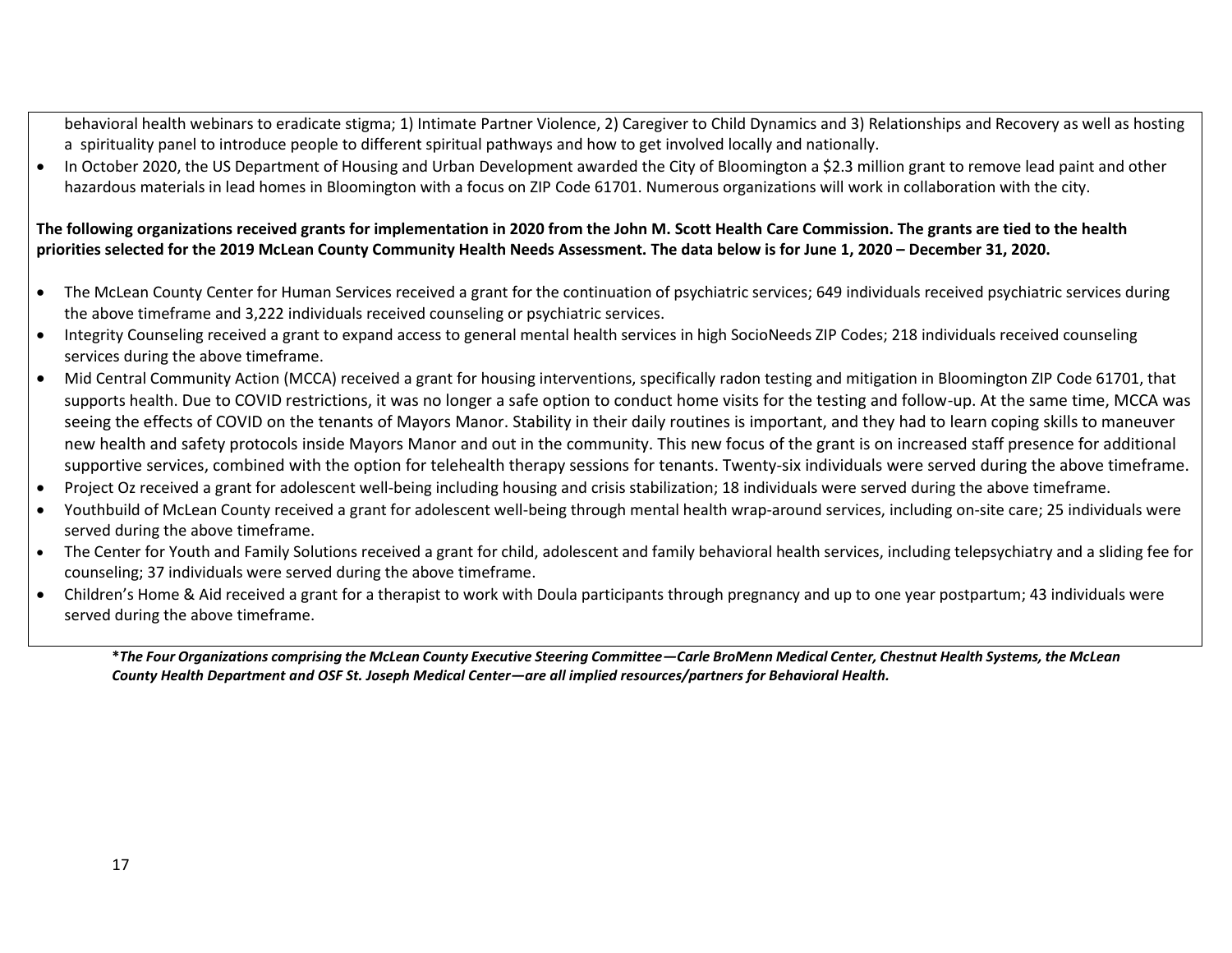behavioral health webinars to eradicate stigma; 1) Intimate Partner Violence, 2) Caregiver to Child Dynamics and 3) Relationships and Recovery as well as hosting a spirituality panel to introduce people to different spiritual pathways and how to get involved locally and nationally.

• In October 2020, the US Department of Housing and Urban Development awarded the City of Bloomington a \$2.3 million grant to remove lead paint and other hazardous materials in lead homes in Bloomington with a focus on ZIP Code 61701. Numerous organizations will work in collaboration with the city.

**The following organizations received grants for implementation in 2020 from the John M. Scott Health Care Commission. The grants are tied to the health priorities selected for the 2019 McLean County Community Health Needs Assessment. The data below is for June 1, 2020 – December 31, 2020.** 

- The McLean County Center for Human Services received a grant for the continuation of psychiatric services; 649 individuals received psychiatric services during the above timeframe and 3,222 individuals received counseling or psychiatric services.
- Integrity Counseling received a grant to expand access to general mental health services in high SocioNeeds ZIP Codes; 218 individuals received counseling services during the above timeframe.
- Mid Central Community Action (MCCA) received a grant for housing interventions, specifically radon testing and mitigation in Bloomington ZIP Code 61701, that supports health. Due to COVID restrictions, it was no longer a safe option to conduct home visits for the testing and follow-up. At the same time, MCCA was seeing the effects of COVID on the tenants of Mayors Manor. Stability in their daily routines is important, and they had to learn coping skills to maneuver new health and safety protocols inside Mayors Manor and out in the community. This new focus of the grant is on increased staff presence for additional supportive services, combined with the option for telehealth therapy sessions for tenants. Twenty-six individuals were served during the above timeframe.
- Project Oz received a grant for adolescent well-being including housing and crisis stabilization; 18 individuals were served during the above timeframe.
- Youthbuild of McLean County received a grant for adolescent well-being through mental health wrap-around services, including on-site care; 25 individuals were served during the above timeframe.
- The Center for Youth and Family Solutions received a grant for child, adolescent and family behavioral health services, including telepsychiatry and a sliding fee for counseling; 37 individuals were served during the above timeframe.
- Children's Home & Aid received a grant for a therapist to work with Doula participants through pregnancy and up to one year postpartum; 43 individuals were served during the above timeframe.

**\****The Four Organizations comprising the McLean County Executive Steering Committee—Carle BroMenn Medical Center, Chestnut Health Systems, the McLean County Health Department and OSF St. Joseph Medical Center—are all implied resources/partners for Behavioral Health.*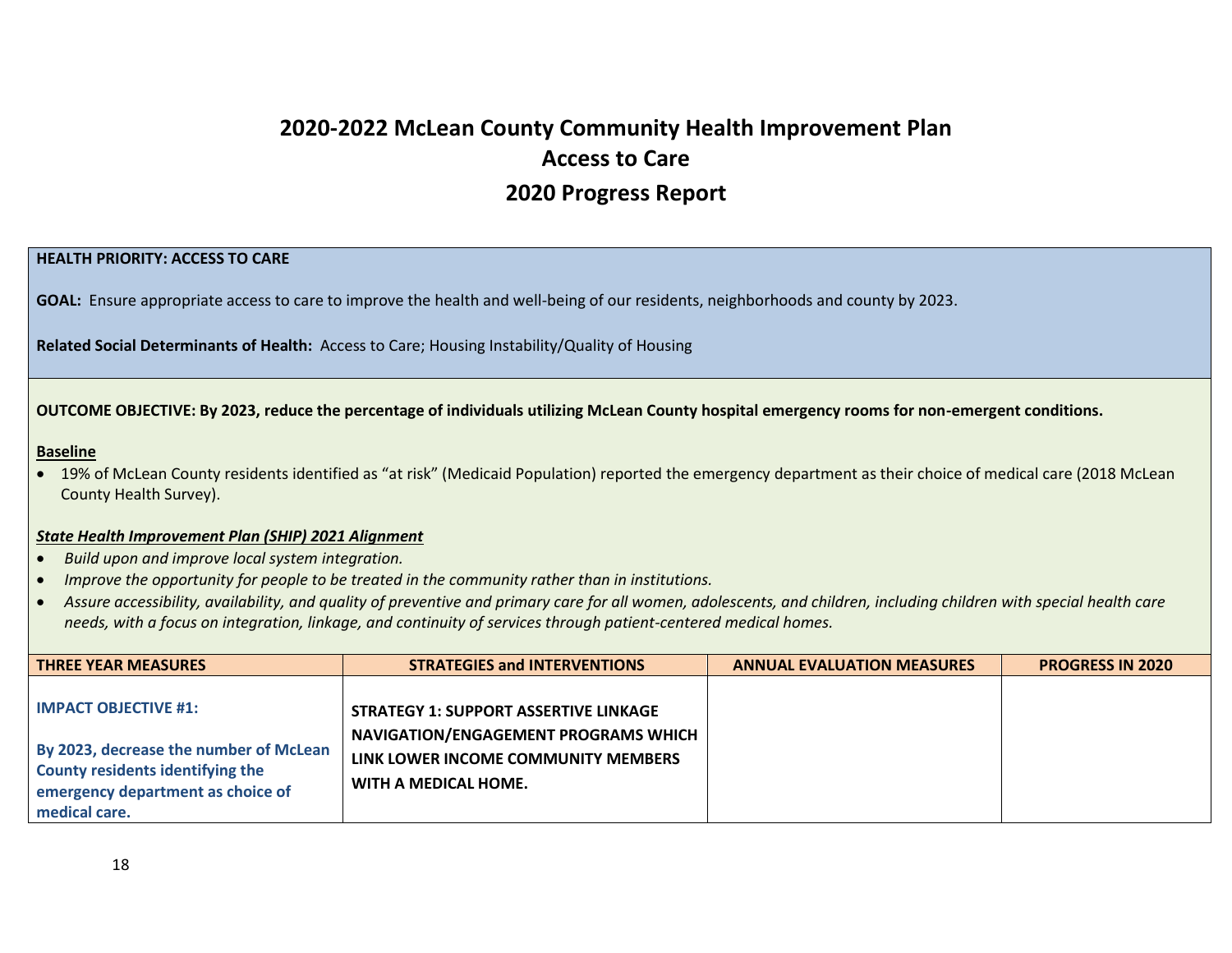## **2020-2022 McLean County Community Health Improvement Plan Access to Care 2020 Progress Report**

#### **HEALTH PRIORITY: ACCESS TO CARE**

**GOAL:** Ensure appropriate access to care to improve the health and well-being of our residents, neighborhoods and county by 2023.

**Related Social Determinants of Health:** Access to Care; Housing Instability/Quality of Housing

#### **OUTCOME OBJECTIVE: By 2023, reduce the percentage of individuals utilizing McLean County hospital emergency rooms for non-emergent conditions.**

#### **Baseline**

• 19% of McLean County residents identified as "at risk" (Medicaid Population) reported the emergency department as their choice of medical care (2018 McLean County Health Survey).

#### *State Health Improvement Plan (SHIP) 2021 Alignment*

- *Build upon and improve local system integration.*
- *Improve the opportunity for people to be treated in the community rather than in institutions.*
- *Assure accessibility, availability, and quality of preventive and primary care for all women, adolescents, and children, including children with special health care needs, with a focus on integration, linkage, and continuity of services through patient-centered medical homes.*

| <b>THREE YEAR MEASURES</b>                                                             | <b>STRATEGIES and INTERVENTIONS</b>                                                         | <b>ANNUAL EVALUATION MEASURES</b> | <b>PROGRESS IN 2020</b> |
|----------------------------------------------------------------------------------------|---------------------------------------------------------------------------------------------|-----------------------------------|-------------------------|
| $\blacksquare$ IMPACT OBJECTIVE #1:<br>By 2023, decrease the number of McLean          | <b>STRATEGY 1: SUPPORT ASSERTIVE LINKAGE</b><br><b>NAVIGATION/ENGAGEMENT PROGRAMS WHICH</b> |                                   |                         |
| County residents identifying the<br>emergency department as choice of<br>medical care. | LINK LOWER INCOME COMMUNITY MEMBERS<br>WITH A MEDICAL HOME.                                 |                                   |                         |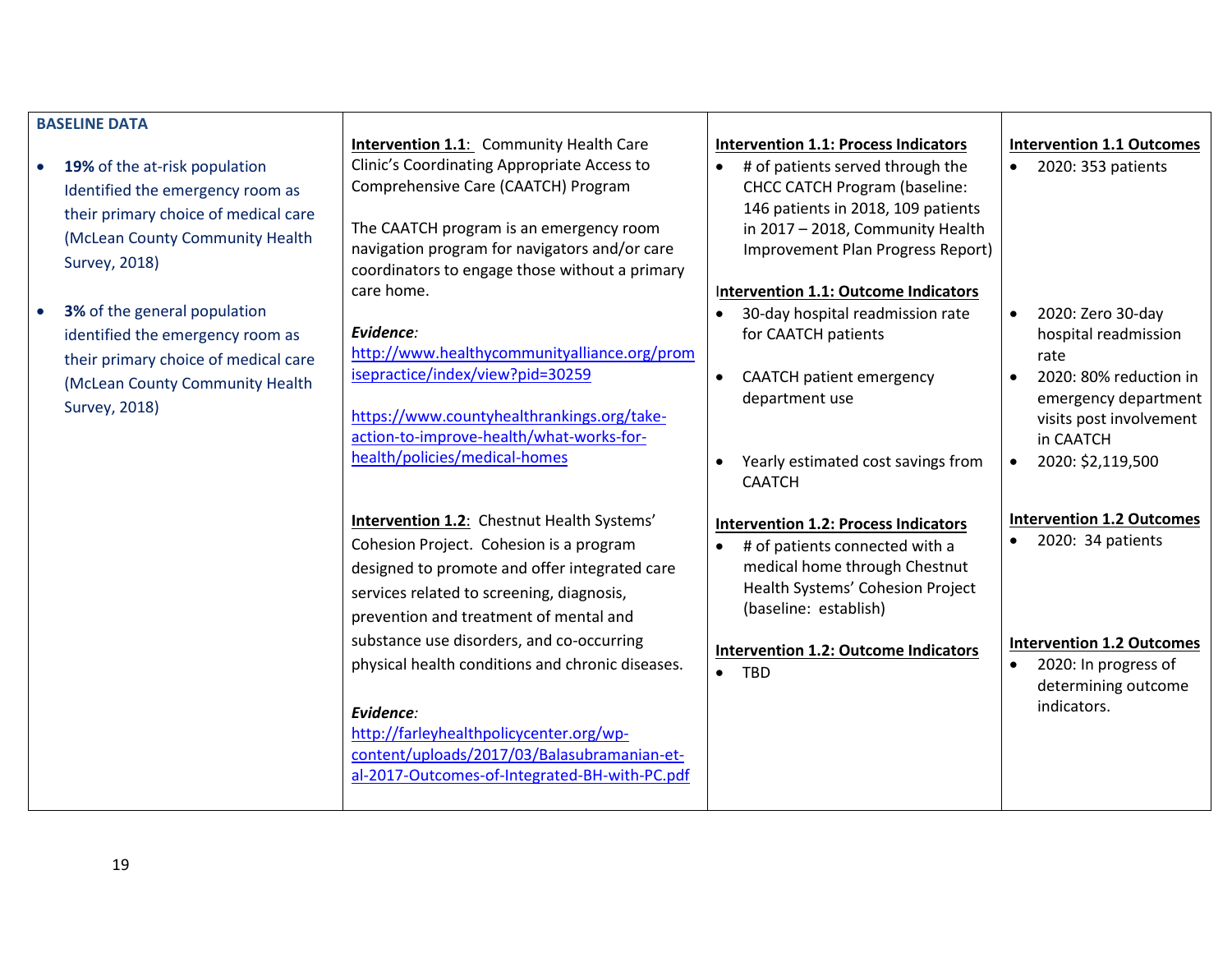|                        | <b>BASELINE DATA</b>                                                                                                                                                                                                                     |                                                                                                                                                                                                                                                                                                                                                                                                                                                                                               |                                                                                                                                                                                                                                                                                                                                           |                                                                                                                                                                      |
|------------------------|------------------------------------------------------------------------------------------------------------------------------------------------------------------------------------------------------------------------------------------|-----------------------------------------------------------------------------------------------------------------------------------------------------------------------------------------------------------------------------------------------------------------------------------------------------------------------------------------------------------------------------------------------------------------------------------------------------------------------------------------------|-------------------------------------------------------------------------------------------------------------------------------------------------------------------------------------------------------------------------------------------------------------------------------------------------------------------------------------------|----------------------------------------------------------------------------------------------------------------------------------------------------------------------|
| $\bullet$<br>$\bullet$ | 19% of the at-risk population<br>Identified the emergency room as<br>their primary choice of medical care<br>(McLean County Community Health<br><b>Survey, 2018)</b><br>3% of the general population<br>identified the emergency room as | Intervention 1.1: Community Health Care<br>Clinic's Coordinating Appropriate Access to<br>Comprehensive Care (CAATCH) Program<br>The CAATCH program is an emergency room<br>navigation program for navigators and/or care<br>coordinators to engage those without a primary<br>care home.<br>Evidence:                                                                                                                                                                                        | <b>Intervention 1.1: Process Indicators</b><br># of patients served through the<br><b>CHCC CATCH Program (baseline:</b><br>146 patients in 2018, 109 patients<br>in 2017 - 2018, Community Health<br>Improvement Plan Progress Report)<br>Intervention 1.1: Outcome Indicators<br>30-day hospital readmission rate<br>for CAATCH patients | <b>Intervention 1.1 Outcomes</b><br>2020: 353 patients<br>2020: Zero 30-day<br>$\bullet$<br>hospital readmission                                                     |
|                        | their primary choice of medical care<br>(McLean County Community Health<br><b>Survey, 2018)</b>                                                                                                                                          | http://www.healthycommunityalliance.org/prom<br>isepractice/index/view?pid=30259<br>https://www.countyhealthrankings.org/take-<br>action-to-improve-health/what-works-for-<br>health/policies/medical-homes                                                                                                                                                                                                                                                                                   | <b>CAATCH patient emergency</b><br>$\bullet$<br>department use<br>Yearly estimated cost savings from<br>$\bullet$<br><b>CAATCH</b>                                                                                                                                                                                                        | rate<br>2020: 80% reduction in<br>$\bullet$<br>emergency department<br>visits post involvement<br>in CAATCH<br>2020: \$2,119,500<br>$\bullet$                        |
|                        |                                                                                                                                                                                                                                          | <b>Intervention 1.2:</b> Chestnut Health Systems'<br>Cohesion Project. Cohesion is a program<br>designed to promote and offer integrated care<br>services related to screening, diagnosis,<br>prevention and treatment of mental and<br>substance use disorders, and co-occurring<br>physical health conditions and chronic diseases.<br>Evidence:<br>http://farleyhealthpolicycenter.org/wp-<br>content/uploads/2017/03/Balasubramanian-et-<br>al-2017-Outcomes-of-Integrated-BH-with-PC.pdf | <b>Intervention 1.2: Process Indicators</b><br># of patients connected with a<br>$\bullet$<br>medical home through Chestnut<br>Health Systems' Cohesion Project<br>(baseline: establish)<br><b>Intervention 1.2: Outcome Indicators</b><br>$\bullet$<br><b>TBD</b>                                                                        | <b>Intervention 1.2 Outcomes</b><br>2020: 34 patients<br>$\bullet$<br><b>Intervention 1.2 Outcomes</b><br>2020: In progress of<br>determining outcome<br>indicators. |

19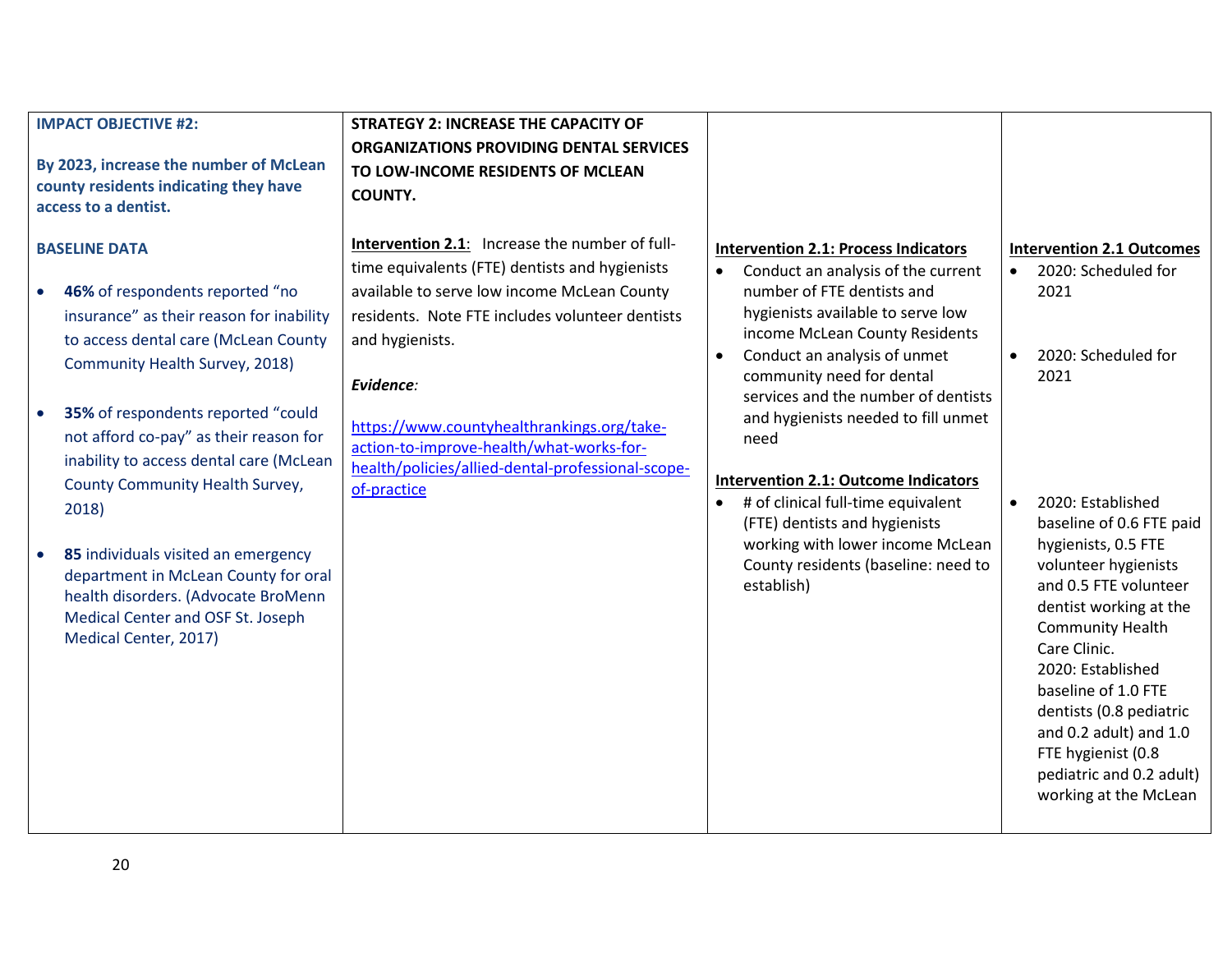| <b>IMPACT OBJECTIVE #2:</b><br>By 2023, increase the number of McLean<br>county residents indicating they have<br>access to a dentist.                                                                                                                                                                                                                                            | <b>STRATEGY 2: INCREASE THE CAPACITY OF</b><br>ORGANIZATIONS PROVIDING DENTAL SERVICES<br>TO LOW-INCOME RESIDENTS OF MCLEAN<br><b>COUNTY.</b>                                                                                      |                                                                                                                                                                                                                                                                                                                      |                                                                                                                                                                                                                                                                                                                                                                                     |
|-----------------------------------------------------------------------------------------------------------------------------------------------------------------------------------------------------------------------------------------------------------------------------------------------------------------------------------------------------------------------------------|------------------------------------------------------------------------------------------------------------------------------------------------------------------------------------------------------------------------------------|----------------------------------------------------------------------------------------------------------------------------------------------------------------------------------------------------------------------------------------------------------------------------------------------------------------------|-------------------------------------------------------------------------------------------------------------------------------------------------------------------------------------------------------------------------------------------------------------------------------------------------------------------------------------------------------------------------------------|
| <b>BASELINE DATA</b><br>46% of respondents reported "no<br>$\bullet$<br>insurance" as their reason for inability<br>to access dental care (McLean County<br>Community Health Survey, 2018)                                                                                                                                                                                        | Intervention 2.1: Increase the number of full-<br>time equivalents (FTE) dentists and hygienists<br>available to serve low income McLean County<br>residents. Note FTE includes volunteer dentists<br>and hygienists.<br>Evidence: | <b>Intervention 2.1: Process Indicators</b><br>Conduct an analysis of the current<br>$\bullet$<br>number of FTE dentists and<br>hygienists available to serve low<br>income McLean County Residents<br>Conduct an analysis of unmet<br>$\bullet$<br>community need for dental<br>services and the number of dentists | <b>Intervention 2.1 Outcomes</b><br>2020: Scheduled for<br>$\bullet$<br>2021<br>2020: Scheduled for<br>$\bullet$<br>2021                                                                                                                                                                                                                                                            |
| 35% of respondents reported "could<br>$\bullet$<br>not afford co-pay" as their reason for<br>inability to access dental care (McLean<br>County Community Health Survey,<br>2018)<br>85 individuals visited an emergency<br>$\bullet$<br>department in McLean County for oral<br>health disorders. (Advocate BroMenn<br>Medical Center and OSF St. Joseph<br>Medical Center, 2017) | https://www.countyhealthrankings.org/take-<br>action-to-improve-health/what-works-for-<br>health/policies/allied-dental-professional-scope-<br>of-practice                                                                         | and hygienists needed to fill unmet<br>need<br><b>Intervention 2.1: Outcome Indicators</b><br># of clinical full-time equivalent<br>(FTE) dentists and hygienists<br>working with lower income McLean<br>County residents (baseline: need to<br>establish)                                                           | 2020: Established<br>$\bullet$<br>baseline of 0.6 FTE paid<br>hygienists, 0.5 FTE<br>volunteer hygienists<br>and 0.5 FTE volunteer<br>dentist working at the<br><b>Community Health</b><br>Care Clinic.<br>2020: Established<br>baseline of 1.0 FTE<br>dentists (0.8 pediatric<br>and 0.2 adult) and 1.0<br>FTE hygienist (0.8<br>pediatric and 0.2 adult)<br>working at the McLean |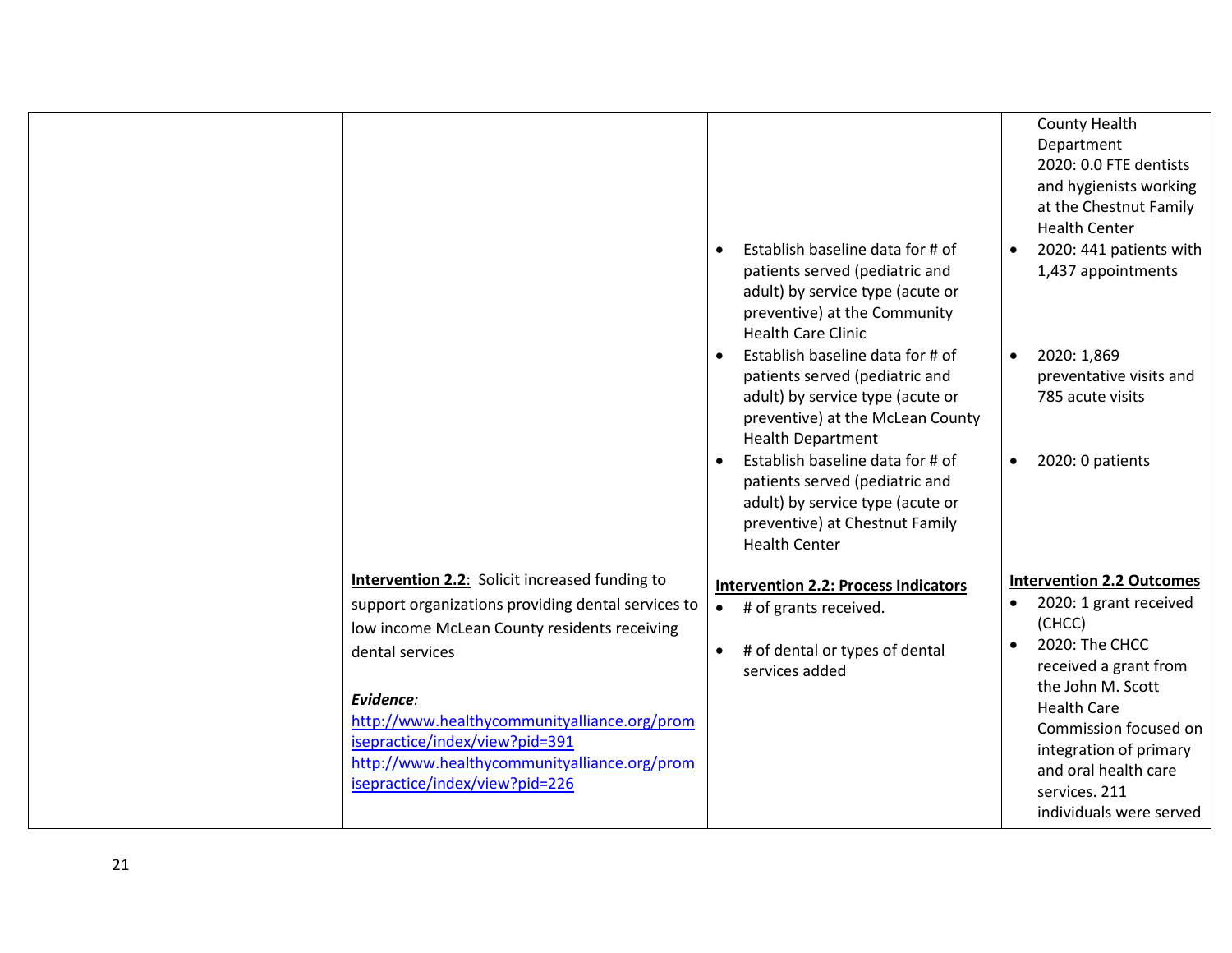|                                                                                                             | Establish baseline data for # of<br>$\bullet$<br>patients served (pediatric and<br>adult) by service type (acute or<br>preventive) at the Community<br><b>Health Care Clinic</b><br>Establish baseline data for # of<br>patients served (pediatric and<br>adult) by service type (acute or<br>preventive) at the McLean County<br><b>Health Department</b><br>Establish baseline data for # of<br>patients served (pediatric and<br>adult) by service type (acute or | County Health<br>Department<br>2020: 0.0 FTE dentists<br>and hygienists working<br>at the Chestnut Family<br><b>Health Center</b><br>2020: 441 patients with<br>1,437 appointments<br>2020: 1,869<br>preventative visits and<br>785 acute visits<br>2020: 0 patients |
|-------------------------------------------------------------------------------------------------------------|----------------------------------------------------------------------------------------------------------------------------------------------------------------------------------------------------------------------------------------------------------------------------------------------------------------------------------------------------------------------------------------------------------------------------------------------------------------------|----------------------------------------------------------------------------------------------------------------------------------------------------------------------------------------------------------------------------------------------------------------------|
|                                                                                                             | preventive) at Chestnut Family<br><b>Health Center</b>                                                                                                                                                                                                                                                                                                                                                                                                               |                                                                                                                                                                                                                                                                      |
| <b>Intervention 2.2:</b> Solicit increased funding to<br>support organizations providing dental services to | <b>Intervention 2.2: Process Indicators</b>                                                                                                                                                                                                                                                                                                                                                                                                                          | <b>Intervention 2.2 Outcomes</b><br>2020: 1 grant received<br>$\bullet$                                                                                                                                                                                              |
| low income McLean County residents receiving                                                                | # of grants received.<br>$\bullet$                                                                                                                                                                                                                                                                                                                                                                                                                                   | (CHCC)                                                                                                                                                                                                                                                               |
| dental services                                                                                             | # of dental or types of dental<br>$\bullet$<br>services added                                                                                                                                                                                                                                                                                                                                                                                                        | 2020: The CHCC<br>received a grant from                                                                                                                                                                                                                              |
| Evidence:                                                                                                   |                                                                                                                                                                                                                                                                                                                                                                                                                                                                      | the John M. Scott<br><b>Health Care</b>                                                                                                                                                                                                                              |
| http://www.healthycommunityalliance.org/prom<br>isepractice/index/view?pid=391                              |                                                                                                                                                                                                                                                                                                                                                                                                                                                                      | Commission focused on<br>integration of primary                                                                                                                                                                                                                      |
| http://www.healthycommunityalliance.org/prom<br>isepractice/index/view?pid=226                              |                                                                                                                                                                                                                                                                                                                                                                                                                                                                      | and oral health care<br>services. 211<br>individuals were served                                                                                                                                                                                                     |
|                                                                                                             |                                                                                                                                                                                                                                                                                                                                                                                                                                                                      |                                                                                                                                                                                                                                                                      |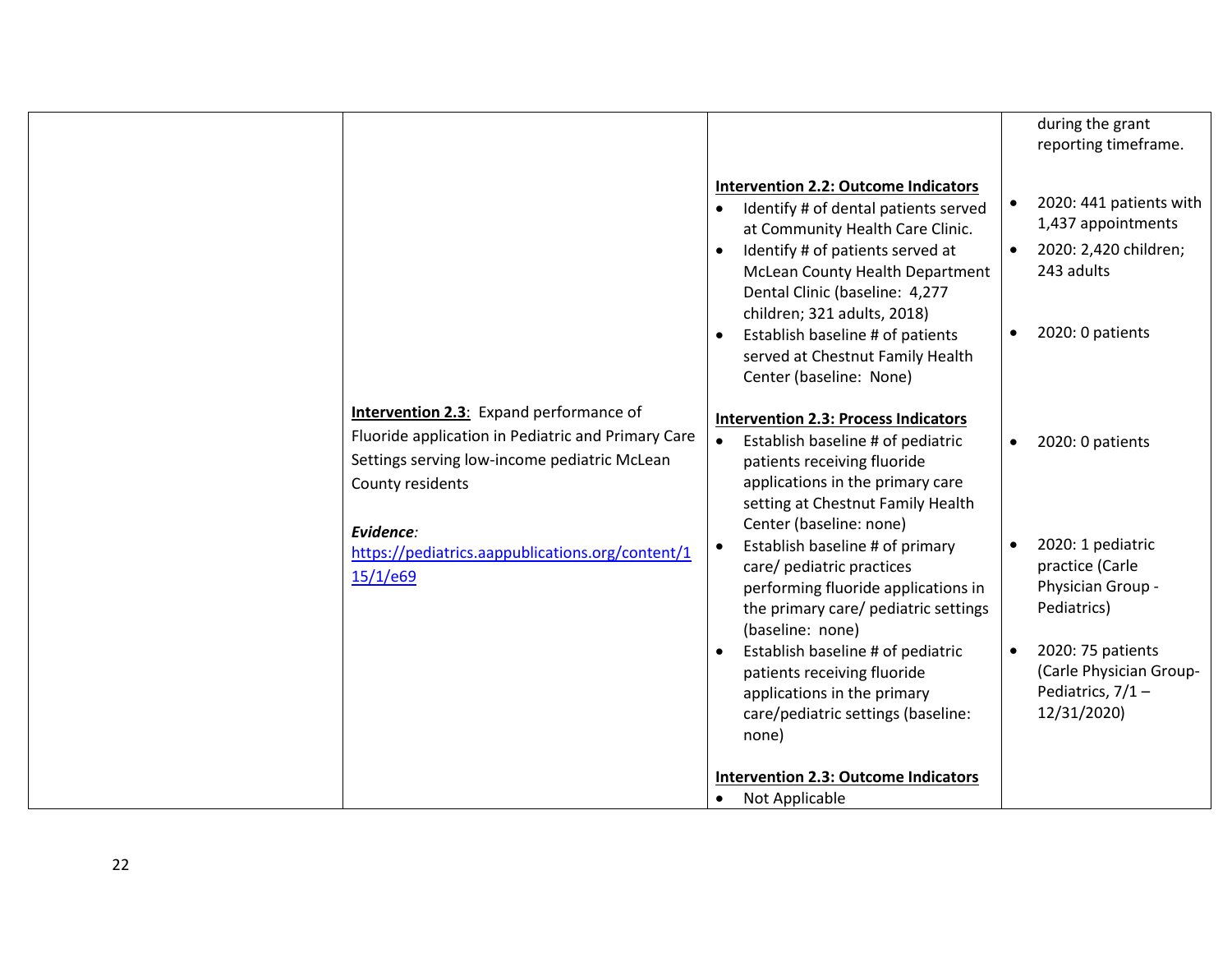|                                                                                                                                                                                       |                                                                                                                                                                                                                                                                                                                                                                    | during the grant<br>reporting timeframe.                                                                                           |
|---------------------------------------------------------------------------------------------------------------------------------------------------------------------------------------|--------------------------------------------------------------------------------------------------------------------------------------------------------------------------------------------------------------------------------------------------------------------------------------------------------------------------------------------------------------------|------------------------------------------------------------------------------------------------------------------------------------|
|                                                                                                                                                                                       | <b>Intervention 2.2: Outcome Indicators</b><br>Identify # of dental patients served<br>at Community Health Care Clinic.<br>Identify # of patients served at<br>McLean County Health Department<br>Dental Clinic (baseline: 4,277<br>children; 321 adults, 2018)<br>Establish baseline # of patients<br>served at Chestnut Family Health<br>Center (baseline: None) | 2020: 441 patients with<br>$\bullet$<br>1,437 appointments<br>2020: 2,420 children;<br>$\bullet$<br>243 adults<br>2020: 0 patients |
| <b>Intervention 2.3:</b> Expand performance of<br>Fluoride application in Pediatric and Primary Care<br>Settings serving low-income pediatric McLean<br>County residents<br>Evidence: | <b>Intervention 2.3: Process Indicators</b><br>Establish baseline # of pediatric<br>patients receiving fluoride<br>applications in the primary care<br>setting at Chestnut Family Health<br>Center (baseline: none)                                                                                                                                                | 2020: 0 patients<br>$\bullet$                                                                                                      |
| https://pediatrics.aappublications.org/content/1<br>15/1/e69                                                                                                                          | Establish baseline # of primary<br>care/ pediatric practices<br>performing fluoride applications in<br>the primary care/ pediatric settings<br>(baseline: none)                                                                                                                                                                                                    | 2020: 1 pediatric<br>practice (Carle<br>Physician Group -<br>Pediatrics)                                                           |
|                                                                                                                                                                                       | Establish baseline # of pediatric<br>patients receiving fluoride<br>applications in the primary<br>care/pediatric settings (baseline:<br>none)                                                                                                                                                                                                                     | 2020: 75 patients<br>$\bullet$<br>(Carle Physician Group-<br>Pediatrics, $7/1 -$<br>12/31/2020)                                    |
|                                                                                                                                                                                       | <b>Intervention 2.3: Outcome Indicators</b><br>Not Applicable                                                                                                                                                                                                                                                                                                      |                                                                                                                                    |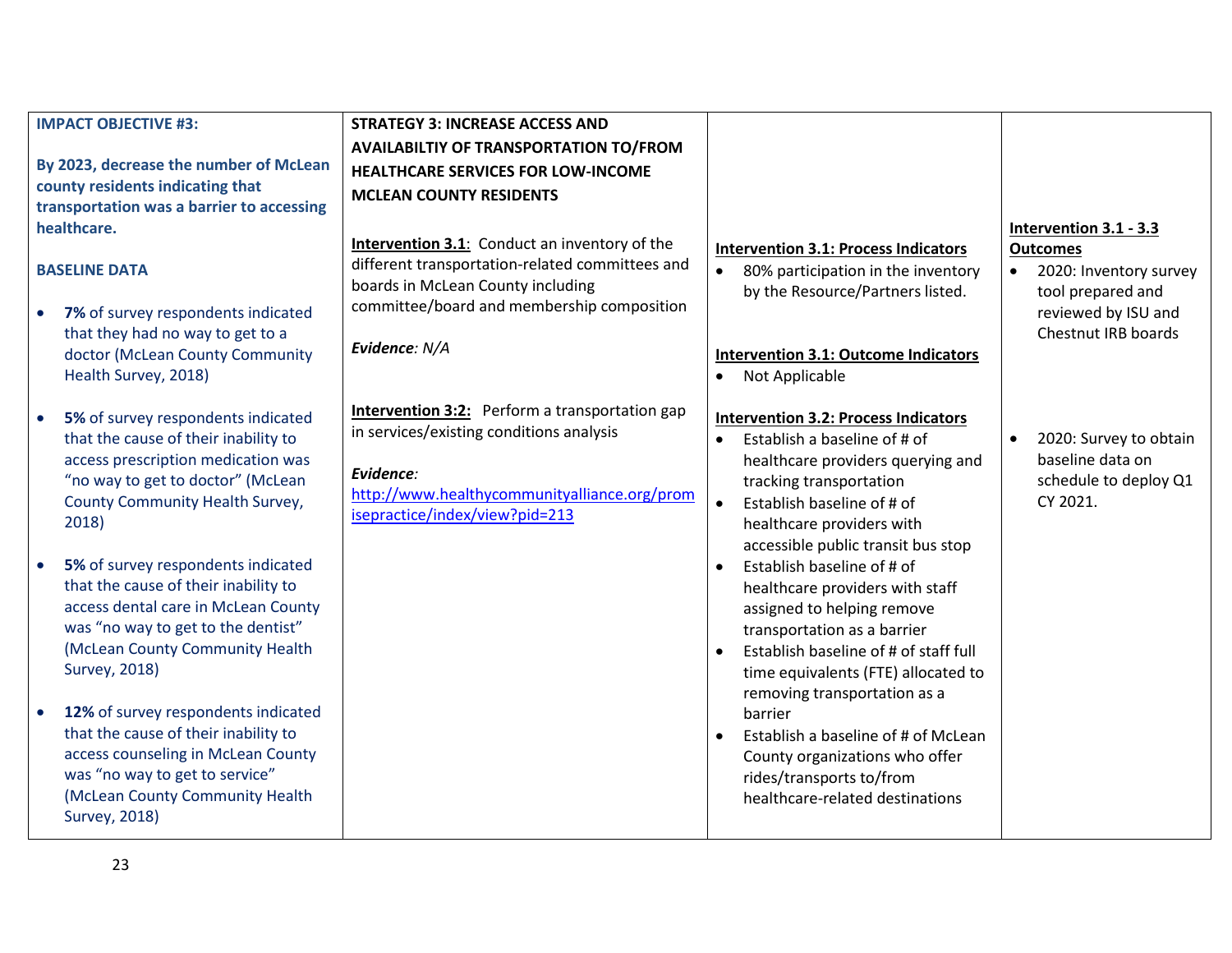|           | <b>IMPACT OBJECTIVE #3:</b>                                                                                                                                                                                        | <b>STRATEGY 3: INCREASE ACCESS AND</b>                                                                                                                                                           |                        |                                                                                                                                                                                                                                              |           |                                                                                           |
|-----------|--------------------------------------------------------------------------------------------------------------------------------------------------------------------------------------------------------------------|--------------------------------------------------------------------------------------------------------------------------------------------------------------------------------------------------|------------------------|----------------------------------------------------------------------------------------------------------------------------------------------------------------------------------------------------------------------------------------------|-----------|-------------------------------------------------------------------------------------------|
|           | By 2023, decrease the number of McLean<br>county residents indicating that<br>transportation was a barrier to accessing<br>healthcare.                                                                             | <b>AVAILABILTIY OF TRANSPORTATION TO/FROM</b><br><b>HEALTHCARE SERVICES FOR LOW-INCOME</b><br><b>MCLEAN COUNTY RESIDENTS</b><br><b>Intervention 3.1:</b> Conduct an inventory of the             |                        | <b>Intervention 3.1: Process Indicators</b>                                                                                                                                                                                                  |           | Intervention 3.1 - 3.3<br><b>Outcomes</b>                                                 |
|           | <b>BASELINE DATA</b><br>7% of survey respondents indicated<br>that they had no way to get to a<br>doctor (McLean County Community<br>Health Survey, 2018)                                                          | different transportation-related committees and<br>boards in McLean County including<br>committee/board and membership composition<br>Evidence: N/A                                              | $\bullet$              | 80% participation in the inventory<br>by the Resource/Partners listed.<br><b>Intervention 3.1: Outcome Indicators</b><br>Not Applicable                                                                                                      | $\bullet$ | 2020: Inventory survey<br>tool prepared and<br>reviewed by ISU and<br>Chestnut IRB boards |
| $\bullet$ | 5% of survey respondents indicated<br>that the cause of their inability to<br>access prescription medication was<br>"no way to get to doctor" (McLean<br>County Community Health Survey,<br>2018)                  | <b>Intervention 3:2:</b> Perform a transportation gap<br>in services/existing conditions analysis<br>Evidence:<br>http://www.healthycommunityalliance.org/prom<br>isepractice/index/view?pid=213 | $\bullet$<br>$\bullet$ | <b>Intervention 3.2: Process Indicators</b><br>Establish a baseline of # of<br>healthcare providers querying and<br>tracking transportation<br>Establish baseline of # of<br>healthcare providers with<br>accessible public transit bus stop | $\bullet$ | 2020: Survey to obtain<br>baseline data on<br>schedule to deploy Q1<br>CY 2021.           |
|           | 5% of survey respondents indicated<br>that the cause of their inability to<br>access dental care in McLean County<br>was "no way to get to the dentist"<br>(McLean County Community Health<br><b>Survey, 2018)</b> |                                                                                                                                                                                                  |                        | Establish baseline of # of<br>healthcare providers with staff<br>assigned to helping remove<br>transportation as a barrier<br>Establish baseline of # of staff full<br>time equivalents (FTE) allocated to<br>removing transportation as a   |           |                                                                                           |
|           | 12% of survey respondents indicated<br>that the cause of their inability to<br>access counseling in McLean County<br>was "no way to get to service"<br>(McLean County Community Health<br><b>Survey, 2018)</b>     |                                                                                                                                                                                                  | $\bullet$              | barrier<br>Establish a baseline of # of McLean<br>County organizations who offer<br>rides/transports to/from<br>healthcare-related destinations                                                                                              |           |                                                                                           |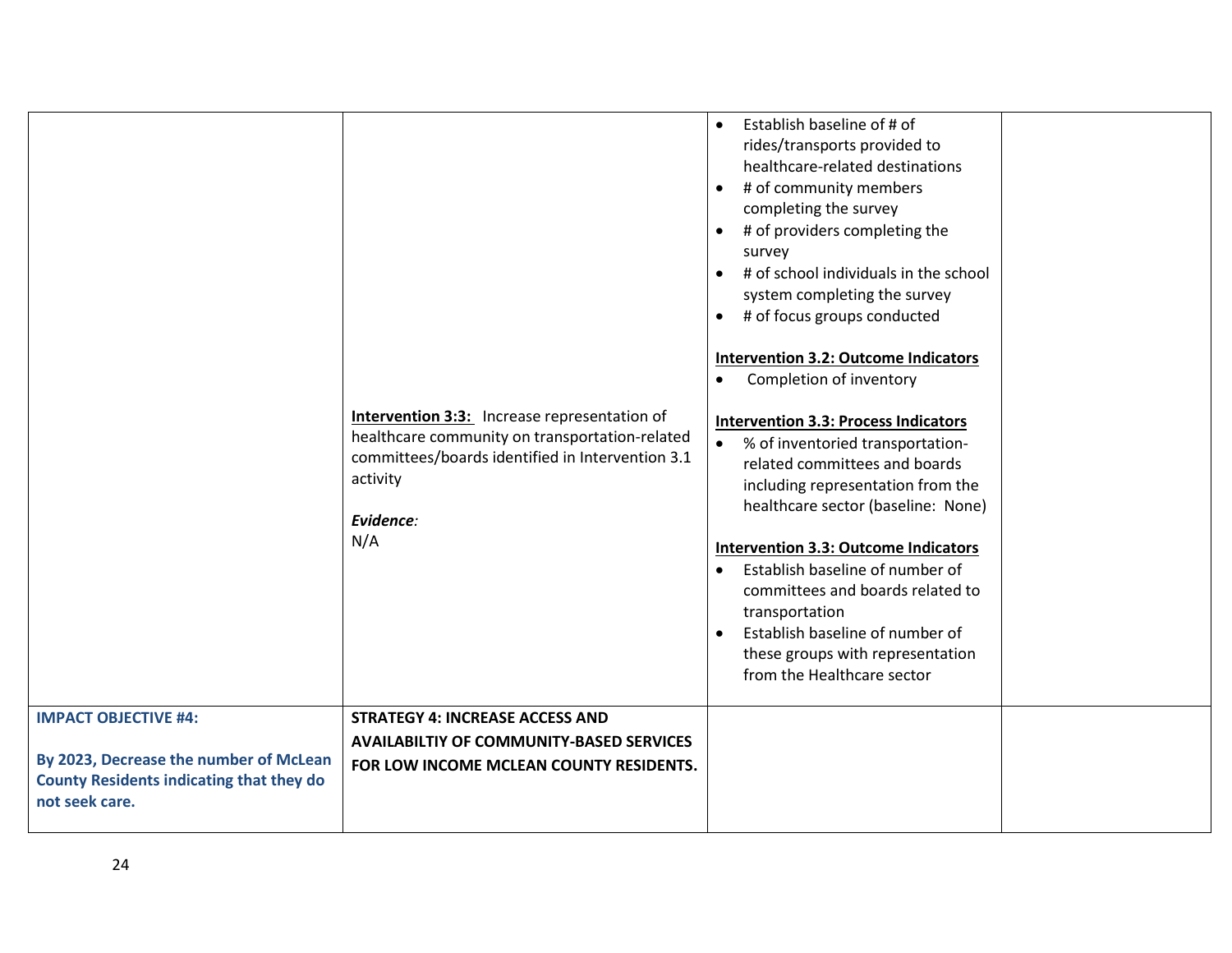| <b>IMPACT OBJECTIVE #4:</b>                                                                                 | Intervention 3:3: Increase representation of<br>healthcare community on transportation-related<br>committees/boards identified in Intervention 3.1<br>activity<br>Evidence:<br>N/A<br><b>STRATEGY 4: INCREASE ACCESS AND</b> | Establish baseline of # of<br>$\bullet$<br>rides/transports provided to<br>healthcare-related destinations<br># of community members<br>$\bullet$<br>completing the survey<br># of providers completing the<br>$\bullet$<br>survey<br># of school individuals in the school<br>system completing the survey<br># of focus groups conducted<br>$\bullet$<br><b>Intervention 3.2: Outcome Indicators</b><br>Completion of inventory<br><b>Intervention 3.3: Process Indicators</b><br>% of inventoried transportation-<br>$\bullet$<br>related committees and boards<br>including representation from the<br>healthcare sector (baseline: None)<br><b>Intervention 3.3: Outcome Indicators</b><br>Establish baseline of number of<br>$\bullet$<br>committees and boards related to<br>transportation<br>Establish baseline of number of<br>$\bullet$<br>these groups with representation<br>from the Healthcare sector |  |
|-------------------------------------------------------------------------------------------------------------|------------------------------------------------------------------------------------------------------------------------------------------------------------------------------------------------------------------------------|----------------------------------------------------------------------------------------------------------------------------------------------------------------------------------------------------------------------------------------------------------------------------------------------------------------------------------------------------------------------------------------------------------------------------------------------------------------------------------------------------------------------------------------------------------------------------------------------------------------------------------------------------------------------------------------------------------------------------------------------------------------------------------------------------------------------------------------------------------------------------------------------------------------------|--|
| By 2023, Decrease the number of McLean<br><b>County Residents indicating that they do</b><br>not seek care. | <b>AVAILABILTIY OF COMMUNITY-BASED SERVICES</b><br>FOR LOW INCOME MCLEAN COUNTY RESIDENTS.                                                                                                                                   |                                                                                                                                                                                                                                                                                                                                                                                                                                                                                                                                                                                                                                                                                                                                                                                                                                                                                                                      |  |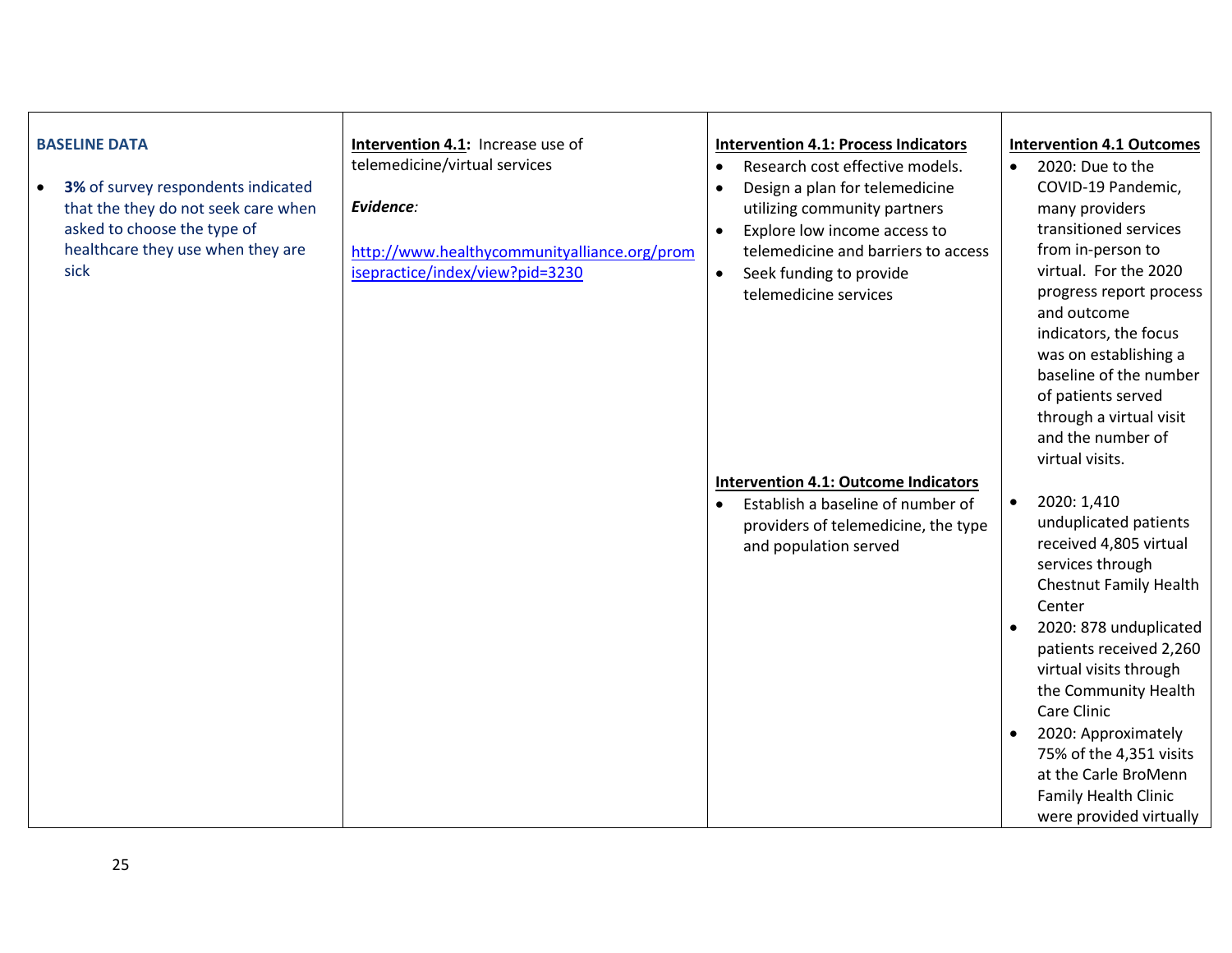| <b>BASELINE DATA</b><br>3% of survey respondents indicated<br>$\bullet$<br>that the they do not seek care when<br>asked to choose the type of<br>healthcare they use when they are<br>sick | Intervention 4.1: Increase use of<br>telemedicine/virtual services<br>Evidence:<br>http://www.healthycommunityalliance.org/prom<br>isepractice/index/view?pid=3230 | <b>Intervention 4.1: Process Indicators</b><br>Research cost effective models.<br>$\bullet$<br>Design a plan for telemedicine<br>$\bullet$<br>utilizing community partners<br>Explore low income access to<br>$\bullet$<br>telemedicine and barriers to access<br>Seek funding to provide<br>$\bullet$<br>telemedicine services | <b>Intervention 4.1 Outcomes</b><br>2020: Due to the<br>$\bullet$<br>COVID-19 Pandemic,<br>many providers<br>transitioned services<br>from in-person to<br>virtual. For the 2020<br>progress report process<br>and outcome<br>indicators, the focus<br>was on establishing a<br>baseline of the number<br>of patients served<br>through a virtual visit<br>and the number of<br>virtual visits. |
|--------------------------------------------------------------------------------------------------------------------------------------------------------------------------------------------|--------------------------------------------------------------------------------------------------------------------------------------------------------------------|---------------------------------------------------------------------------------------------------------------------------------------------------------------------------------------------------------------------------------------------------------------------------------------------------------------------------------|-------------------------------------------------------------------------------------------------------------------------------------------------------------------------------------------------------------------------------------------------------------------------------------------------------------------------------------------------------------------------------------------------|
|                                                                                                                                                                                            |                                                                                                                                                                    | <b>Intervention 4.1: Outcome Indicators</b><br>Establish a baseline of number of<br>providers of telemedicine, the type<br>and population served                                                                                                                                                                                | 2020: 1,410<br>$\bullet$<br>unduplicated patients<br>received 4,805 virtual<br>services through<br><b>Chestnut Family Health</b><br>Center<br>2020: 878 unduplicated<br>patients received 2,260<br>virtual visits through<br>the Community Health<br>Care Clinic<br>2020: Approximately<br>75% of the 4,351 visits<br>at the Carle BroMenn<br>Family Health Clinic<br>were provided virtually   |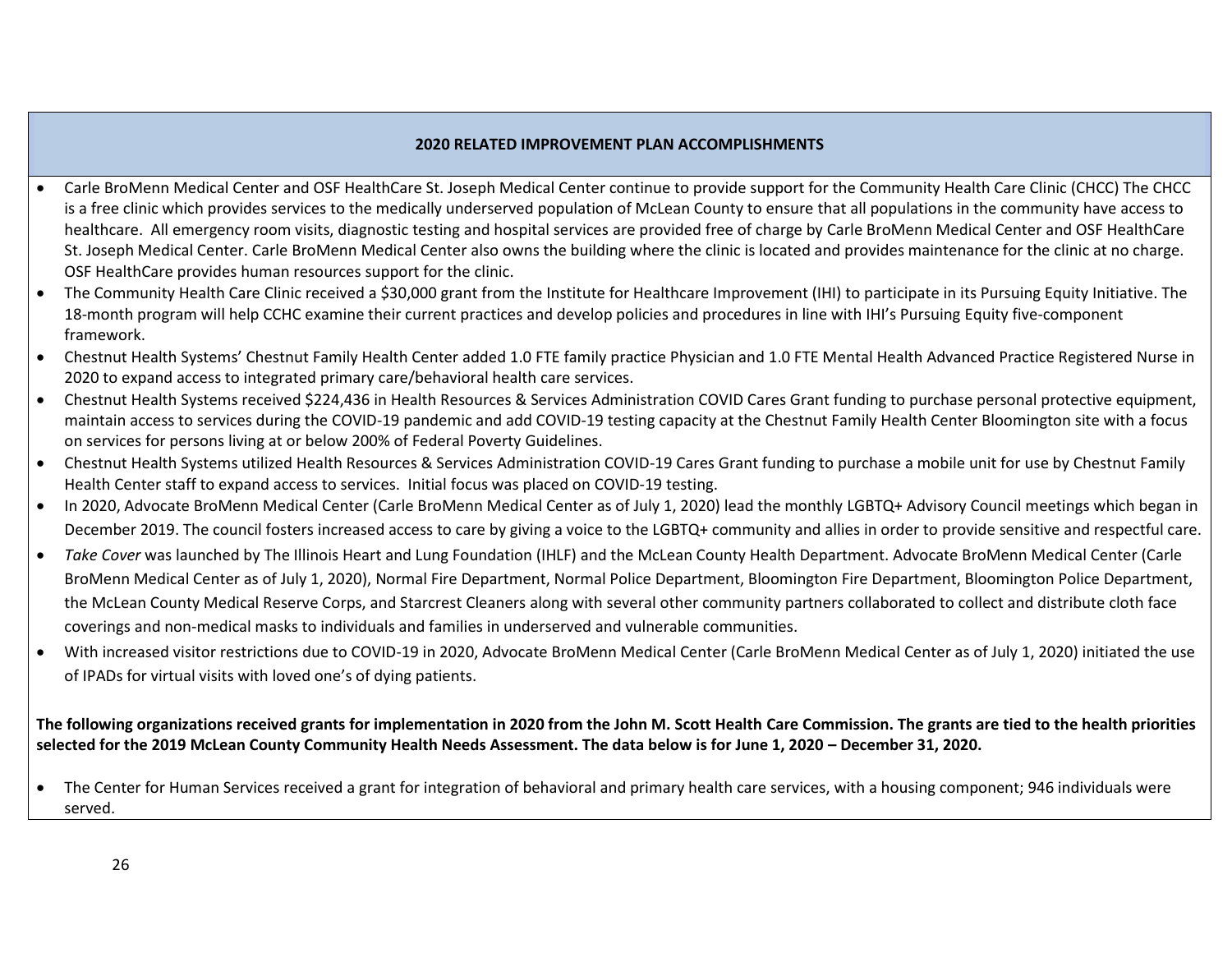#### **2020 RELATED IMPROVEMENT PLAN ACCOMPLISHMENTS**

- Carle BroMenn Medical Center and OSF HealthCare St. Joseph Medical Center continue to provide support for the Community Health Care Clinic (CHCC) The CHCC is a free clinic which provides services to the medically underserved population of McLean County to ensure that all populations in the community have access to healthcare. All emergency room visits, diagnostic testing and hospital services are provided free of charge by Carle BroMenn Medical Center and OSF HealthCare St. Joseph Medical Center. Carle BroMenn Medical Center also owns the building where the clinic is located and provides maintenance for the clinic at no charge. OSF HealthCare provides human resources support for the clinic.
- The Community Health Care Clinic received a \$30,000 grant from the Institute for Healthcare Improvement (IHI) to participate in its Pursuing Equity Initiative. The 18-month program will help CCHC examine their current practices and develop policies and procedures in line with IHI's Pursuing Equity five-component framework.
- Chestnut Health Systems' Chestnut Family Health Center added 1.0 FTE family practice Physician and 1.0 FTE Mental Health Advanced Practice Registered Nurse in 2020 to expand access to integrated primary care/behavioral health care services.
- Chestnut Health Systems received \$224,436 in Health Resources & Services Administration COVID Cares Grant funding to purchase personal protective equipment, maintain access to services during the COVID-19 pandemic and add COVID-19 testing capacity at the Chestnut Family Health Center Bloomington site with a focus on services for persons living at or below 200% of Federal Poverty Guidelines.
- Chestnut Health Systems utilized Health Resources & Services Administration COVID-19 Cares Grant funding to purchase a mobile unit for use by Chestnut Family Health Center staff to expand access to services. Initial focus was placed on COVID-19 testing.
- In 2020, Advocate BroMenn Medical Center (Carle BroMenn Medical Center as of July 1, 2020) lead the monthly LGBTQ+ Advisory Council meetings which began in December 2019. The council fosters increased access to care by giving a voice to the LGBTQ+ community and allies in order to provide sensitive and respectful care.
- *Take Cover* was launched by The Illinois Heart and Lung Foundation (IHLF) and the McLean County Health Department. Advocate BroMenn Medical Center (Carle BroMenn Medical Center as of July 1, 2020), Normal Fire Department, Normal Police Department, Bloomington Fire Department, Bloomington Police Department, the McLean County Medical Reserve Corps, and Starcrest Cleaners along with several other community partners collaborated to collect and distribute cloth face coverings and non-medical masks to individuals and families in underserved and vulnerable communities.
- With increased visitor restrictions due to COVID-19 in 2020, Advocate BroMenn Medical Center (Carle BroMenn Medical Center as of July 1, 2020) initiated the use of IPADs for virtual visits with loved one's of dying patients.

#### **The following organizations received grants for implementation in 2020 from the John M. Scott Health Care Commission. The grants are tied to the health priorities selected for the 2019 McLean County Community Health Needs Assessment. The data below is for June 1, 2020 – December 31, 2020.**

• The Center for Human Services received a grant for integration of behavioral and primary health care services, with a housing component; 946 individuals were served.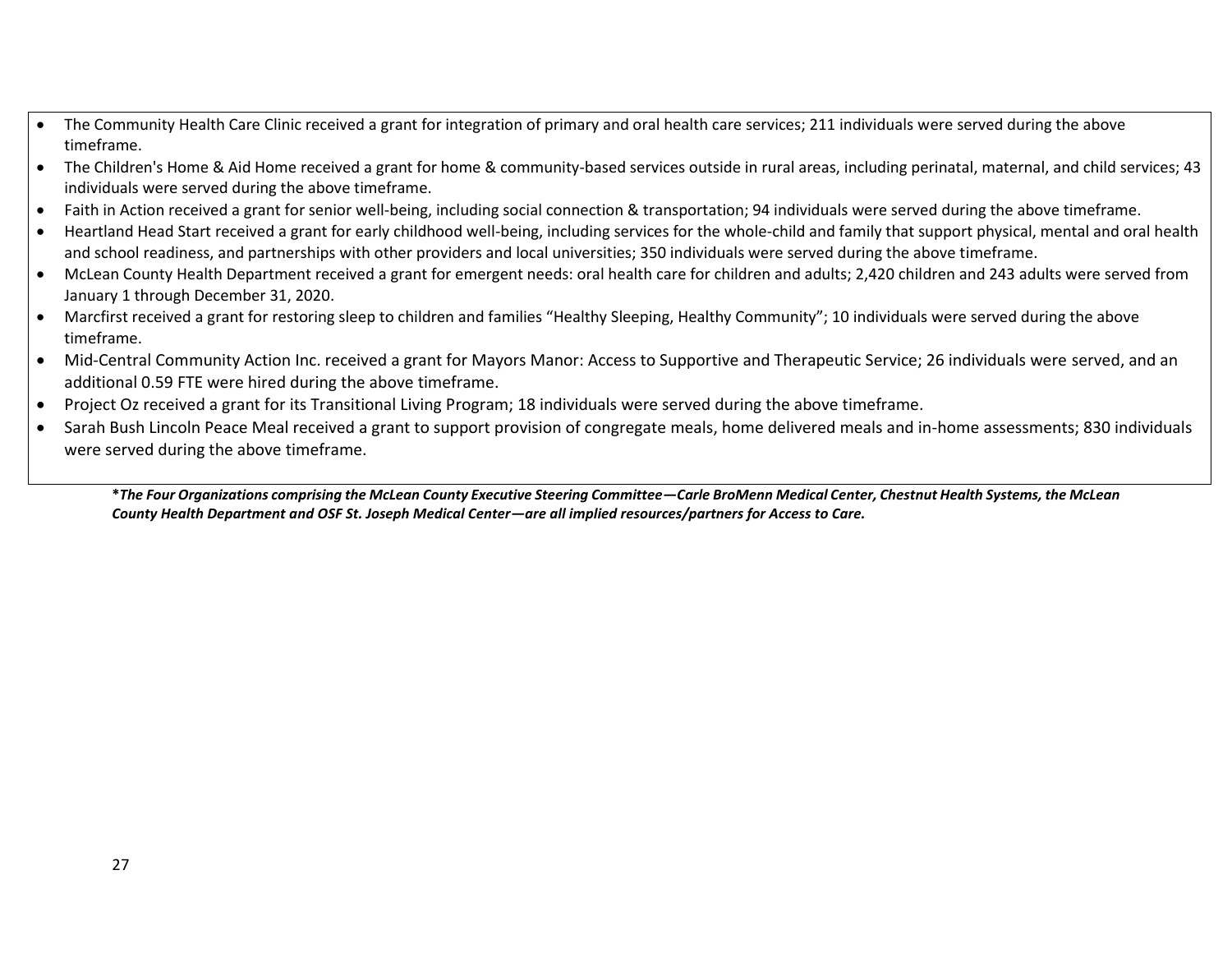- The Community Health Care Clinic received a grant for integration of primary and oral health care services; 211 individuals were served during the above timeframe.
- The Children's Home & Aid Home received a grant for home & community-based services outside in rural areas, including perinatal, maternal, and child services; 43 individuals were served during the above timeframe.
- Faith in Action received a grant for senior well-being, including social connection & transportation; 94 individuals were served during the above timeframe.
- Heartland Head Start received a grant for early childhood well-being, including services for the whole-child and family that support physical, mental and oral health and school readiness, and partnerships with other providers and local universities; 350 individuals were served during the above timeframe.
- McLean County Health Department received a grant for emergent needs: oral health care for children and adults; 2,420 children and 243 adults were served from January 1 through December 31, 2020.
- Marcfirst received a grant for restoring sleep to children and families "Healthy Sleeping, Healthy Community"; 10 individuals were served during the above timeframe.
- Mid-Central Community Action Inc. received a grant for Mayors Manor: Access to Supportive and Therapeutic Service; 26 individuals were served, and an additional 0.59 FTE were hired during the above timeframe.
- Project Oz received a grant for its Transitional Living Program; 18 individuals were served during the above timeframe.
- Sarah Bush Lincoln Peace Meal received a grant to support provision of congregate meals, home delivered meals and in-home assessments; 830 individuals were served during the above timeframe.

**\****The Four Organizations comprising the McLean County Executive Steering Committee—Carle BroMenn Medical Center, Chestnut Health Systems, the McLean County Health Department and OSF St. Joseph Medical Center—are all implied resources/partners for Access to Care.*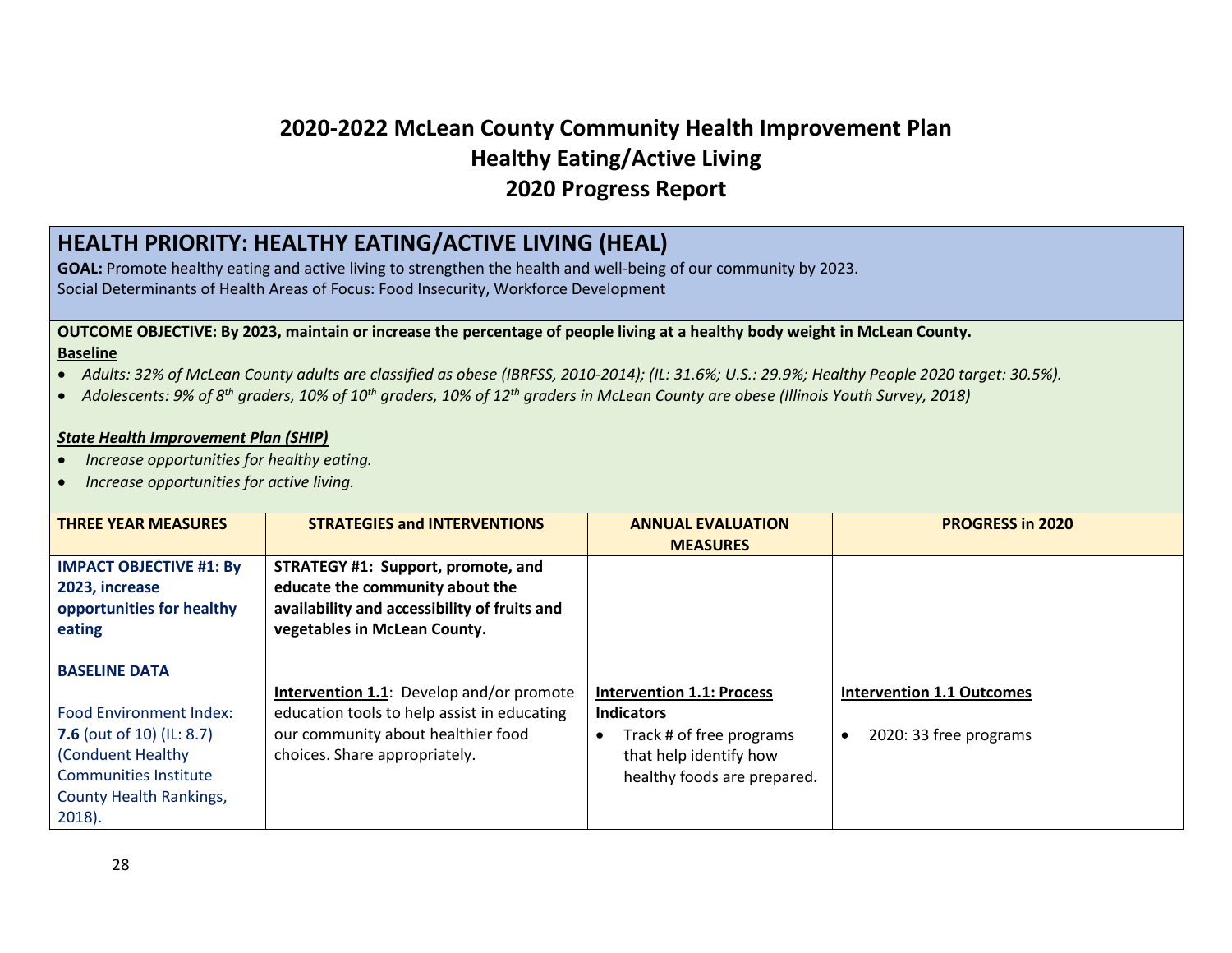## **2020-2022 McLean County Community Health Improvement Plan Healthy Eating/Active Living 2020 Progress Report**

## **HEALTH PRIORITY: HEALTHY EATING/ACTIVE LIVING (HEAL)**

**GOAL:** Promote healthy eating and active living to strengthen the health and well-being of our community by 2023. Social Determinants of Health Areas of Focus: Food Insecurity, Workforce Development

#### **OUTCOME OBJECTIVE: By 2023, maintain or increase the percentage of people living at a healthy body weight in McLean County. Baseline**

- *Adults: 32% of McLean County adults are classified as obese (IBRFSS, 2010-2014); (IL: 31.6%; U.S.: 29.9%; Healthy People 2020 target: 30.5%).*
- *Adolescents: 9% of 8th graders, 10% of 10th graders, 10% of 12th graders in McLean County are obese (Illinois Youth Survey, 2018)*

#### *State Health Improvement Plan (SHIP)*

- *Increase opportunities for healthy eating.*
- *Increase opportunities for active living.*

| <b>THREE YEAR MEASURES</b>                                                    | <b>STRATEGIES and INTERVENTIONS</b>                                                                                   | <b>ANNUAL EVALUATION</b><br><b>MEASURES</b>           | <b>PROGRESS in 2020</b>          |
|-------------------------------------------------------------------------------|-----------------------------------------------------------------------------------------------------------------------|-------------------------------------------------------|----------------------------------|
| <b>IMPACT OBJECTIVE #1: By</b><br>2023, increase<br>opportunities for healthy | STRATEGY #1: Support, promote, and<br>educate the community about the<br>availability and accessibility of fruits and |                                                       |                                  |
| eating                                                                        | vegetables in McLean County.                                                                                          |                                                       |                                  |
| <b>BASELINE DATA</b>                                                          |                                                                                                                       |                                                       |                                  |
| <b>Food Environment Index:</b>                                                | Intervention 1.1: Develop and/or promote<br>education tools to help assist in educating                               | <b>Intervention 1.1: Process</b><br><b>Indicators</b> | <b>Intervention 1.1 Outcomes</b> |
| <b>7.6</b> (out of 10) (IL: 8.7)                                              | our community about healthier food                                                                                    | Track # of free programs                              | 2020: 33 free programs           |
| (Conduent Healthy                                                             | choices. Share appropriately.                                                                                         | that help identify how                                |                                  |
| Communities Institute                                                         |                                                                                                                       | healthy foods are prepared.                           |                                  |
| <b>County Health Rankings,</b>                                                |                                                                                                                       |                                                       |                                  |
| $2018$ ).                                                                     |                                                                                                                       |                                                       |                                  |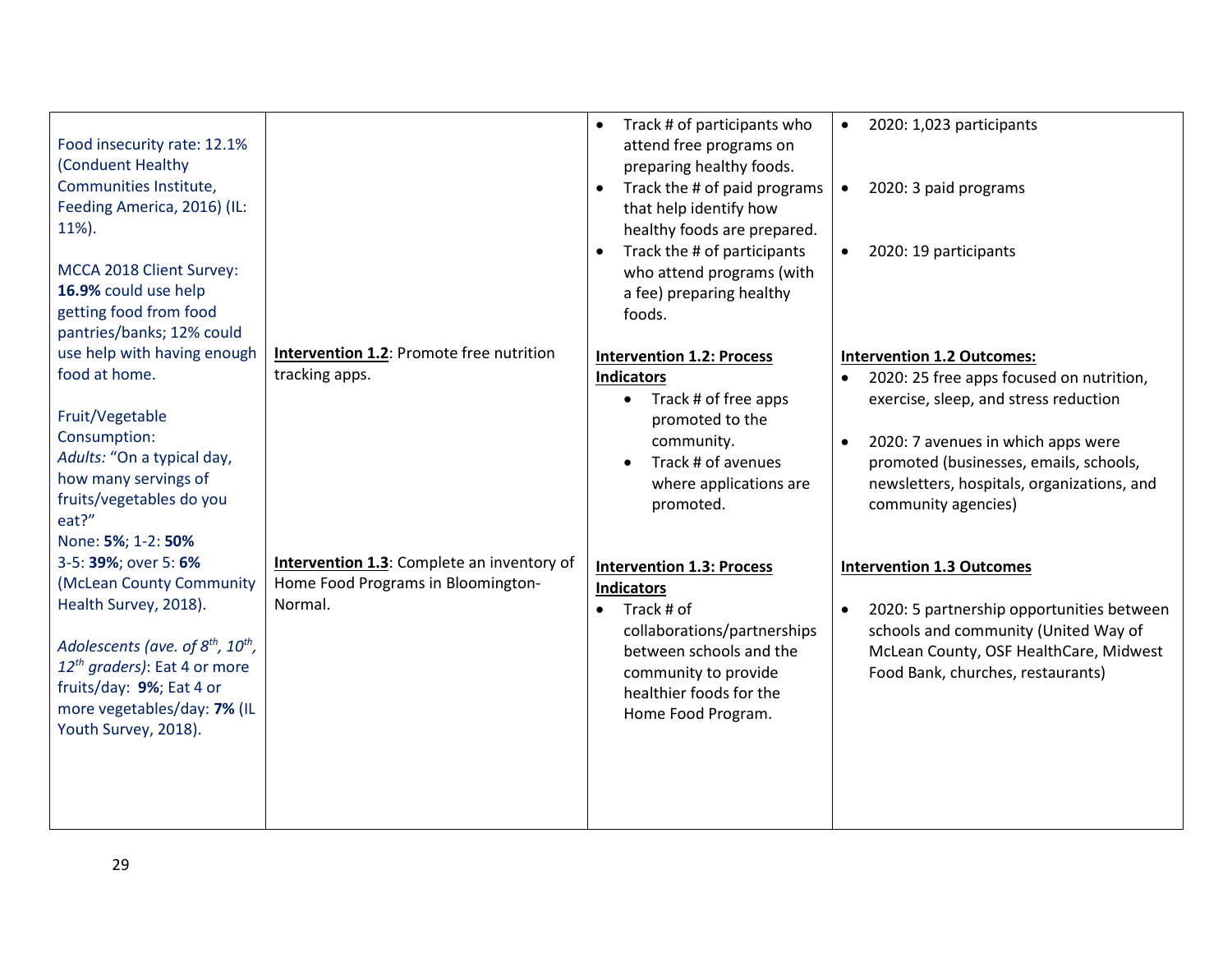| Food insecurity rate: 12.1%<br>(Conduent Healthy<br>Communities Institute,<br>Feeding America, 2016) (IL:<br>11%).<br>MCCA 2018 Client Survey:<br>16.9% could use help<br>getting food from food                                                                                                                                                                                                                   |                                                                                                                                                                         | Track # of participants who<br>$\bullet$<br>attend free programs on<br>preparing healthy foods.<br>Track the # of paid programs<br>that help identify how<br>healthy foods are prepared.<br>Track the # of participants<br>who attend programs (with<br>a fee) preparing healthy<br>foods.                                                                                                             | 2020: 1,023 participants<br>$\bullet$<br>2020: 3 paid programs<br>$\bullet$<br>2020: 19 participants<br>$\bullet$                                                                                                                                                                                                                                                                                                                                                                                             |
|--------------------------------------------------------------------------------------------------------------------------------------------------------------------------------------------------------------------------------------------------------------------------------------------------------------------------------------------------------------------------------------------------------------------|-------------------------------------------------------------------------------------------------------------------------------------------------------------------------|--------------------------------------------------------------------------------------------------------------------------------------------------------------------------------------------------------------------------------------------------------------------------------------------------------------------------------------------------------------------------------------------------------|---------------------------------------------------------------------------------------------------------------------------------------------------------------------------------------------------------------------------------------------------------------------------------------------------------------------------------------------------------------------------------------------------------------------------------------------------------------------------------------------------------------|
| pantries/banks; 12% could                                                                                                                                                                                                                                                                                                                                                                                          |                                                                                                                                                                         |                                                                                                                                                                                                                                                                                                                                                                                                        |                                                                                                                                                                                                                                                                                                                                                                                                                                                                                                               |
| use help with having enough<br>food at home.<br>Fruit/Vegetable<br>Consumption:<br>Adults: "On a typical day,<br>how many servings of<br>fruits/vegetables do you<br>eat?"<br>None: 5%; 1-2: 50%<br>3-5: 39%; over 5: 6%<br>(McLean County Community<br>Health Survey, 2018).<br>Adolescents (ave. of 8 <sup>th</sup> , 10 <sup>th</sup> ,<br>12 <sup>th</sup> graders): Eat 4 or more<br>fruits/day: 9%; Eat 4 or | <b>Intervention 1.2: Promote free nutrition</b><br>tracking apps.<br><b>Intervention 1.3:</b> Complete an inventory of<br>Home Food Programs in Bloomington-<br>Normal. | <b>Intervention 1.2: Process</b><br><b>Indicators</b><br>Track # of free apps<br>$\bullet$<br>promoted to the<br>community.<br>Track # of avenues<br>$\bullet$<br>where applications are<br>promoted.<br><b>Intervention 1.3: Process</b><br><b>Indicators</b><br>Track # of<br>$\bullet$<br>collaborations/partnerships<br>between schools and the<br>community to provide<br>healthier foods for the | <b>Intervention 1.2 Outcomes:</b><br>2020: 25 free apps focused on nutrition,<br>exercise, sleep, and stress reduction<br>2020: 7 avenues in which apps were<br>$\bullet$<br>promoted (businesses, emails, schools,<br>newsletters, hospitals, organizations, and<br>community agencies)<br><b>Intervention 1.3 Outcomes</b><br>2020: 5 partnership opportunities between<br>$\bullet$<br>schools and community (United Way of<br>McLean County, OSF HealthCare, Midwest<br>Food Bank, churches, restaurants) |
| more vegetables/day: 7% (IL<br>Youth Survey, 2018).                                                                                                                                                                                                                                                                                                                                                                |                                                                                                                                                                         | Home Food Program.                                                                                                                                                                                                                                                                                                                                                                                     |                                                                                                                                                                                                                                                                                                                                                                                                                                                                                                               |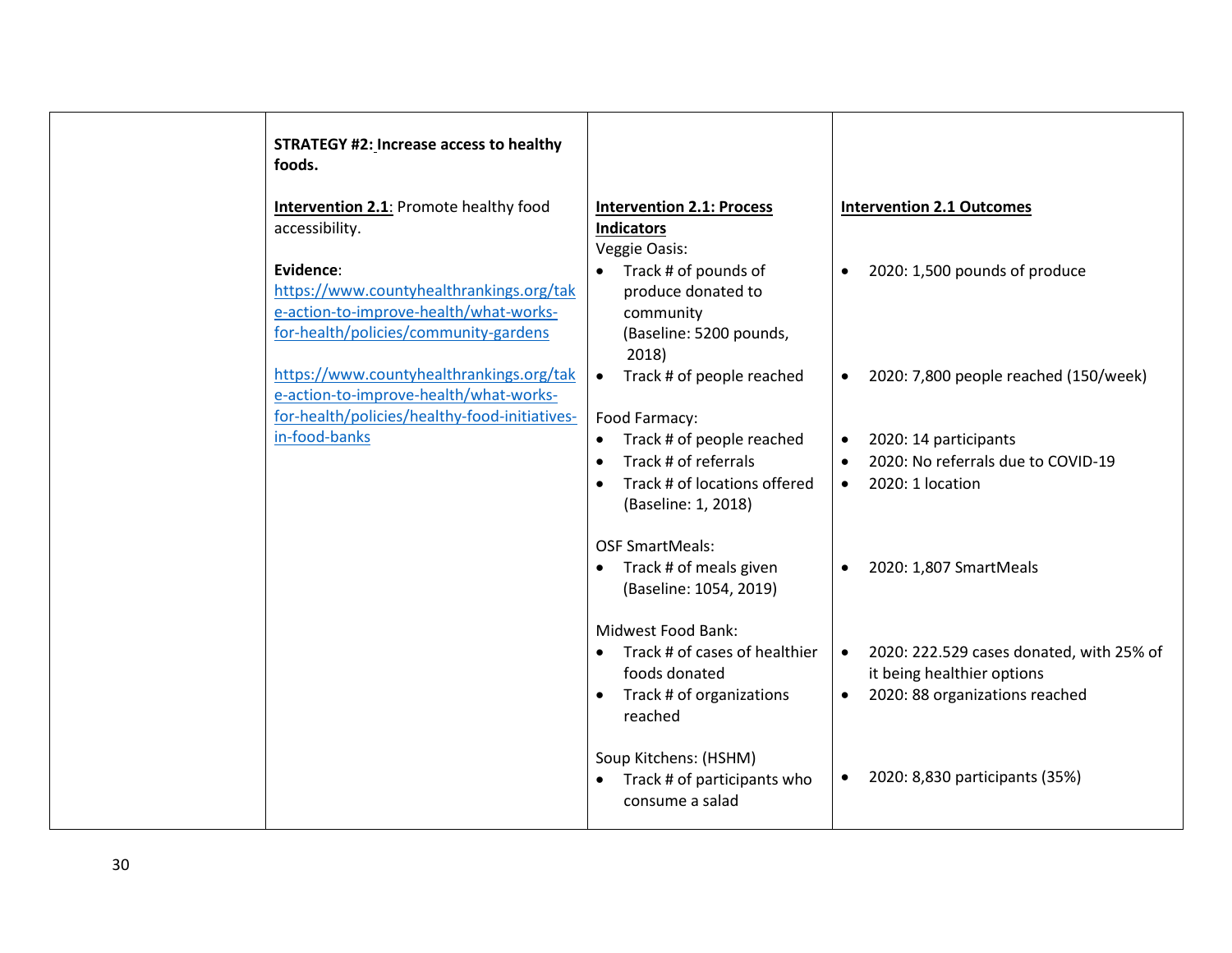| <b>STRATEGY #2: Increase access to healthy</b><br>foods.                                                                                 |                                                                                                                                                 |                                                                                                                                    |
|------------------------------------------------------------------------------------------------------------------------------------------|-------------------------------------------------------------------------------------------------------------------------------------------------|------------------------------------------------------------------------------------------------------------------------------------|
| <b>Intervention 2.1:</b> Promote healthy food<br>accessibility.                                                                          | <b>Intervention 2.1: Process</b><br><b>Indicators</b><br>Veggie Oasis:                                                                          | <b>Intervention 2.1 Outcomes</b>                                                                                                   |
| Evidence:<br>https://www.countyhealthrankings.org/tak<br>e-action-to-improve-health/what-works-<br>for-health/policies/community-gardens | Track # of pounds of<br>produce donated to<br>community<br>(Baseline: 5200 pounds,<br>2018)                                                     | 2020: 1,500 pounds of produce<br>$\bullet$                                                                                         |
| https://www.countyhealthrankings.org/tak<br>e-action-to-improve-health/what-works-<br>for-health/policies/healthy-food-initiatives-      | Track # of people reached<br>$\bullet$<br>Food Farmacy:                                                                                         | 2020: 7,800 people reached (150/week)<br>$\bullet$                                                                                 |
| in-food-banks                                                                                                                            | Track # of people reached<br>$\bullet$<br>Track # of referrals<br>$\bullet$<br>Track # of locations offered<br>$\bullet$<br>(Baseline: 1, 2018) | 2020: 14 participants<br>$\bullet$<br>2020: No referrals due to COVID-19<br>$\bullet$<br>2020: 1 location<br>$\bullet$             |
|                                                                                                                                          | <b>OSF SmartMeals:</b><br>Track # of meals given<br>$\bullet$<br>(Baseline: 1054, 2019)                                                         | 2020: 1,807 SmartMeals<br>$\bullet$                                                                                                |
|                                                                                                                                          | <b>Midwest Food Bank:</b><br>Track # of cases of healthier<br>$\bullet$<br>foods donated<br>Track # of organizations<br>$\bullet$<br>reached    | 2020: 222.529 cases donated, with 25% of<br>$\bullet$<br>it being healthier options<br>2020: 88 organizations reached<br>$\bullet$ |
|                                                                                                                                          | Soup Kitchens: (HSHM)<br>Track # of participants who<br>$\bullet$<br>consume a salad                                                            | 2020: 8,830 participants (35%)<br>$\bullet$                                                                                        |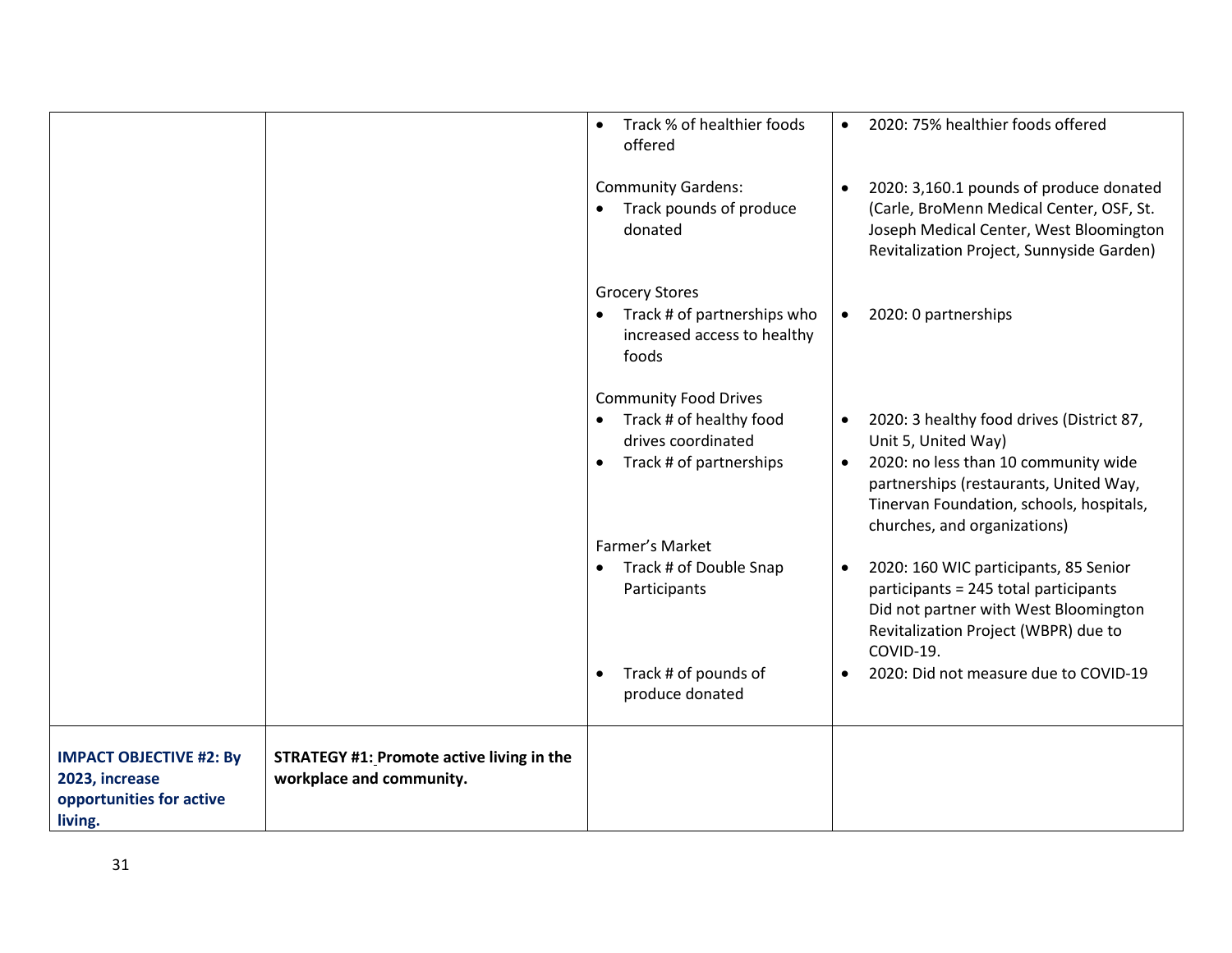|                                                                                         |                                                                              | Track % of healthier foods<br>$\bullet$<br>offered                                                                    | $\bullet$              | 2020: 75% healthier foods offered                                                                                                                                                                                              |
|-----------------------------------------------------------------------------------------|------------------------------------------------------------------------------|-----------------------------------------------------------------------------------------------------------------------|------------------------|--------------------------------------------------------------------------------------------------------------------------------------------------------------------------------------------------------------------------------|
|                                                                                         |                                                                              | <b>Community Gardens:</b><br>Track pounds of produce<br>donated                                                       | $\bullet$              | 2020: 3,160.1 pounds of produce donated<br>(Carle, BroMenn Medical Center, OSF, St.<br>Joseph Medical Center, West Bloomington<br>Revitalization Project, Sunnyside Garden)                                                    |
|                                                                                         |                                                                              | <b>Grocery Stores</b><br>Track # of partnerships who<br>$\bullet$<br>increased access to healthy<br>foods             | $\bullet$              | 2020: 0 partnerships                                                                                                                                                                                                           |
|                                                                                         |                                                                              | <b>Community Food Drives</b><br>Track # of healthy food<br>$\bullet$<br>drives coordinated<br>Track # of partnerships | $\bullet$<br>$\bullet$ | 2020: 3 healthy food drives (District 87,<br>Unit 5, United Way)<br>2020: no less than 10 community wide<br>partnerships (restaurants, United Way,<br>Tinervan Foundation, schools, hospitals,<br>churches, and organizations) |
|                                                                                         |                                                                              | Farmer's Market<br>Track # of Double Snap<br>$\bullet$<br>Participants                                                | $\bullet$              | 2020: 160 WIC participants, 85 Senior<br>participants = 245 total participants<br>Did not partner with West Bloomington<br>Revitalization Project (WBPR) due to<br>COVID-19.                                                   |
|                                                                                         |                                                                              | Track # of pounds of<br>$\bullet$<br>produce donated                                                                  | $\bullet$              | 2020: Did not measure due to COVID-19                                                                                                                                                                                          |
| <b>IMPACT OBJECTIVE #2: By</b><br>2023, increase<br>opportunities for active<br>living. | <b>STRATEGY #1: Promote active living in the</b><br>workplace and community. |                                                                                                                       |                        |                                                                                                                                                                                                                                |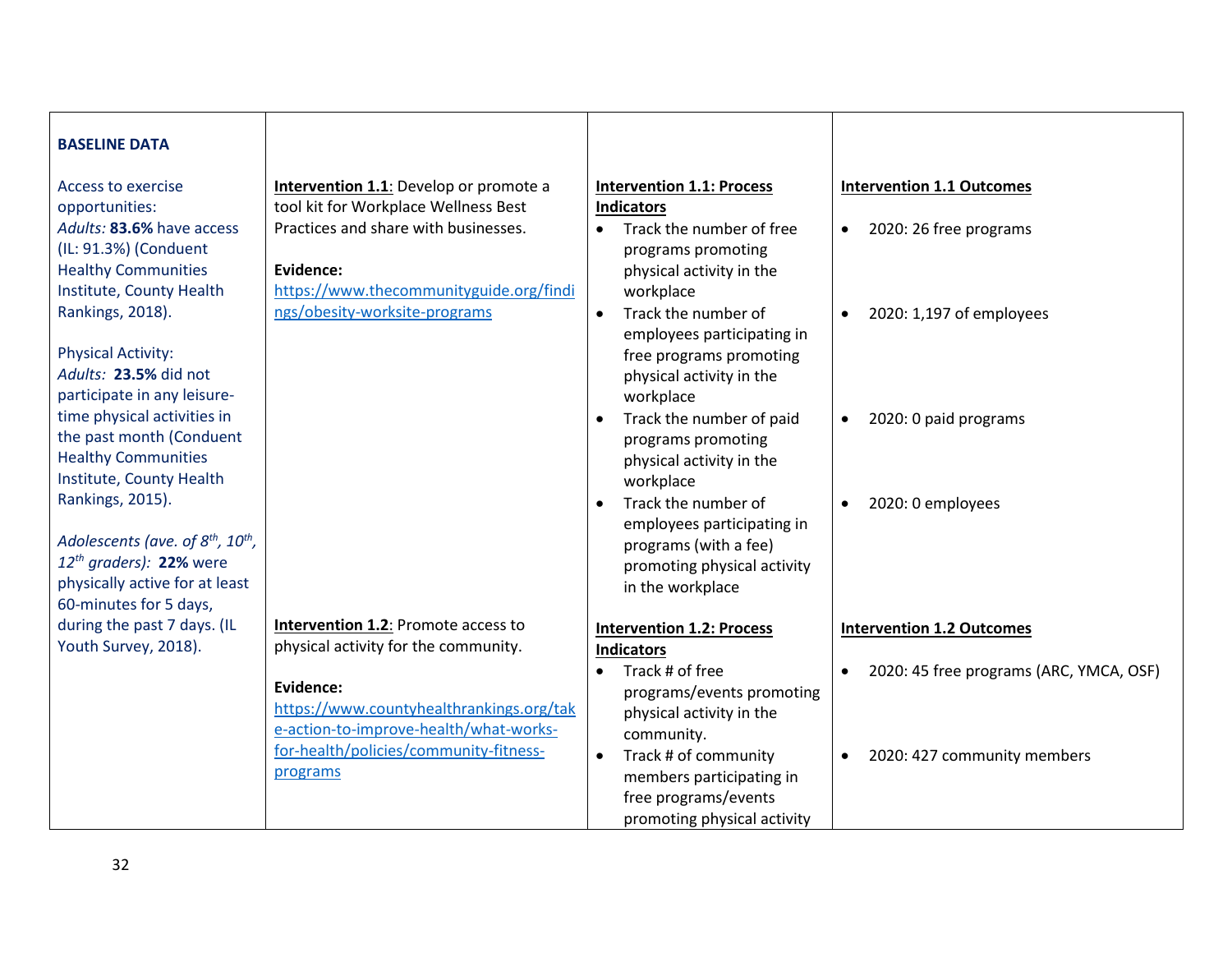| <b>BASELINE DATA</b>                                      |                                               |                                       |                                                      |
|-----------------------------------------------------------|-----------------------------------------------|---------------------------------------|------------------------------------------------------|
| <b>Access to exercise</b>                                 | <b>Intervention 1.1:</b> Develop or promote a | <b>Intervention 1.1: Process</b>      | <b>Intervention 1.1 Outcomes</b>                     |
| opportunities:                                            | tool kit for Workplace Wellness Best          | <b>Indicators</b>                     |                                                      |
| Adults: 83.6% have access                                 | Practices and share with businesses.          | Track the number of free<br>$\bullet$ | 2020: 26 free programs<br>$\bullet$                  |
| (IL: 91.3%) (Conduent                                     |                                               | programs promoting                    |                                                      |
| <b>Healthy Communities</b>                                | Evidence:                                     | physical activity in the              |                                                      |
| Institute, County Health                                  | https://www.thecommunityguide.org/findi       | workplace                             |                                                      |
| Rankings, 2018).                                          | ngs/obesity-worksite-programs                 | Track the number of<br>$\bullet$      | 2020: 1,197 of employees<br>$\bullet$                |
|                                                           |                                               | employees participating in            |                                                      |
| <b>Physical Activity:</b>                                 |                                               | free programs promoting               |                                                      |
| Adults: 23.5% did not                                     |                                               | physical activity in the              |                                                      |
| participate in any leisure-                               |                                               | workplace                             |                                                      |
| time physical activities in                               |                                               | Track the number of paid<br>$\bullet$ | 2020: 0 paid programs<br>$\bullet$                   |
| the past month (Conduent                                  |                                               | programs promoting                    |                                                      |
| <b>Healthy Communities</b>                                |                                               | physical activity in the              |                                                      |
| Institute, County Health                                  |                                               | workplace                             |                                                      |
| Rankings, 2015).                                          |                                               | Track the number of                   | 2020: 0 employees<br>$\bullet$                       |
|                                                           |                                               | employees participating in            |                                                      |
| Adolescents (ave. of 8 <sup>th</sup> , 10 <sup>th</sup> , |                                               | programs (with a fee)                 |                                                      |
| $12^{th}$ graders): 22% were                              |                                               | promoting physical activity           |                                                      |
| physically active for at least                            |                                               | in the workplace                      |                                                      |
| 60-minutes for 5 days,                                    |                                               |                                       |                                                      |
| during the past 7 days. (IL                               | <b>Intervention 1.2: Promote access to</b>    | <b>Intervention 1.2: Process</b>      | <b>Intervention 1.2 Outcomes</b>                     |
| Youth Survey, 2018).                                      | physical activity for the community.          | <b>Indicators</b>                     |                                                      |
|                                                           |                                               | Track # of free<br>$\bullet$          | 2020: 45 free programs (ARC, YMCA, OSF)<br>$\bullet$ |
|                                                           | Evidence:                                     | programs/events promoting             |                                                      |
|                                                           | https://www.countyhealthrankings.org/tak      | physical activity in the              |                                                      |
|                                                           | e-action-to-improve-health/what-works-        | community.                            |                                                      |
|                                                           | for-health/policies/community-fitness-        | Track # of community<br>$\bullet$     | 2020: 427 community members<br>$\bullet$             |
|                                                           | programs                                      | members participating in              |                                                      |
|                                                           |                                               | free programs/events                  |                                                      |
|                                                           |                                               | promoting physical activity           |                                                      |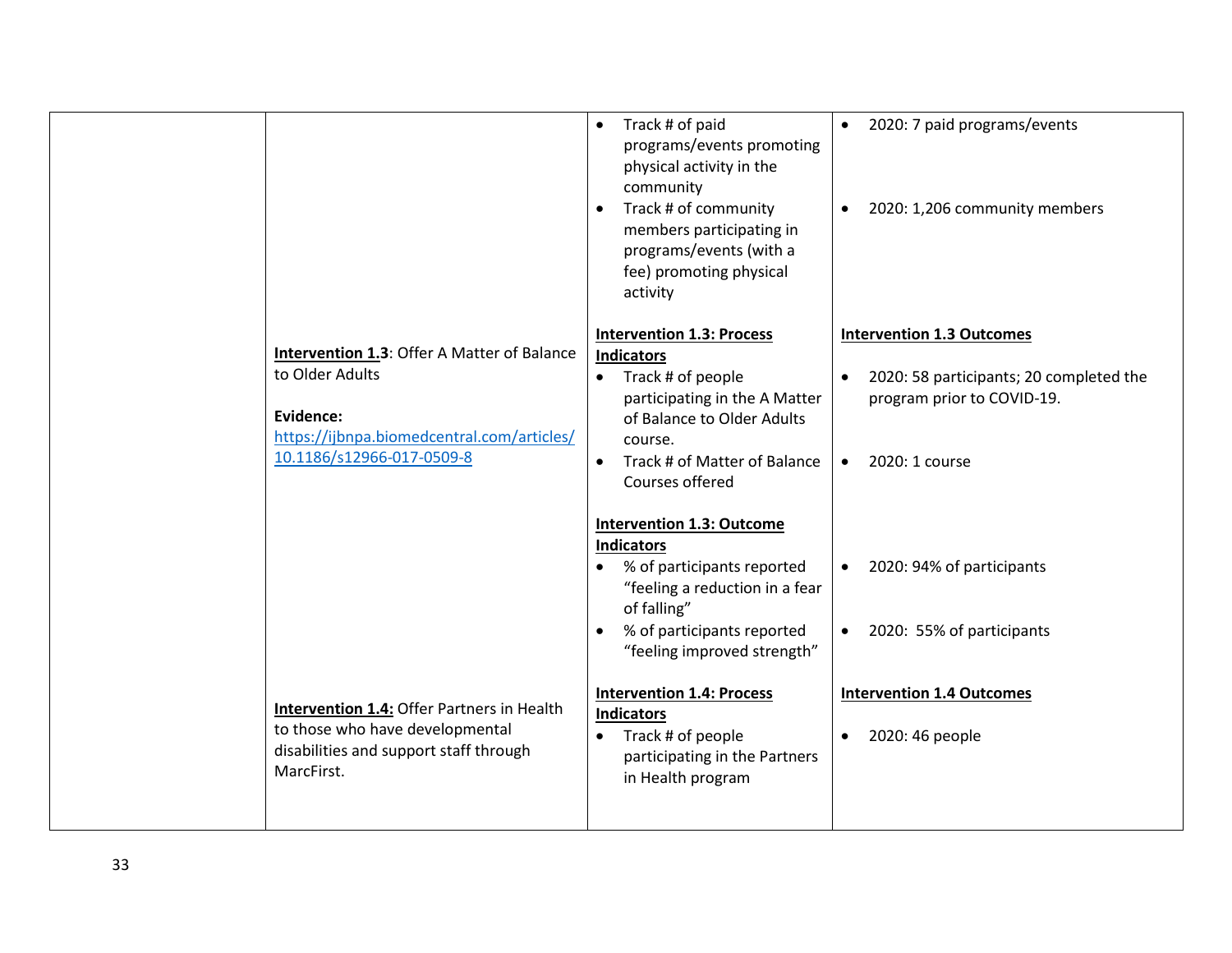|                                                                                         | Track # of paid<br>$\bullet$<br>programs/events promoting<br>physical activity in the<br>community<br>Track # of community<br>$\bullet$<br>members participating in<br>programs/events (with a<br>fee) promoting physical<br>activity              | 2020: 7 paid programs/events<br>$\bullet$<br>2020: 1,206 community members<br>$\bullet$                              |
|-----------------------------------------------------------------------------------------|----------------------------------------------------------------------------------------------------------------------------------------------------------------------------------------------------------------------------------------------------|----------------------------------------------------------------------------------------------------------------------|
|                                                                                         | <b>Intervention 1.3: Process</b>                                                                                                                                                                                                                   | <b>Intervention 1.3 Outcomes</b>                                                                                     |
| Intervention 1.3: Offer A Matter of Balance                                             | <b>Indicators</b>                                                                                                                                                                                                                                  |                                                                                                                      |
| to Older Adults                                                                         | Track # of people<br>$\bullet$                                                                                                                                                                                                                     | 2020: 58 participants; 20 completed the<br>$\bullet$                                                                 |
| Evidence:                                                                               | participating in the A Matter                                                                                                                                                                                                                      | program prior to COVID-19.                                                                                           |
| https://ijbnpa.biomedcentral.com/articles/                                              | of Balance to Older Adults<br>course.                                                                                                                                                                                                              |                                                                                                                      |
| 10.1186/s12966-017-0509-8                                                               | Track # of Matter of Balance<br>$\bullet$                                                                                                                                                                                                          | 2020: 1 course<br>$\bullet$                                                                                          |
|                                                                                         | Courses offered                                                                                                                                                                                                                                    |                                                                                                                      |
| <b>Intervention 1.4: Offer Partners in Health</b>                                       | <b>Intervention 1.3: Outcome</b><br><b>Indicators</b><br>% of participants reported<br>"feeling a reduction in a fear<br>of falling"<br>% of participants reported<br>$\bullet$<br>"feeling improved strength"<br><b>Intervention 1.4: Process</b> | 2020: 94% of participants<br>$\bullet$<br>2020: 55% of participants<br>$\bullet$<br><b>Intervention 1.4 Outcomes</b> |
| to those who have developmental<br>disabilities and support staff through<br>MarcFirst. | <b>Indicators</b><br>Track # of people<br>$\bullet$<br>participating in the Partners<br>in Health program                                                                                                                                          | 2020: 46 people<br>$\bullet$                                                                                         |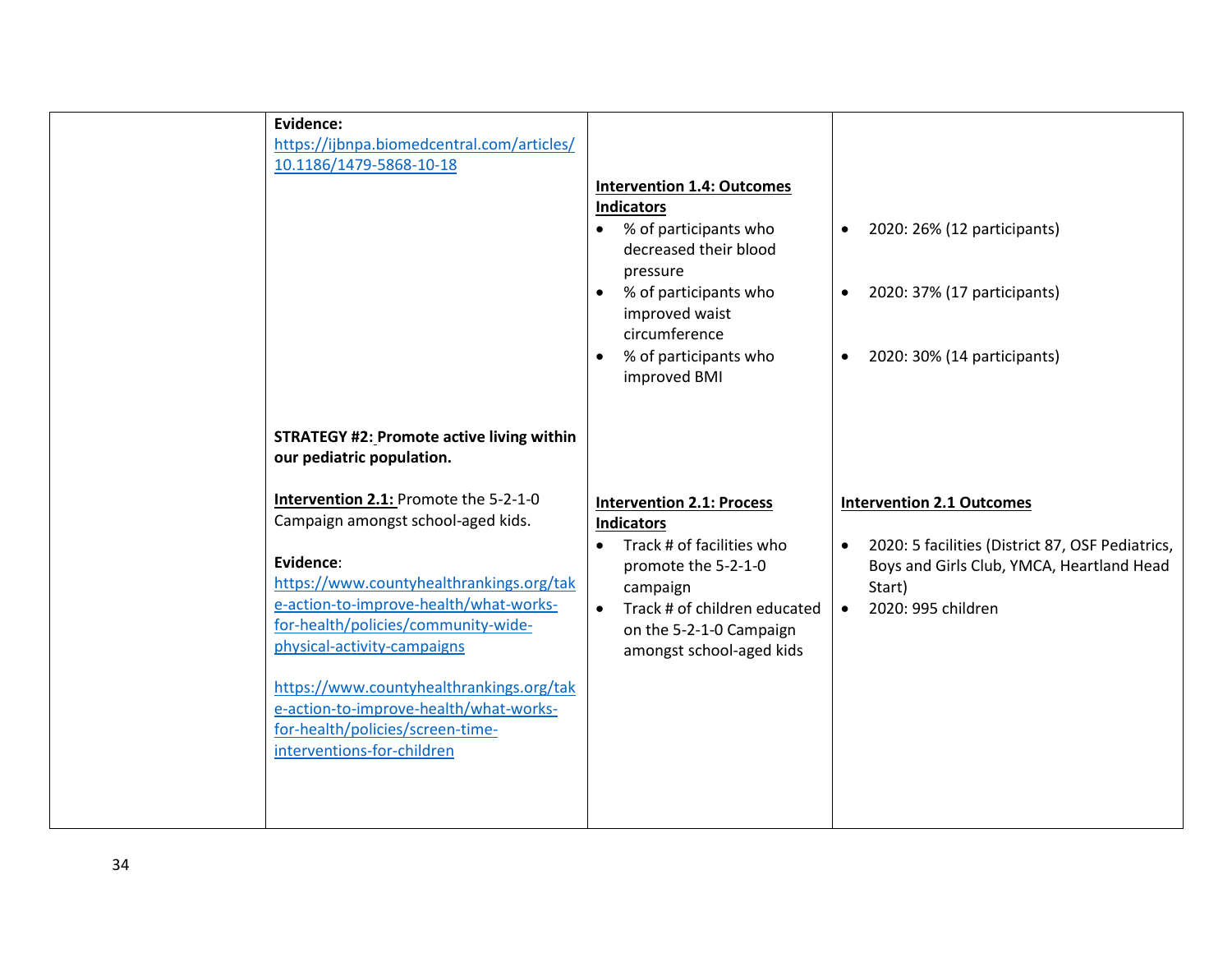| Evidence:<br>https://ijbnpa.biomedcentral.com/articles/<br>10.1186/1479-5868-10-18                                                                                                                                                                                                                                                                                                                           | <b>Intervention 1.4: Outcomes</b><br><b>Indicators</b><br>% of participants who<br>$\bullet$<br>decreased their blood<br>pressure<br>% of participants who<br>$\bullet$<br>improved waist<br>circumference<br>% of participants who<br>$\bullet$<br>improved BMI | 2020: 26% (12 participants)<br>$\bullet$<br>2020: 37% (17 participants)<br>$\bullet$<br>2020: 30% (14 participants)<br>$\bullet$                                                            |
|--------------------------------------------------------------------------------------------------------------------------------------------------------------------------------------------------------------------------------------------------------------------------------------------------------------------------------------------------------------------------------------------------------------|------------------------------------------------------------------------------------------------------------------------------------------------------------------------------------------------------------------------------------------------------------------|---------------------------------------------------------------------------------------------------------------------------------------------------------------------------------------------|
| <b>STRATEGY #2: Promote active living within</b><br>our pediatric population.                                                                                                                                                                                                                                                                                                                                |                                                                                                                                                                                                                                                                  |                                                                                                                                                                                             |
| Intervention 2.1: Promote the 5-2-1-0<br>Campaign amongst school-aged kids.<br>Evidence:<br>https://www.countyhealthrankings.org/tak<br>e-action-to-improve-health/what-works-<br>for-health/policies/community-wide-<br>physical-activity-campaigns<br>https://www.countyhealthrankings.org/tak<br>e-action-to-improve-health/what-works-<br>for-health/policies/screen-time-<br>interventions-for-children | <b>Intervention 2.1: Process</b><br><b>Indicators</b><br>Track # of facilities who<br>$\bullet$<br>promote the 5-2-1-0<br>campaign<br>Track # of children educated<br>$\bullet$<br>on the 5-2-1-0 Campaign<br>amongst school-aged kids                           | <b>Intervention 2.1 Outcomes</b><br>2020: 5 facilities (District 87, OSF Pediatrics,<br>$\bullet$<br>Boys and Girls Club, YMCA, Heartland Head<br>Start)<br>2020: 995 children<br>$\bullet$ |

34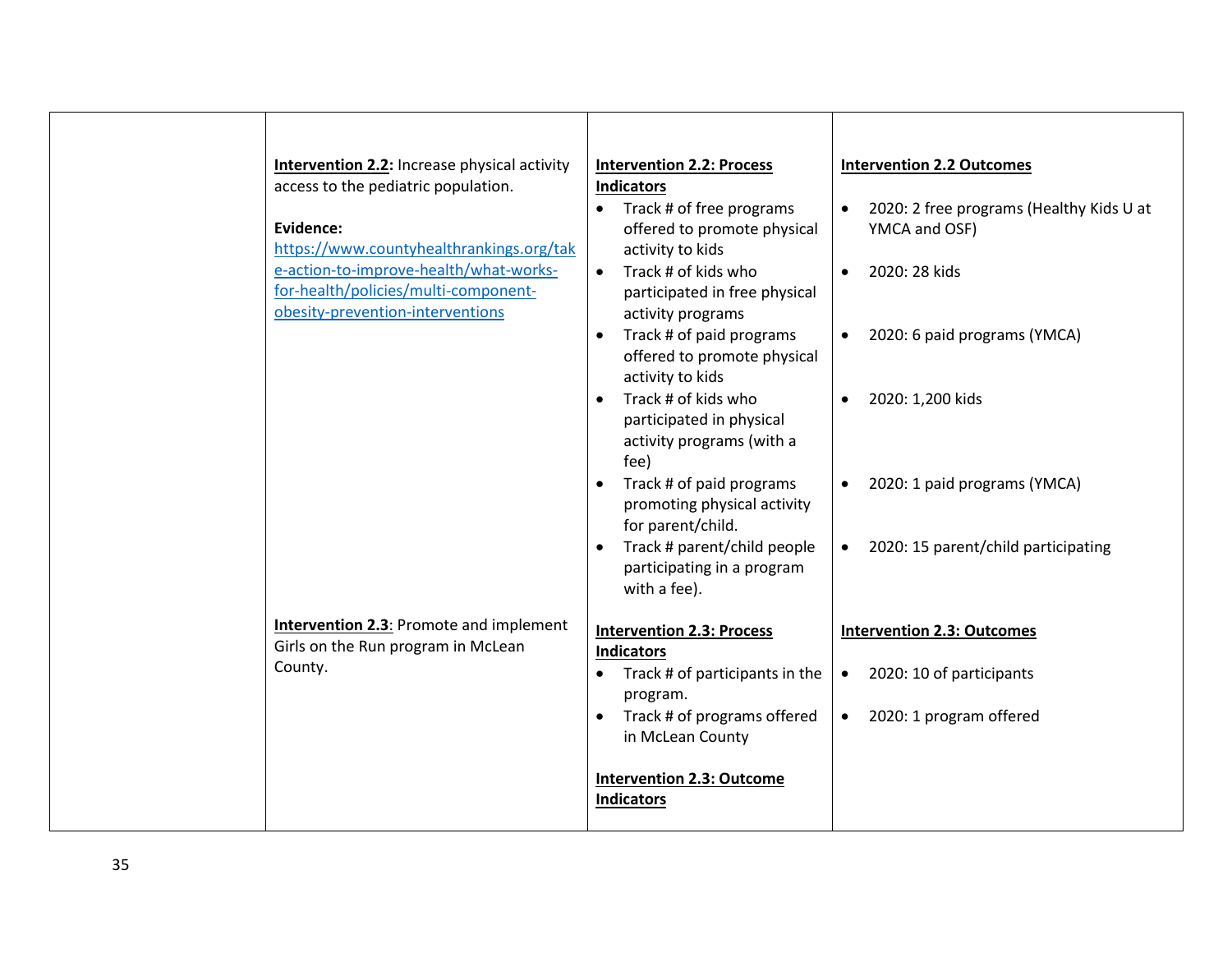| <b>Intervention 2.2:</b> Increase physical activity<br>access to the pediatric population.<br>Evidence:<br>https://www.countyhealthrankings.org/tak<br>e-action-to-improve-health/what-works-<br>for-health/policies/multi-component-<br>obesity-prevention-interventions<br><b>Intervention 2.3: Promote and implement</b><br>Girls on the Run program in McLean<br>County. | <b>Intervention 2.2: Process</b><br><b>Indicators</b><br>Track # of free programs<br>$\bullet$<br>offered to promote physical<br>activity to kids<br>$\bullet$ Track # of kids who<br>participated in free physical<br>activity programs<br>Track # of paid programs<br>$\bullet$<br>offered to promote physical<br>activity to kids<br>Track # of kids who<br>participated in physical<br>activity programs (with a<br>fee)<br>Track # of paid programs<br>promoting physical activity<br>for parent/child.<br>Track # parent/child people<br>$\bullet$<br>participating in a program<br>with a fee).<br><b>Intervention 2.3: Process</b><br><b>Indicators</b><br>Track # of participants in the<br>$\bullet$<br>program.<br>Track # of programs offered | <b>Intervention 2.2 Outcomes</b><br>2020: 2 free programs (Healthy Kids U at<br>YMCA and OSF)<br>2020: 28 kids<br>$\bullet$<br>2020: 6 paid programs (YMCA)<br>$\bullet$<br>2020: 1,200 kids<br>2020: 1 paid programs (YMCA)<br>$\bullet$<br>• 2020: 15 parent/child participating<br><b>Intervention 2.3: Outcomes</b><br>2020: 10 of participants<br>$\bullet$<br>2020: 1 program offered<br>$\bullet$ |
|------------------------------------------------------------------------------------------------------------------------------------------------------------------------------------------------------------------------------------------------------------------------------------------------------------------------------------------------------------------------------|-----------------------------------------------------------------------------------------------------------------------------------------------------------------------------------------------------------------------------------------------------------------------------------------------------------------------------------------------------------------------------------------------------------------------------------------------------------------------------------------------------------------------------------------------------------------------------------------------------------------------------------------------------------------------------------------------------------------------------------------------------------|----------------------------------------------------------------------------------------------------------------------------------------------------------------------------------------------------------------------------------------------------------------------------------------------------------------------------------------------------------------------------------------------------------|
|                                                                                                                                                                                                                                                                                                                                                                              | in McLean County<br><b>Intervention 2.3: Outcome</b><br><b>Indicators</b>                                                                                                                                                                                                                                                                                                                                                                                                                                                                                                                                                                                                                                                                                 |                                                                                                                                                                                                                                                                                                                                                                                                          |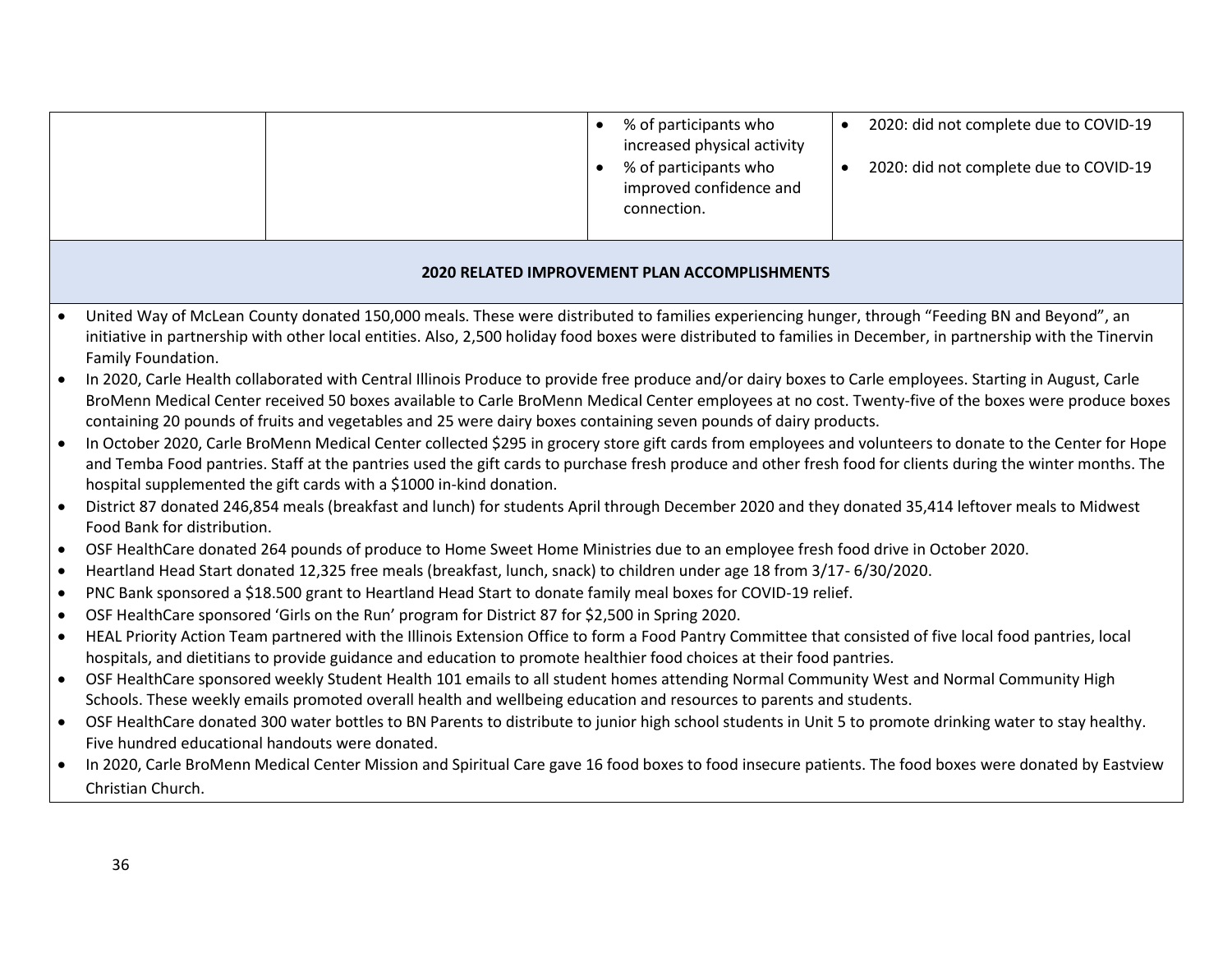| 2020: did not complete due to COVID-19<br>2020: did not complete due to COVID-19                                                                                                                                                                                                                                                                                                                                                                                                                                                                      |  |  |  |
|-------------------------------------------------------------------------------------------------------------------------------------------------------------------------------------------------------------------------------------------------------------------------------------------------------------------------------------------------------------------------------------------------------------------------------------------------------------------------------------------------------------------------------------------------------|--|--|--|
| <b>2020 RELATED IMPROVEMENT PLAN ACCOMPLISHMENTS</b>                                                                                                                                                                                                                                                                                                                                                                                                                                                                                                  |  |  |  |
| United Way of McLean County donated 150,000 meals. These were distributed to families experiencing hunger, through "Feeding BN and Beyond", an<br>initiative in partnership with other local entities. Also, 2,500 holiday food boxes were distributed to families in December, in partnership with the Tinervin                                                                                                                                                                                                                                      |  |  |  |
| In 2020, Carle Health collaborated with Central Illinois Produce to provide free produce and/or dairy boxes to Carle employees. Starting in August, Carle<br>BroMenn Medical Center received 50 boxes available to Carle BroMenn Medical Center employees at no cost. Twenty-five of the boxes were produce boxes<br>containing 20 pounds of fruits and vegetables and 25 were dairy boxes containing seven pounds of dairy products.                                                                                                                 |  |  |  |
| In October 2020, Carle BroMenn Medical Center collected \$295 in grocery store gift cards from employees and volunteers to donate to the Center for Hope<br>and Temba Food pantries. Staff at the pantries used the gift cards to purchase fresh produce and other fresh food for clients during the winter months. The<br>hospital supplemented the gift cards with a \$1000 in-kind donation.<br>District 87 donated 246,854 meals (breakfast and lunch) for students April through December 2020 and they donated 35,414 leftover meals to Midwest |  |  |  |
|                                                                                                                                                                                                                                                                                                                                                                                                                                                                                                                                                       |  |  |  |
|                                                                                                                                                                                                                                                                                                                                                                                                                                                                                                                                                       |  |  |  |
| Heartland Head Start donated 12,325 free meals (breakfast, lunch, snack) to children under age 18 from 3/17- 6/30/2020.<br>$\bullet$<br>PNC Bank sponsored a \$18.500 grant to Heartland Head Start to donate family meal boxes for COVID-19 relief.<br>$\bullet$                                                                                                                                                                                                                                                                                     |  |  |  |
| OSF HealthCare sponsored 'Girls on the Run' program for District 87 for \$2,500 in Spring 2020.<br>$\bullet$                                                                                                                                                                                                                                                                                                                                                                                                                                          |  |  |  |
| HEAL Priority Action Team partnered with the Illinois Extension Office to form a Food Pantry Committee that consisted of five local food pantries, local                                                                                                                                                                                                                                                                                                                                                                                              |  |  |  |
|                                                                                                                                                                                                                                                                                                                                                                                                                                                                                                                                                       |  |  |  |
| OSF HealthCare sponsored weekly Student Health 101 emails to all student homes attending Normal Community West and Normal Community High                                                                                                                                                                                                                                                                                                                                                                                                              |  |  |  |
|                                                                                                                                                                                                                                                                                                                                                                                                                                                                                                                                                       |  |  |  |
| OSF HealthCare donated 300 water bottles to BN Parents to distribute to junior high school students in Unit 5 to promote drinking water to stay healthy.                                                                                                                                                                                                                                                                                                                                                                                              |  |  |  |
| In 2020, Carle BroMenn Medical Center Mission and Spiritual Care gave 16 food boxes to food insecure patients. The food boxes were donated by Eastview                                                                                                                                                                                                                                                                                                                                                                                                |  |  |  |
|                                                                                                                                                                                                                                                                                                                                                                                                                                                                                                                                                       |  |  |  |
|                                                                                                                                                                                                                                                                                                                                                                                                                                                                                                                                                       |  |  |  |